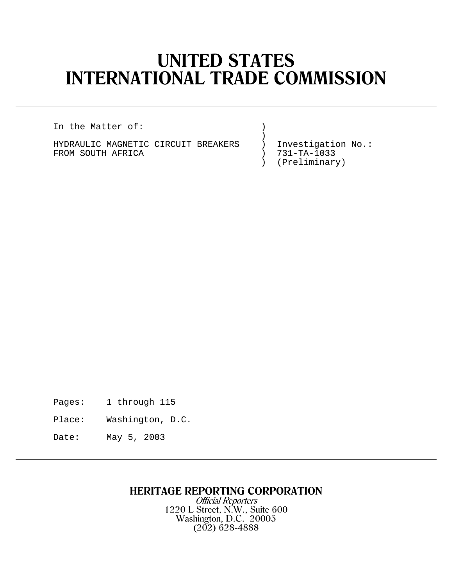# **UNITED STATES INTERNATIONAL TRADE COMMISSION**

In the Matter of: )

) and the contract of  $\mathcal{L}$ HYDRAULIC MAGNETIC CIRCUIT BREAKERS ) Investigation No.:<br>FROM SOUTH AFRICA (1999) 731-TA-1033 FROM SOUTH AFRICA ) )

) (Preliminary)

Pages: 1 through 115

Place: Washington, D.C.

Date: May 5, 2003

## **HERITAGE REPORTING CORPORATION**

Official Reporters 1220 L Street, N.W., Suite 600 Washington, D.C. 20005 (202) 628-4888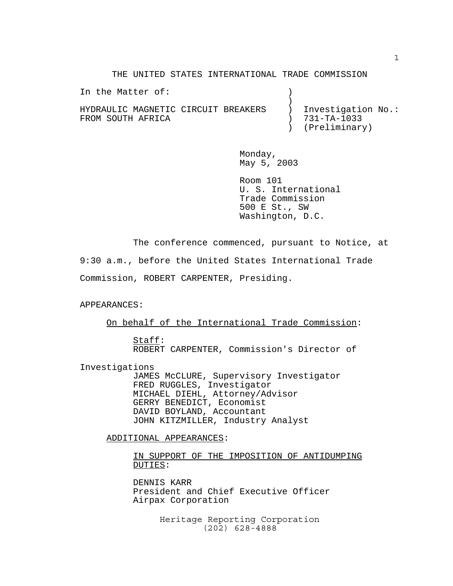THE UNITED STATES INTERNATIONAL TRADE COMMISSION

In the Matter of: (1) ) and the contract of  $\mathcal{L}$ HYDRAULIC MAGNETIC CIRCUIT BREAKERS ) Investigation No.: FROM SOUTH AFRICA ) 731-TA-1033 ) (Preliminary)

> Monday, May 5, 2003

Room 101 U. S. International Trade Commission 500 E St., SW Washington, D.C.

The conference commenced, pursuant to Notice, at

9:30 a.m., before the United States International Trade Commission, ROBERT CARPENTER, Presiding.

#### APPEARANCES:

On behalf of the International Trade Commission:

Staff: ROBERT CARPENTER, Commission's Director of

Investigations

JAMES McCLURE, Supervisory Investigator FRED RUGGLES, Investigator MICHAEL DIEHL, Attorney/Advisor GERRY BENEDICT, Economist DAVID BOYLAND, Accountant JOHN KITZMILLER, Industry Analyst

ADDITIONAL APPEARANCES:

IN SUPPORT OF THE IMPOSITION OF ANTIDUMPING DUTIES:

DENNIS KARR President and Chief Executive Officer Airpax Corporation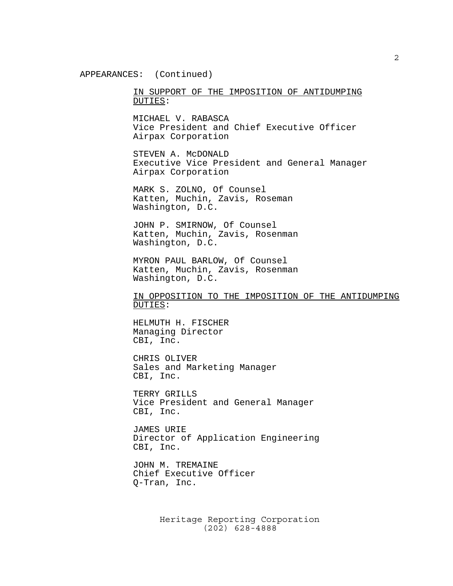APPEARANCES: (Continued)

IN SUPPORT OF THE IMPOSITION OF ANTIDUMPING DUTIES:

MICHAEL V. RABASCA Vice President and Chief Executive Officer Airpax Corporation

STEVEN A. McDONALD Executive Vice President and General Manager Airpax Corporation

MARK S. ZOLNO, Of Counsel Katten, Muchin, Zavis, Roseman Washington, D.C.

JOHN P. SMIRNOW, Of Counsel Katten, Muchin, Zavis, Rosenman Washington, D.C.

 MYRON PAUL BARLOW, Of Counsel Katten, Muchin, Zavis, Rosenman Washington, D.C.

IN OPPOSITION TO THE IMPOSITION OF THE ANTIDUMPING DUTIES:

 HELMUTH H. FISCHER Managing Director CBI, Inc.

CHRIS OLIVER Sales and Marketing Manager CBI, Inc.

TERRY GRILLS Vice President and General Manager CBI, Inc.

JAMES URIE Director of Application Engineering CBI, Inc.

JOHN M. TREMAINE Chief Executive Officer Q-Tran, Inc.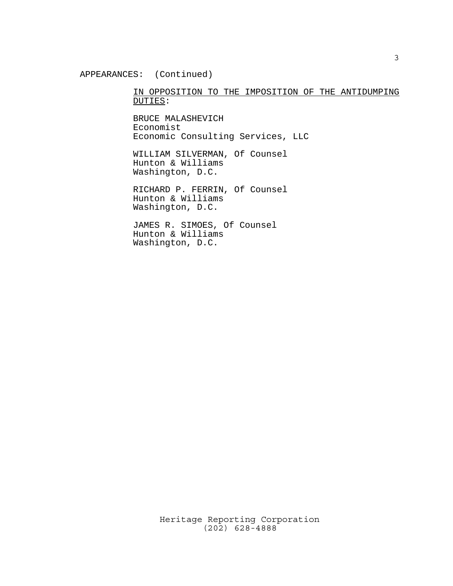#### APPEARANCES: (Continued)

#### IN OPPOSITION TO THE IMPOSITION OF THE ANTIDUMPING DUTIES:

BRUCE MALASHEVICH Economist Economic Consulting Services, LLC

WILLIAM SILVERMAN, Of Counsel Hunton & Williams Washington, D.C.

RICHARD P. FERRIN, Of Counsel Hunton & Williams Washington, D.C.

JAMES R. SIMOES, Of Counsel Hunton & Williams Washington, D.C.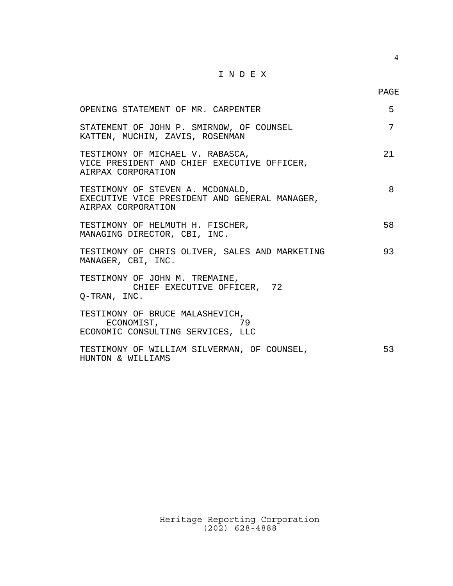### I N D E X

PAGE

| OPENING STATEMENT OF MR. CARPENTER                                                                      | 5  |
|---------------------------------------------------------------------------------------------------------|----|
| STATEMENT OF JOHN P. SMIRNOW, OF COUNSEL<br>KATTEN, MUCHIN, ZAVIS, ROSENMAN                             | 7  |
| TESTIMONY OF MICHAEL V. RABASCA,<br>VICE PRESIDENT AND CHIEF EXECUTIVE OFFICER,<br>AIRPAX CORPORATION   | 21 |
| TESTIMONY OF STEVEN A. MCDONALD,<br>EXECUTIVE VICE PRESIDENT AND GENERAL MANAGER,<br>AIRPAX CORPORATION | 8  |
| TESTIMONY OF HELMUTH H. FISCHER,<br>MANAGING DIRECTOR, CBI, INC.                                        | 58 |
| TESTIMONY OF CHRIS OLIVER, SALES AND MARKETING<br>MANAGER, CBI, INC.                                    | 93 |
| TESTIMONY OF JOHN M. TREMAINE,<br>CHIEF EXECUTIVE OFFICER, 72<br>O-TRAN, INC.                           |    |
| TESTIMONY OF BRUCE MALASHEVICH,<br>ECONOMIST,<br>79<br>ECONOMIC CONSULTING SERVICES, LLC                |    |
| TESTIMONY OF WILLIAM SILVERMAN, OF COUNSEL,<br>HUNTON & WILLIAMS                                        | 53 |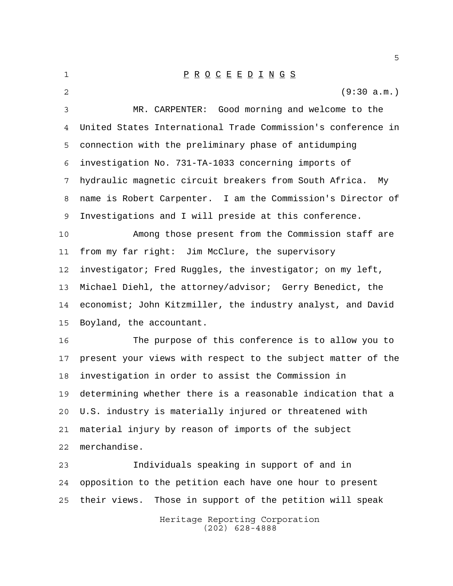1 P R O C E E D I N G S (9:30 a.m.) MR. CARPENTER: Good morning and welcome to the United States International Trade Commission's conference in connection with the preliminary phase of antidumping investigation No. 731-TA-1033 concerning imports of hydraulic magnetic circuit breakers from South Africa. My name is Robert Carpenter. I am the Commission's Director of Investigations and I will preside at this conference. Among those present from the Commission staff are from my far right: Jim McClure, the supervisory investigator; Fred Ruggles, the investigator; on my left, Michael Diehl, the attorney/advisor; Gerry Benedict, the economist; John Kitzmiller, the industry analyst, and David Boyland, the accountant. The purpose of this conference is to allow you to present your views with respect to the subject matter of the investigation in order to assist the Commission in determining whether there is a reasonable indication that a

 U.S. industry is materially injured or threatened with material injury by reason of imports of the subject merchandise.

 Individuals speaking in support of and in opposition to the petition each have one hour to present their views. Those in support of the petition will speak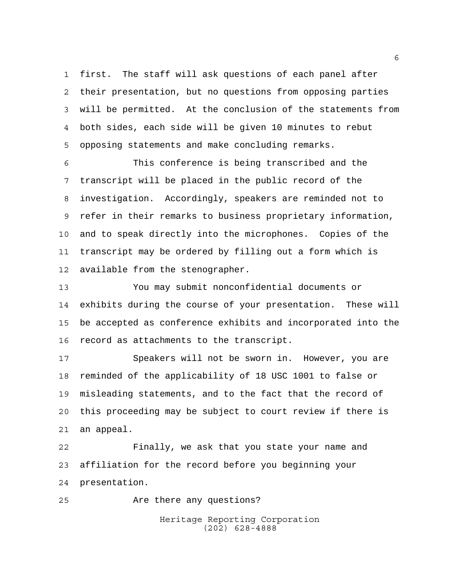first. The staff will ask questions of each panel after their presentation, but no questions from opposing parties will be permitted. At the conclusion of the statements from both sides, each side will be given 10 minutes to rebut opposing statements and make concluding remarks.

 This conference is being transcribed and the transcript will be placed in the public record of the investigation. Accordingly, speakers are reminded not to refer in their remarks to business proprietary information, and to speak directly into the microphones. Copies of the transcript may be ordered by filling out a form which is available from the stenographer.

 You may submit nonconfidential documents or exhibits during the course of your presentation. These will be accepted as conference exhibits and incorporated into the record as attachments to the transcript.

 Speakers will not be sworn in. However, you are reminded of the applicability of 18 USC 1001 to false or misleading statements, and to the fact that the record of this proceeding may be subject to court review if there is an appeal.

 Finally, we ask that you state your name and affiliation for the record before you beginning your presentation.

Are there any questions?

Heritage Reporting Corporation (202) 628-4888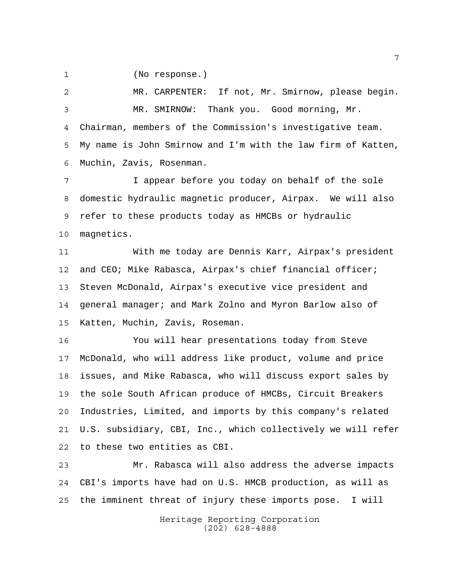(No response.)

 MR. CARPENTER: If not, Mr. Smirnow, please begin. MR. SMIRNOW: Thank you. Good morning, Mr. Chairman, members of the Commission's investigative team. My name is John Smirnow and I'm with the law firm of Katten, Muchin, Zavis, Rosenman.

 I appear before you today on behalf of the sole domestic hydraulic magnetic producer, Airpax. We will also refer to these products today as HMCBs or hydraulic magnetics.

 With me today are Dennis Karr, Airpax's president and CEO; Mike Rabasca, Airpax's chief financial officer; Steven McDonald, Airpax's executive vice president and general manager; and Mark Zolno and Myron Barlow also of Katten, Muchin, Zavis, Roseman.

 You will hear presentations today from Steve McDonald, who will address like product, volume and price issues, and Mike Rabasca, who will discuss export sales by the sole South African produce of HMCBs, Circuit Breakers Industries, Limited, and imports by this company's related U.S. subsidiary, CBI, Inc., which collectively we will refer to these two entities as CBI.

 Mr. Rabasca will also address the adverse impacts CBI's imports have had on U.S. HMCB production, as will as the imminent threat of injury these imports pose. I will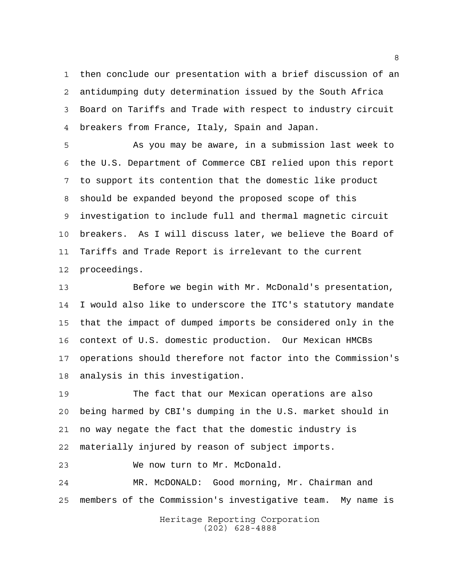then conclude our presentation with a brief discussion of an antidumping duty determination issued by the South Africa Board on Tariffs and Trade with respect to industry circuit breakers from France, Italy, Spain and Japan.

 As you may be aware, in a submission last week to the U.S. Department of Commerce CBI relied upon this report to support its contention that the domestic like product should be expanded beyond the proposed scope of this investigation to include full and thermal magnetic circuit breakers. As I will discuss later, we believe the Board of Tariffs and Trade Report is irrelevant to the current proceedings.

 Before we begin with Mr. McDonald's presentation, I would also like to underscore the ITC's statutory mandate that the impact of dumped imports be considered only in the context of U.S. domestic production. Our Mexican HMCBs operations should therefore not factor into the Commission's analysis in this investigation.

 The fact that our Mexican operations are also being harmed by CBI's dumping in the U.S. market should in no way negate the fact that the domestic industry is materially injured by reason of subject imports.

We now turn to Mr. McDonald.

 MR. McDONALD: Good morning, Mr. Chairman and members of the Commission's investigative team. My name is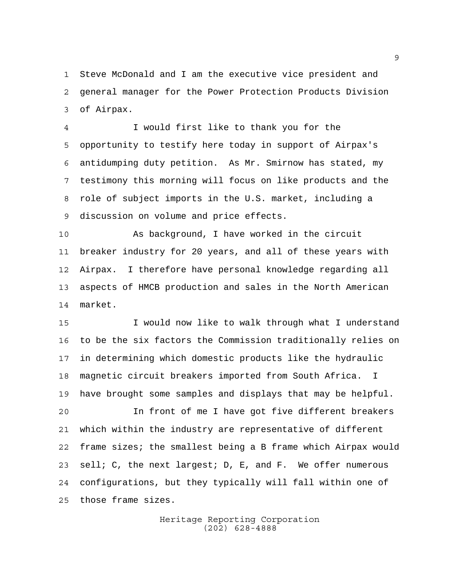Steve McDonald and I am the executive vice president and general manager for the Power Protection Products Division of Airpax.

 I would first like to thank you for the opportunity to testify here today in support of Airpax's antidumping duty petition. As Mr. Smirnow has stated, my testimony this morning will focus on like products and the role of subject imports in the U.S. market, including a discussion on volume and price effects.

 As background, I have worked in the circuit breaker industry for 20 years, and all of these years with Airpax. I therefore have personal knowledge regarding all aspects of HMCB production and sales in the North American market.

 I would now like to walk through what I understand to be the six factors the Commission traditionally relies on in determining which domestic products like the hydraulic magnetic circuit breakers imported from South Africa. I have brought some samples and displays that may be helpful.

 In front of me I have got five different breakers which within the industry are representative of different frame sizes; the smallest being a B frame which Airpax would sell; C, the next largest; D, E, and F. We offer numerous configurations, but they typically will fall within one of those frame sizes.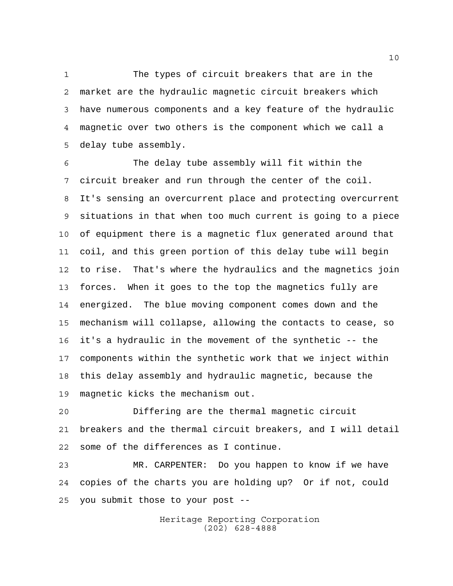The types of circuit breakers that are in the market are the hydraulic magnetic circuit breakers which have numerous components and a key feature of the hydraulic magnetic over two others is the component which we call a delay tube assembly.

 The delay tube assembly will fit within the circuit breaker and run through the center of the coil. It's sensing an overcurrent place and protecting overcurrent situations in that when too much current is going to a piece of equipment there is a magnetic flux generated around that coil, and this green portion of this delay tube will begin to rise. That's where the hydraulics and the magnetics join forces. When it goes to the top the magnetics fully are energized. The blue moving component comes down and the mechanism will collapse, allowing the contacts to cease, so it's a hydraulic in the movement of the synthetic -- the components within the synthetic work that we inject within this delay assembly and hydraulic magnetic, because the magnetic kicks the mechanism out.

 Differing are the thermal magnetic circuit breakers and the thermal circuit breakers, and I will detail some of the differences as I continue.

 MR. CARPENTER: Do you happen to know if we have copies of the charts you are holding up? Or if not, could you submit those to your post --

> Heritage Reporting Corporation (202) 628-4888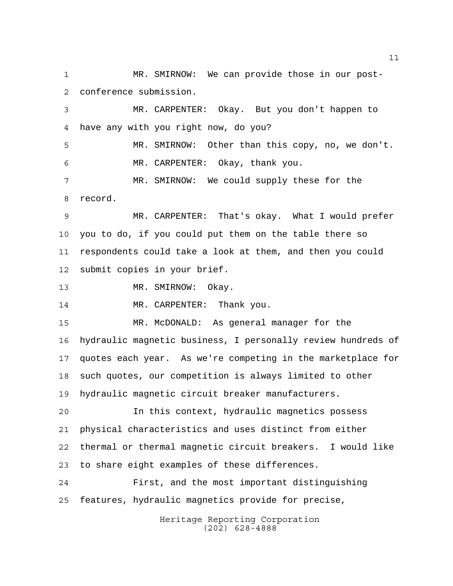MR. SMIRNOW: We can provide those in our post-conference submission.

 MR. CARPENTER: Okay. But you don't happen to have any with you right now, do you?

 MR. SMIRNOW: Other than this copy, no, we don't. MR. CARPENTER: Okay, thank you.

 MR. SMIRNOW: We could supply these for the record.

 MR. CARPENTER: That's okay. What I would prefer you to do, if you could put them on the table there so respondents could take a look at them, and then you could submit copies in your brief.

13 MR. SMIRNOW: Okay.

MR. CARPENTER: Thank you.

 MR. McDONALD: As general manager for the hydraulic magnetic business, I personally review hundreds of quotes each year. As we're competing in the marketplace for such quotes, our competition is always limited to other hydraulic magnetic circuit breaker manufacturers.

 In this context, hydraulic magnetics possess physical characteristics and uses distinct from either thermal or thermal magnetic circuit breakers. I would like to share eight examples of these differences.

 First, and the most important distinguishing features, hydraulic magnetics provide for precise,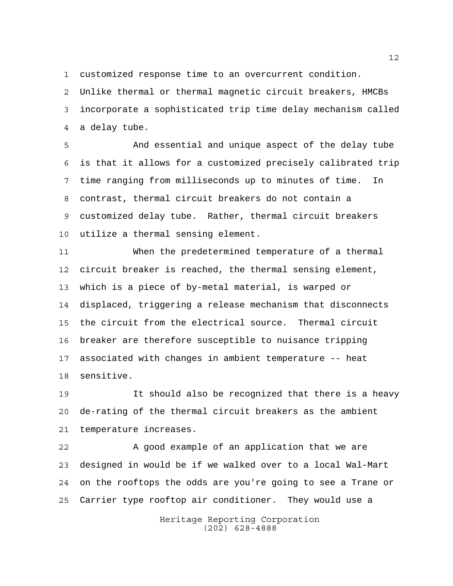customized response time to an overcurrent condition.

 Unlike thermal or thermal magnetic circuit breakers, HMCBs incorporate a sophisticated trip time delay mechanism called a delay tube.

 And essential and unique aspect of the delay tube is that it allows for a customized precisely calibrated trip time ranging from milliseconds up to minutes of time. In contrast, thermal circuit breakers do not contain a customized delay tube. Rather, thermal circuit breakers utilize a thermal sensing element.

 When the predetermined temperature of a thermal circuit breaker is reached, the thermal sensing element, which is a piece of by-metal material, is warped or displaced, triggering a release mechanism that disconnects the circuit from the electrical source. Thermal circuit breaker are therefore susceptible to nuisance tripping associated with changes in ambient temperature -- heat sensitive.

 It should also be recognized that there is a heavy de-rating of the thermal circuit breakers as the ambient temperature increases.

22 A good example of an application that we are designed in would be if we walked over to a local Wal-Mart on the rooftops the odds are you're going to see a Trane or Carrier type rooftop air conditioner. They would use a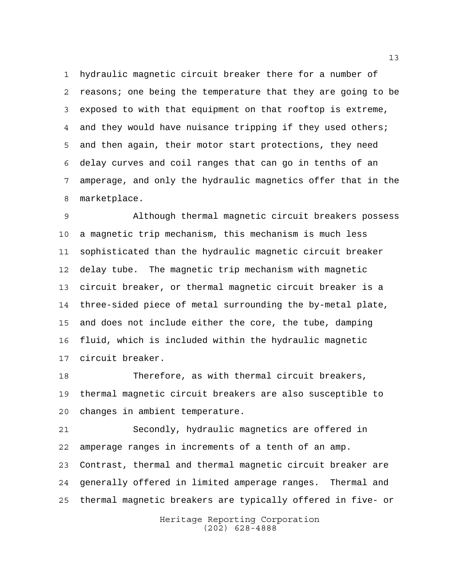hydraulic magnetic circuit breaker there for a number of reasons; one being the temperature that they are going to be exposed to with that equipment on that rooftop is extreme, 4 and they would have nuisance tripping if they used others; and then again, their motor start protections, they need delay curves and coil ranges that can go in tenths of an amperage, and only the hydraulic magnetics offer that in the marketplace.

 Although thermal magnetic circuit breakers possess a magnetic trip mechanism, this mechanism is much less sophisticated than the hydraulic magnetic circuit breaker delay tube. The magnetic trip mechanism with magnetic circuit breaker, or thermal magnetic circuit breaker is a three-sided piece of metal surrounding the by-metal plate, and does not include either the core, the tube, damping fluid, which is included within the hydraulic magnetic circuit breaker.

 Therefore, as with thermal circuit breakers, thermal magnetic circuit breakers are also susceptible to changes in ambient temperature.

 Secondly, hydraulic magnetics are offered in amperage ranges in increments of a tenth of an amp. Contrast, thermal and thermal magnetic circuit breaker are generally offered in limited amperage ranges. Thermal and thermal magnetic breakers are typically offered in five- or

> Heritage Reporting Corporation (202) 628-4888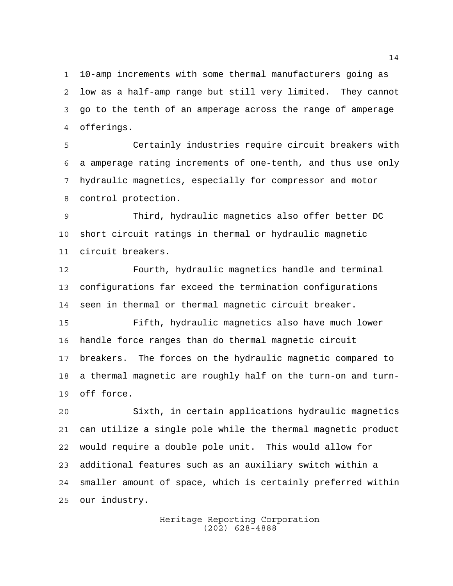10-amp increments with some thermal manufacturers going as low as a half-amp range but still very limited. They cannot go to the tenth of an amperage across the range of amperage offerings.

 Certainly industries require circuit breakers with a amperage rating increments of one-tenth, and thus use only hydraulic magnetics, especially for compressor and motor control protection.

 Third, hydraulic magnetics also offer better DC short circuit ratings in thermal or hydraulic magnetic circuit breakers.

 Fourth, hydraulic magnetics handle and terminal configurations far exceed the termination configurations seen in thermal or thermal magnetic circuit breaker.

 Fifth, hydraulic magnetics also have much lower handle force ranges than do thermal magnetic circuit breakers. The forces on the hydraulic magnetic compared to a thermal magnetic are roughly half on the turn-on and turn-off force.

 Sixth, in certain applications hydraulic magnetics can utilize a single pole while the thermal magnetic product would require a double pole unit. This would allow for additional features such as an auxiliary switch within a smaller amount of space, which is certainly preferred within our industry.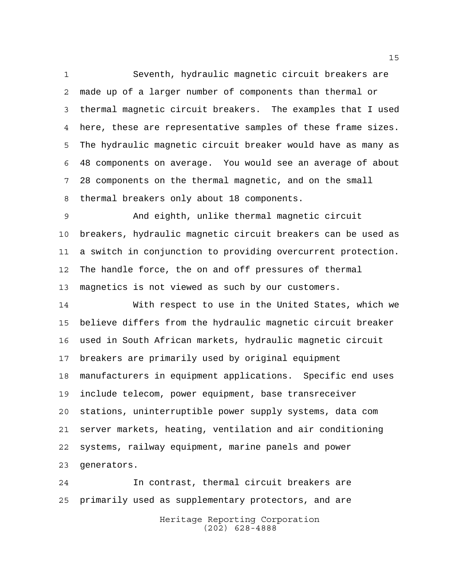Seventh, hydraulic magnetic circuit breakers are made up of a larger number of components than thermal or thermal magnetic circuit breakers. The examples that I used here, these are representative samples of these frame sizes. The hydraulic magnetic circuit breaker would have as many as 48 components on average. You would see an average of about 28 components on the thermal magnetic, and on the small thermal breakers only about 18 components.

 And eighth, unlike thermal magnetic circuit breakers, hydraulic magnetic circuit breakers can be used as a switch in conjunction to providing overcurrent protection. The handle force, the on and off pressures of thermal magnetics is not viewed as such by our customers.

 With respect to use in the United States, which we believe differs from the hydraulic magnetic circuit breaker used in South African markets, hydraulic magnetic circuit breakers are primarily used by original equipment manufacturers in equipment applications. Specific end uses include telecom, power equipment, base transreceiver stations, uninterruptible power supply systems, data com server markets, heating, ventilation and air conditioning systems, railway equipment, marine panels and power generators.

 In contrast, thermal circuit breakers are primarily used as supplementary protectors, and are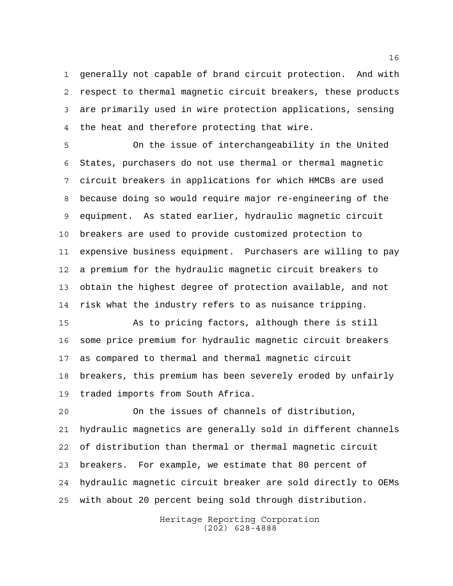generally not capable of brand circuit protection. And with respect to thermal magnetic circuit breakers, these products are primarily used in wire protection applications, sensing the heat and therefore protecting that wire.

 On the issue of interchangeability in the United States, purchasers do not use thermal or thermal magnetic circuit breakers in applications for which HMCBs are used because doing so would require major re-engineering of the equipment. As stated earlier, hydraulic magnetic circuit breakers are used to provide customized protection to expensive business equipment. Purchasers are willing to pay a premium for the hydraulic magnetic circuit breakers to obtain the highest degree of protection available, and not risk what the industry refers to as nuisance tripping.

 As to pricing factors, although there is still some price premium for hydraulic magnetic circuit breakers as compared to thermal and thermal magnetic circuit breakers, this premium has been severely eroded by unfairly traded imports from South Africa.

 On the issues of channels of distribution, hydraulic magnetics are generally sold in different channels of distribution than thermal or thermal magnetic circuit breakers. For example, we estimate that 80 percent of hydraulic magnetic circuit breaker are sold directly to OEMs with about 20 percent being sold through distribution.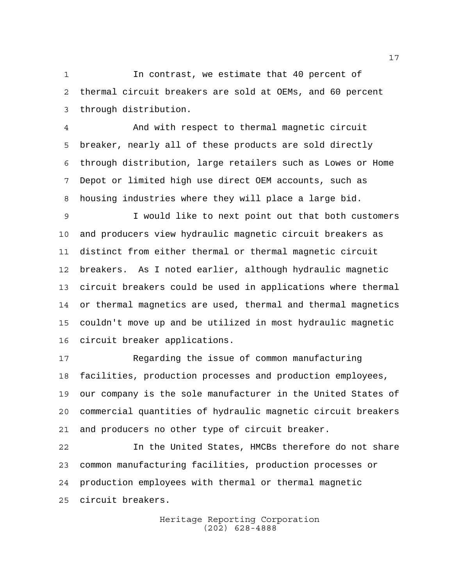In contrast, we estimate that 40 percent of thermal circuit breakers are sold at OEMs, and 60 percent through distribution.

 And with respect to thermal magnetic circuit breaker, nearly all of these products are sold directly through distribution, large retailers such as Lowes or Home Depot or limited high use direct OEM accounts, such as housing industries where they will place a large bid.

 I would like to next point out that both customers and producers view hydraulic magnetic circuit breakers as distinct from either thermal or thermal magnetic circuit breakers. As I noted earlier, although hydraulic magnetic circuit breakers could be used in applications where thermal or thermal magnetics are used, thermal and thermal magnetics couldn't move up and be utilized in most hydraulic magnetic circuit breaker applications.

 Regarding the issue of common manufacturing facilities, production processes and production employees, our company is the sole manufacturer in the United States of commercial quantities of hydraulic magnetic circuit breakers and producers no other type of circuit breaker.

 In the United States, HMCBs therefore do not share common manufacturing facilities, production processes or production employees with thermal or thermal magnetic circuit breakers.

> Heritage Reporting Corporation (202) 628-4888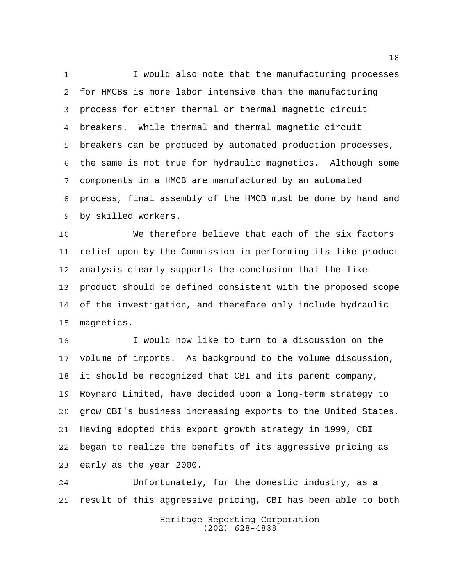1 I would also note that the manufacturing processes for HMCBs is more labor intensive than the manufacturing process for either thermal or thermal magnetic circuit breakers. While thermal and thermal magnetic circuit breakers can be produced by automated production processes, the same is not true for hydraulic magnetics. Although some components in a HMCB are manufactured by an automated process, final assembly of the HMCB must be done by hand and by skilled workers.

 We therefore believe that each of the six factors relief upon by the Commission in performing its like product analysis clearly supports the conclusion that the like product should be defined consistent with the proposed scope of the investigation, and therefore only include hydraulic magnetics.

 I would now like to turn to a discussion on the volume of imports. As background to the volume discussion, it should be recognized that CBI and its parent company, Roynard Limited, have decided upon a long-term strategy to grow CBI's business increasing exports to the United States. Having adopted this export growth strategy in 1999, CBI began to realize the benefits of its aggressive pricing as early as the year 2000.

 Unfortunately, for the domestic industry, as a result of this aggressive pricing, CBI has been able to both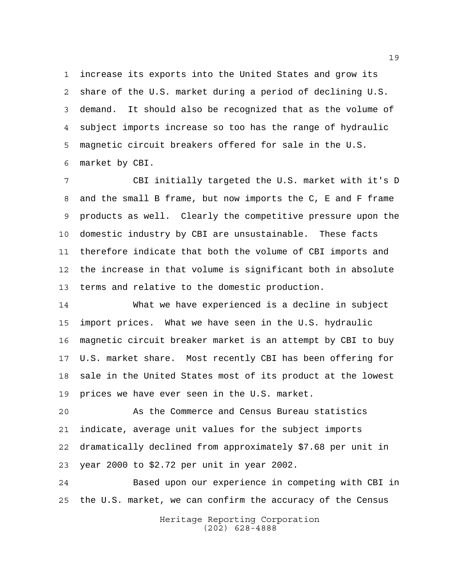increase its exports into the United States and grow its share of the U.S. market during a period of declining U.S. demand. It should also be recognized that as the volume of subject imports increase so too has the range of hydraulic magnetic circuit breakers offered for sale in the U.S. market by CBI.

 CBI initially targeted the U.S. market with it's D and the small B frame, but now imports the C, E and F frame products as well. Clearly the competitive pressure upon the domestic industry by CBI are unsustainable. These facts therefore indicate that both the volume of CBI imports and the increase in that volume is significant both in absolute terms and relative to the domestic production.

 What we have experienced is a decline in subject import prices. What we have seen in the U.S. hydraulic magnetic circuit breaker market is an attempt by CBI to buy U.S. market share. Most recently CBI has been offering for sale in the United States most of its product at the lowest prices we have ever seen in the U.S. market.

 As the Commerce and Census Bureau statistics indicate, average unit values for the subject imports dramatically declined from approximately \$7.68 per unit in year 2000 to \$2.72 per unit in year 2002.

 Based upon our experience in competing with CBI in the U.S. market, we can confirm the accuracy of the Census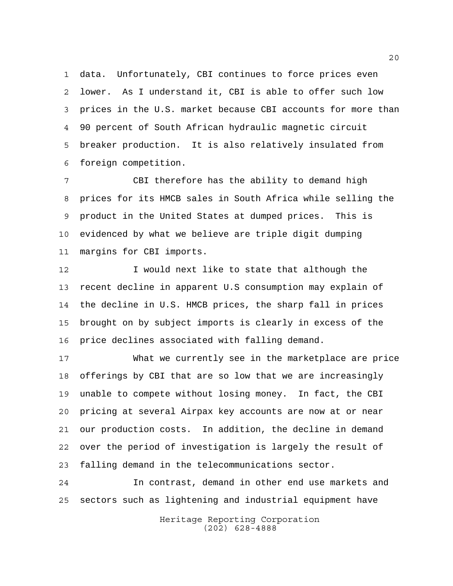data. Unfortunately, CBI continues to force prices even lower. As I understand it, CBI is able to offer such low prices in the U.S. market because CBI accounts for more than 90 percent of South African hydraulic magnetic circuit breaker production. It is also relatively insulated from foreign competition.

 CBI therefore has the ability to demand high prices for its HMCB sales in South Africa while selling the product in the United States at dumped prices. This is evidenced by what we believe are triple digit dumping margins for CBI imports.

12 I would next like to state that although the recent decline in apparent U.S consumption may explain of the decline in U.S. HMCB prices, the sharp fall in prices brought on by subject imports is clearly in excess of the price declines associated with falling demand.

 What we currently see in the marketplace are price offerings by CBI that are so low that we are increasingly unable to compete without losing money. In fact, the CBI pricing at several Airpax key accounts are now at or near our production costs. In addition, the decline in demand over the period of investigation is largely the result of falling demand in the telecommunications sector.

 In contrast, demand in other end use markets and sectors such as lightening and industrial equipment have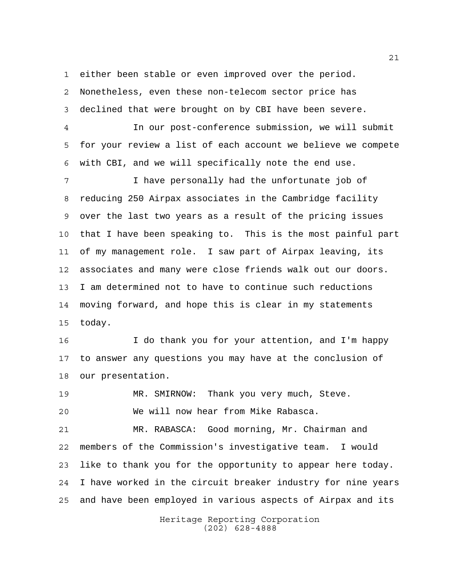either been stable or even improved over the period.

 Nonetheless, even these non-telecom sector price has declined that were brought on by CBI have been severe.

 In our post-conference submission, we will submit for your review a list of each account we believe we compete with CBI, and we will specifically note the end use.

 I have personally had the unfortunate job of reducing 250 Airpax associates in the Cambridge facility over the last two years as a result of the pricing issues that I have been speaking to. This is the most painful part of my management role. I saw part of Airpax leaving, its associates and many were close friends walk out our doors. I am determined not to have to continue such reductions moving forward, and hope this is clear in my statements today.

 I do thank you for your attention, and I'm happy to answer any questions you may have at the conclusion of our presentation.

 MR. SMIRNOW: Thank you very much, Steve. We will now hear from Mike Rabasca.

 MR. RABASCA: Good morning, Mr. Chairman and members of the Commission's investigative team. I would like to thank you for the opportunity to appear here today. I have worked in the circuit breaker industry for nine years and have been employed in various aspects of Airpax and its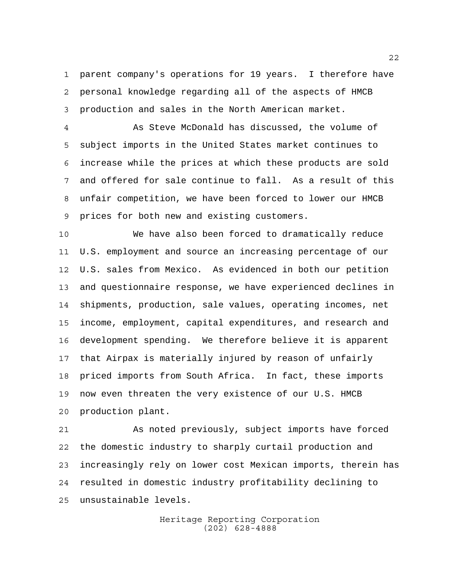parent company's operations for 19 years. I therefore have personal knowledge regarding all of the aspects of HMCB production and sales in the North American market.

 As Steve McDonald has discussed, the volume of subject imports in the United States market continues to increase while the prices at which these products are sold and offered for sale continue to fall. As a result of this unfair competition, we have been forced to lower our HMCB prices for both new and existing customers.

 We have also been forced to dramatically reduce U.S. employment and source an increasing percentage of our U.S. sales from Mexico. As evidenced in both our petition and questionnaire response, we have experienced declines in shipments, production, sale values, operating incomes, net income, employment, capital expenditures, and research and development spending. We therefore believe it is apparent that Airpax is materially injured by reason of unfairly priced imports from South Africa. In fact, these imports now even threaten the very existence of our U.S. HMCB production plant.

 As noted previously, subject imports have forced the domestic industry to sharply curtail production and increasingly rely on lower cost Mexican imports, therein has resulted in domestic industry profitability declining to unsustainable levels.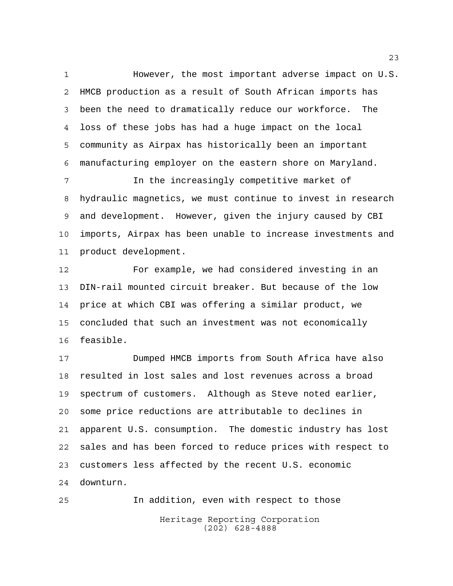However, the most important adverse impact on U.S. HMCB production as a result of South African imports has been the need to dramatically reduce our workforce. The loss of these jobs has had a huge impact on the local community as Airpax has historically been an important manufacturing employer on the eastern shore on Maryland.

 In the increasingly competitive market of hydraulic magnetics, we must continue to invest in research and development. However, given the injury caused by CBI imports, Airpax has been unable to increase investments and product development.

 For example, we had considered investing in an DIN-rail mounted circuit breaker. But because of the low price at which CBI was offering a similar product, we concluded that such an investment was not economically feasible.

 Dumped HMCB imports from South Africa have also resulted in lost sales and lost revenues across a broad spectrum of customers. Although as Steve noted earlier, some price reductions are attributable to declines in apparent U.S. consumption. The domestic industry has lost sales and has been forced to reduce prices with respect to customers less affected by the recent U.S. economic downturn.

Heritage Reporting Corporation (202) 628-4888 In addition, even with respect to those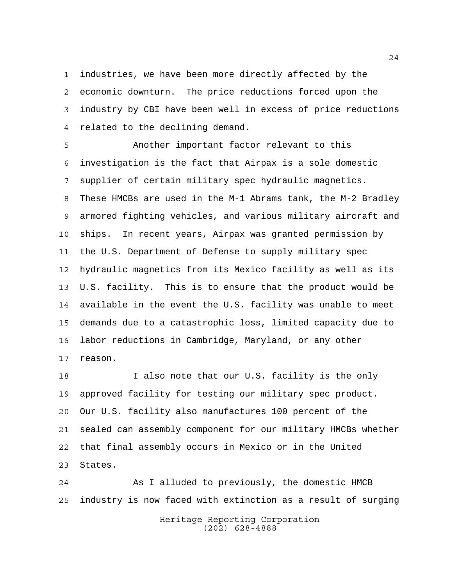industries, we have been more directly affected by the economic downturn. The price reductions forced upon the industry by CBI have been well in excess of price reductions related to the declining demand.

 Another important factor relevant to this investigation is the fact that Airpax is a sole domestic supplier of certain military spec hydraulic magnetics. These HMCBs are used in the M-1 Abrams tank, the M-2 Bradley armored fighting vehicles, and various military aircraft and ships. In recent years, Airpax was granted permission by the U.S. Department of Defense to supply military spec hydraulic magnetics from its Mexico facility as well as its U.S. facility. This is to ensure that the product would be available in the event the U.S. facility was unable to meet demands due to a catastrophic loss, limited capacity due to labor reductions in Cambridge, Maryland, or any other reason.

18 I also note that our U.S. facility is the only approved facility for testing our military spec product. Our U.S. facility also manufactures 100 percent of the sealed can assembly component for our military HMCBs whether that final assembly occurs in Mexico or in the United States.

 As I alluded to previously, the domestic HMCB industry is now faced with extinction as a result of surging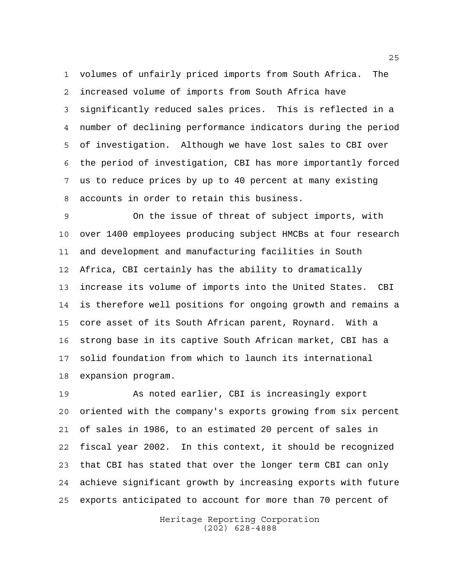volumes of unfairly priced imports from South Africa. The increased volume of imports from South Africa have significantly reduced sales prices. This is reflected in a number of declining performance indicators during the period of investigation. Although we have lost sales to CBI over the period of investigation, CBI has more importantly forced us to reduce prices by up to 40 percent at many existing accounts in order to retain this business.

 On the issue of threat of subject imports, with over 1400 employees producing subject HMCBs at four research and development and manufacturing facilities in South Africa, CBI certainly has the ability to dramatically increase its volume of imports into the United States. CBI is therefore well positions for ongoing growth and remains a core asset of its South African parent, Roynard. With a strong base in its captive South African market, CBI has a solid foundation from which to launch its international expansion program.

 As noted earlier, CBI is increasingly export oriented with the company's exports growing from six percent of sales in 1986, to an estimated 20 percent of sales in fiscal year 2002. In this context, it should be recognized that CBI has stated that over the longer term CBI can only achieve significant growth by increasing exports with future exports anticipated to account for more than 70 percent of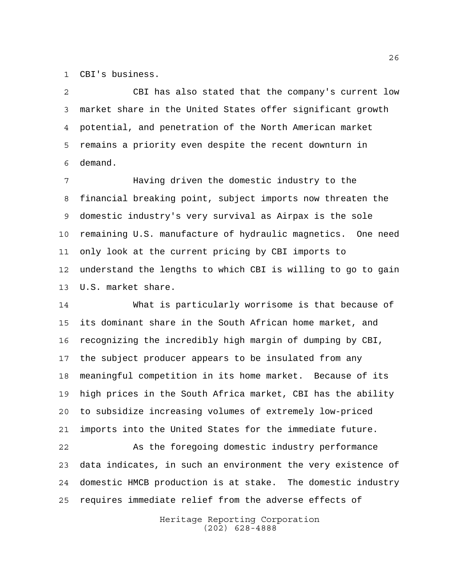CBI's business.

 CBI has also stated that the company's current low market share in the United States offer significant growth potential, and penetration of the North American market remains a priority even despite the recent downturn in demand.

 Having driven the domestic industry to the financial breaking point, subject imports now threaten the domestic industry's very survival as Airpax is the sole remaining U.S. manufacture of hydraulic magnetics. One need only look at the current pricing by CBI imports to understand the lengths to which CBI is willing to go to gain U.S. market share.

 What is particularly worrisome is that because of its dominant share in the South African home market, and recognizing the incredibly high margin of dumping by CBI, the subject producer appears to be insulated from any meaningful competition in its home market. Because of its high prices in the South Africa market, CBI has the ability to subsidize increasing volumes of extremely low-priced imports into the United States for the immediate future.

 As the foregoing domestic industry performance data indicates, in such an environment the very existence of domestic HMCB production is at stake. The domestic industry requires immediate relief from the adverse effects of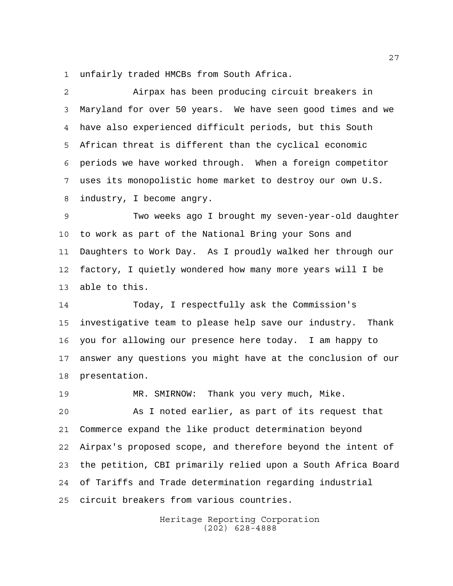unfairly traded HMCBs from South Africa.

 Airpax has been producing circuit breakers in Maryland for over 50 years. We have seen good times and we have also experienced difficult periods, but this South African threat is different than the cyclical economic periods we have worked through. When a foreign competitor uses its monopolistic home market to destroy our own U.S. industry, I become angry.

 Two weeks ago I brought my seven-year-old daughter to work as part of the National Bring your Sons and Daughters to Work Day. As I proudly walked her through our factory, I quietly wondered how many more years will I be able to this.

 Today, I respectfully ask the Commission's investigative team to please help save our industry. Thank you for allowing our presence here today. I am happy to answer any questions you might have at the conclusion of our presentation.

 MR. SMIRNOW: Thank you very much, Mike. As I noted earlier, as part of its request that Commerce expand the like product determination beyond Airpax's proposed scope, and therefore beyond the intent of the petition, CBI primarily relied upon a South Africa Board of Tariffs and Trade determination regarding industrial circuit breakers from various countries.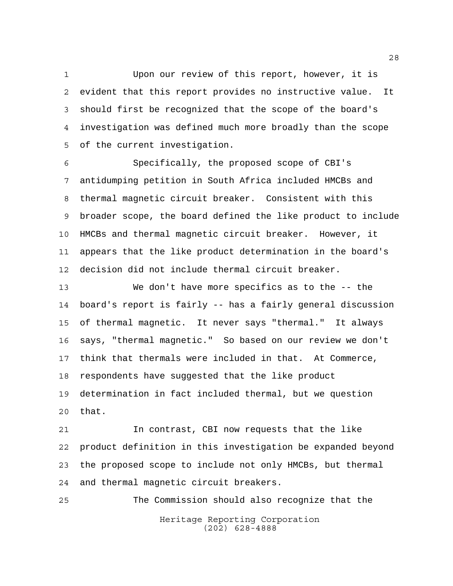Upon our review of this report, however, it is evident that this report provides no instructive value. It should first be recognized that the scope of the board's investigation was defined much more broadly than the scope of the current investigation.

 Specifically, the proposed scope of CBI's antidumping petition in South Africa included HMCBs and thermal magnetic circuit breaker. Consistent with this broader scope, the board defined the like product to include HMCBs and thermal magnetic circuit breaker. However, it appears that the like product determination in the board's decision did not include thermal circuit breaker.

 We don't have more specifics as to the -- the board's report is fairly -- has a fairly general discussion of thermal magnetic. It never says "thermal." It always says, "thermal magnetic." So based on our review we don't think that thermals were included in that. At Commerce, respondents have suggested that the like product determination in fact included thermal, but we question that.

 In contrast, CBI now requests that the like product definition in this investigation be expanded beyond the proposed scope to include not only HMCBs, but thermal and thermal magnetic circuit breakers.

Heritage Reporting Corporation (202) 628-4888 The Commission should also recognize that the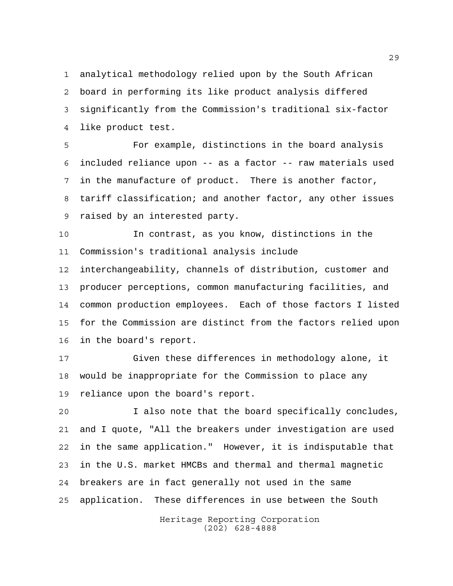analytical methodology relied upon by the South African board in performing its like product analysis differed significantly from the Commission's traditional six-factor like product test.

 For example, distinctions in the board analysis included reliance upon -- as a factor -- raw materials used in the manufacture of product. There is another factor, tariff classification; and another factor, any other issues raised by an interested party.

 In contrast, as you know, distinctions in the Commission's traditional analysis include

 interchangeability, channels of distribution, customer and producer perceptions, common manufacturing facilities, and common production employees. Each of those factors I listed for the Commission are distinct from the factors relied upon in the board's report.

 Given these differences in methodology alone, it would be inappropriate for the Commission to place any reliance upon the board's report.

 I also note that the board specifically concludes, and I quote, "All the breakers under investigation are used in the same application." However, it is indisputable that in the U.S. market HMCBs and thermal and thermal magnetic breakers are in fact generally not used in the same application. These differences in use between the South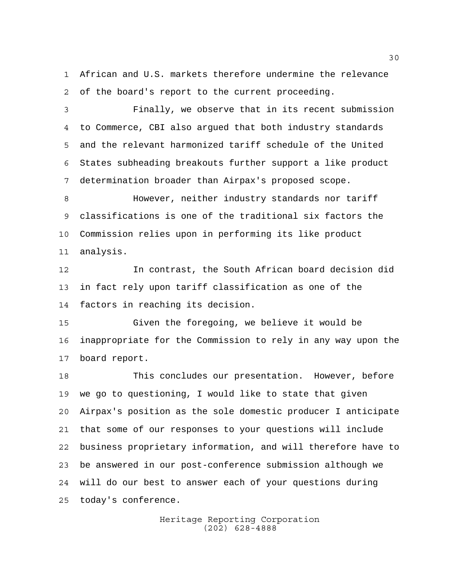African and U.S. markets therefore undermine the relevance of the board's report to the current proceeding.

 Finally, we observe that in its recent submission to Commerce, CBI also argued that both industry standards and the relevant harmonized tariff schedule of the United States subheading breakouts further support a like product determination broader than Airpax's proposed scope.

 However, neither industry standards nor tariff classifications is one of the traditional six factors the Commission relies upon in performing its like product analysis.

 In contrast, the South African board decision did in fact rely upon tariff classification as one of the factors in reaching its decision.

 Given the foregoing, we believe it would be inappropriate for the Commission to rely in any way upon the board report.

 This concludes our presentation. However, before we go to questioning, I would like to state that given Airpax's position as the sole domestic producer I anticipate that some of our responses to your questions will include business proprietary information, and will therefore have to be answered in our post-conference submission although we will do our best to answer each of your questions during today's conference.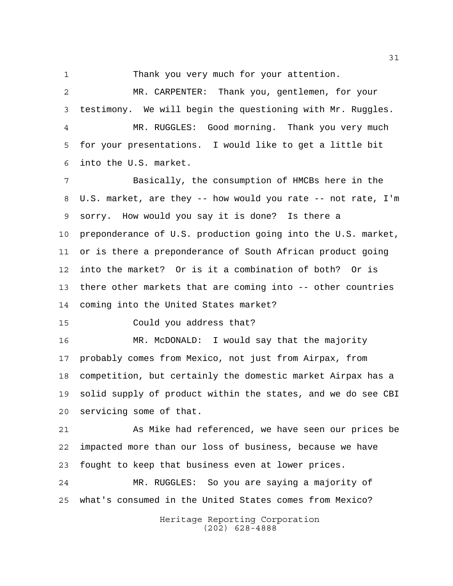Thank you very much for your attention.

 MR. CARPENTER: Thank you, gentlemen, for your testimony. We will begin the questioning with Mr. Ruggles. MR. RUGGLES: Good morning. Thank you very much for your presentations. I would like to get a little bit into the U.S. market.

 Basically, the consumption of HMCBs here in the U.S. market, are they -- how would you rate -- not rate, I'm sorry. How would you say it is done? Is there a preponderance of U.S. production going into the U.S. market, or is there a preponderance of South African product going into the market? Or is it a combination of both? Or is there other markets that are coming into -- other countries coming into the United States market?

Could you address that?

 MR. McDONALD: I would say that the majority probably comes from Mexico, not just from Airpax, from competition, but certainly the domestic market Airpax has a solid supply of product within the states, and we do see CBI servicing some of that.

 As Mike had referenced, we have seen our prices be impacted more than our loss of business, because we have fought to keep that business even at lower prices.

 MR. RUGGLES: So you are saying a majority of what's consumed in the United States comes from Mexico?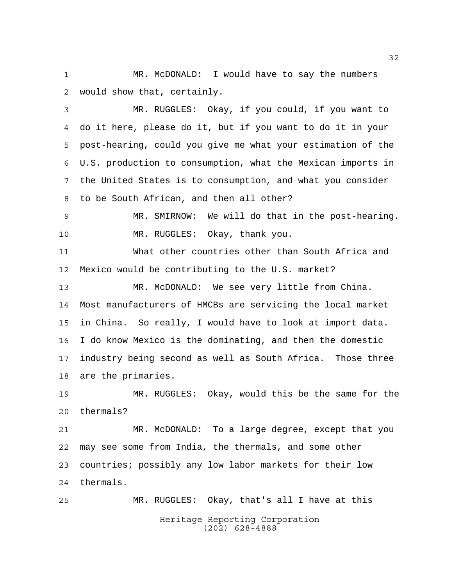MR. McDONALD: I would have to say the numbers would show that, certainly.

 MR. RUGGLES: Okay, if you could, if you want to do it here, please do it, but if you want to do it in your post-hearing, could you give me what your estimation of the U.S. production to consumption, what the Mexican imports in the United States is to consumption, and what you consider to be South African, and then all other?

 MR. SMIRNOW: We will do that in the post-hearing. MR. RUGGLES: Okay, thank you.

 What other countries other than South Africa and Mexico would be contributing to the U.S. market?

 MR. McDONALD: We see very little from China. Most manufacturers of HMCBs are servicing the local market in China. So really, I would have to look at import data. I do know Mexico is the dominating, and then the domestic industry being second as well as South Africa. Those three are the primaries.

 MR. RUGGLES: Okay, would this be the same for the thermals?

 MR. McDONALD: To a large degree, except that you may see some from India, the thermals, and some other countries; possibly any low labor markets for their low thermals.

Heritage Reporting Corporation (202) 628-4888 MR. RUGGLES: Okay, that's all I have at this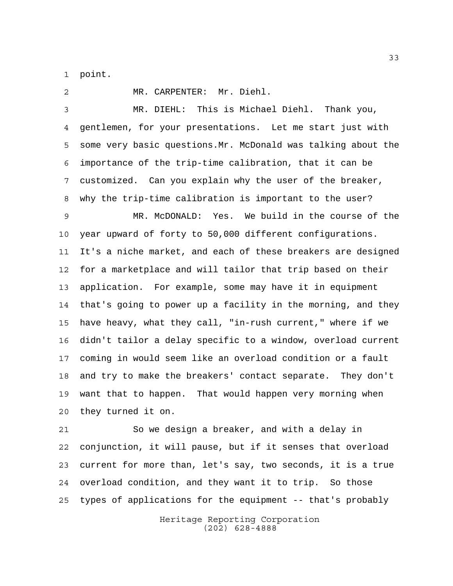point.

 MR. CARPENTER: Mr. Diehl. MR. DIEHL: This is Michael Diehl. Thank you, gentlemen, for your presentations. Let me start just with some very basic questions.Mr. McDonald was talking about the importance of the trip-time calibration, that it can be customized. Can you explain why the user of the breaker, why the trip-time calibration is important to the user? MR. McDONALD: Yes. We build in the course of the year upward of forty to 50,000 different configurations. It's a niche market, and each of these breakers are designed for a marketplace and will tailor that trip based on their application. For example, some may have it in equipment that's going to power up a facility in the morning, and they have heavy, what they call, "in-rush current," where if we didn't tailor a delay specific to a window, overload current coming in would seem like an overload condition or a fault and try to make the breakers' contact separate. They don't want that to happen. That would happen very morning when they turned it on.

 So we design a breaker, and with a delay in conjunction, it will pause, but if it senses that overload current for more than, let's say, two seconds, it is a true overload condition, and they want it to trip. So those types of applications for the equipment -- that's probably

> Heritage Reporting Corporation (202) 628-4888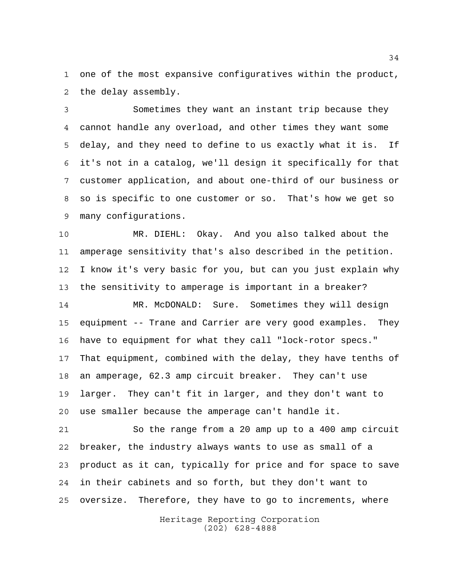one of the most expansive configuratives within the product, the delay assembly.

 Sometimes they want an instant trip because they cannot handle any overload, and other times they want some delay, and they need to define to us exactly what it is. If it's not in a catalog, we'll design it specifically for that customer application, and about one-third of our business or so is specific to one customer or so. That's how we get so many configurations.

 MR. DIEHL: Okay. And you also talked about the amperage sensitivity that's also described in the petition. I know it's very basic for you, but can you just explain why the sensitivity to amperage is important in a breaker?

 MR. McDONALD: Sure. Sometimes they will design equipment -- Trane and Carrier are very good examples. They have to equipment for what they call "lock-rotor specs." That equipment, combined with the delay, they have tenths of an amperage, 62.3 amp circuit breaker. They can't use larger. They can't fit in larger, and they don't want to use smaller because the amperage can't handle it.

 So the range from a 20 amp up to a 400 amp circuit breaker, the industry always wants to use as small of a product as it can, typically for price and for space to save in their cabinets and so forth, but they don't want to oversize. Therefore, they have to go to increments, where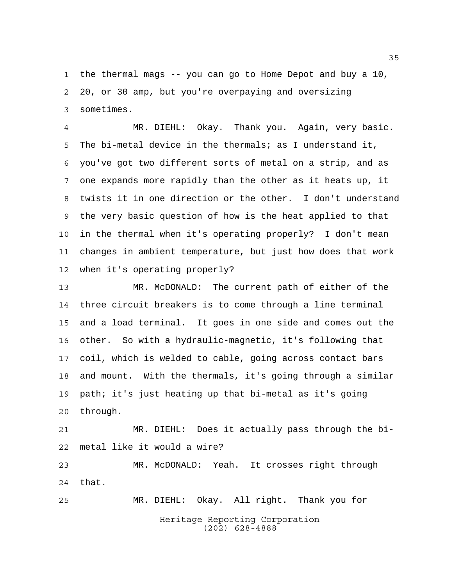the thermal mags -- you can go to Home Depot and buy a 10, 20, or 30 amp, but you're overpaying and oversizing sometimes.

 MR. DIEHL: Okay. Thank you. Again, very basic. The bi-metal device in the thermals; as I understand it, you've got two different sorts of metal on a strip, and as one expands more rapidly than the other as it heats up, it twists it in one direction or the other. I don't understand the very basic question of how is the heat applied to that in the thermal when it's operating properly? I don't mean changes in ambient temperature, but just how does that work when it's operating properly?

 MR. McDONALD: The current path of either of the three circuit breakers is to come through a line terminal and a load terminal. It goes in one side and comes out the other. So with a hydraulic-magnetic, it's following that coil, which is welded to cable, going across contact bars and mount. With the thermals, it's going through a similar path; it's just heating up that bi-metal as it's going through.

 MR. DIEHL: Does it actually pass through the bi-metal like it would a wire?

 MR. McDONALD: Yeah. It crosses right through that.

Heritage Reporting Corporation (202) 628-4888 MR. DIEHL: Okay. All right. Thank you for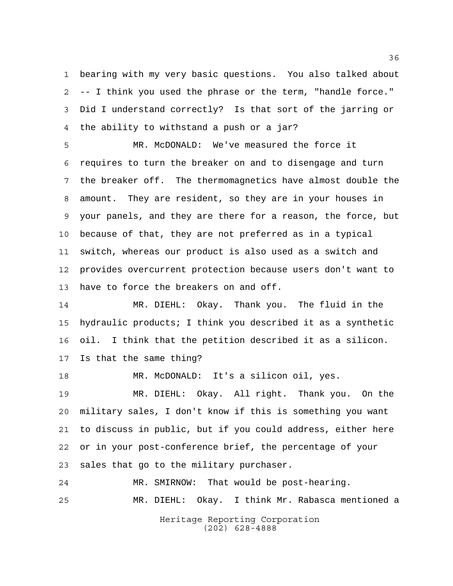bearing with my very basic questions. You also talked about -- I think you used the phrase or the term, "handle force." Did I understand correctly? Is that sort of the jarring or the ability to withstand a push or a jar?

 MR. McDONALD: We've measured the force it requires to turn the breaker on and to disengage and turn the breaker off. The thermomagnetics have almost double the amount. They are resident, so they are in your houses in your panels, and they are there for a reason, the force, but because of that, they are not preferred as in a typical switch, whereas our product is also used as a switch and provides overcurrent protection because users don't want to have to force the breakers on and off.

 MR. DIEHL: Okay. Thank you. The fluid in the hydraulic products; I think you described it as a synthetic oil. I think that the petition described it as a silicon. Is that the same thing?

MR. McDONALD: It's a silicon oil, yes.

 MR. DIEHL: Okay. All right. Thank you. On the military sales, I don't know if this is something you want to discuss in public, but if you could address, either here or in your post-conference brief, the percentage of your sales that go to the military purchaser.

Heritage Reporting Corporation MR. SMIRNOW: That would be post-hearing. MR. DIEHL: Okay. I think Mr. Rabasca mentioned a

(202) 628-4888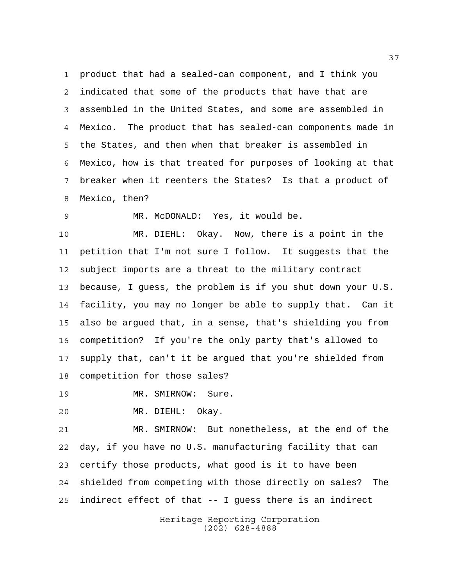product that had a sealed-can component, and I think you indicated that some of the products that have that are assembled in the United States, and some are assembled in Mexico. The product that has sealed-can components made in the States, and then when that breaker is assembled in Mexico, how is that treated for purposes of looking at that breaker when it reenters the States? Is that a product of Mexico, then?

MR. McDONALD: Yes, it would be.

 MR. DIEHL: Okay. Now, there is a point in the petition that I'm not sure I follow. It suggests that the subject imports are a threat to the military contract because, I guess, the problem is if you shut down your U.S. facility, you may no longer be able to supply that. Can it also be argued that, in a sense, that's shielding you from competition? If you're the only party that's allowed to supply that, can't it be argued that you're shielded from competition for those sales?

19 MR. SMIRNOW: Sure.

MR. DIEHL: Okay.

 MR. SMIRNOW: But nonetheless, at the end of the day, if you have no U.S. manufacturing facility that can certify those products, what good is it to have been shielded from competing with those directly on sales? The indirect effect of that -- I guess there is an indirect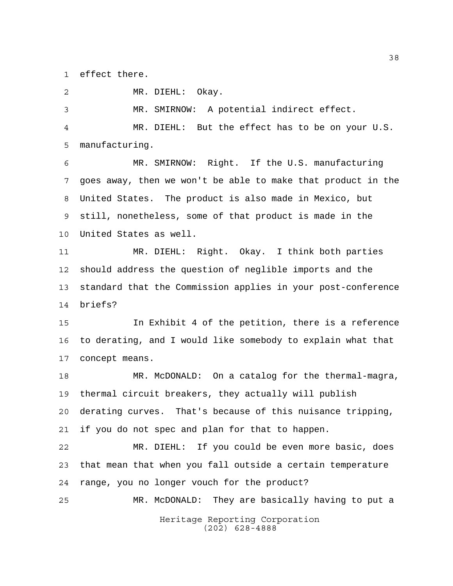effect there.

MR. DIEHL: Okay.

 MR. SMIRNOW: A potential indirect effect. MR. DIEHL: But the effect has to be on your U.S. manufacturing.

 MR. SMIRNOW: Right. If the U.S. manufacturing goes away, then we won't be able to make that product in the United States. The product is also made in Mexico, but still, nonetheless, some of that product is made in the United States as well.

 MR. DIEHL: Right. Okay. I think both parties should address the question of neglible imports and the standard that the Commission applies in your post-conference briefs?

 In Exhibit 4 of the petition, there is a reference to derating, and I would like somebody to explain what that concept means.

 MR. McDONALD: On a catalog for the thermal-magra, thermal circuit breakers, they actually will publish derating curves. That's because of this nuisance tripping, if you do not spec and plan for that to happen.

 MR. DIEHL: If you could be even more basic, does that mean that when you fall outside a certain temperature range, you no longer vouch for the product?

Heritage Reporting Corporation MR. McDONALD: They are basically having to put a

(202) 628-4888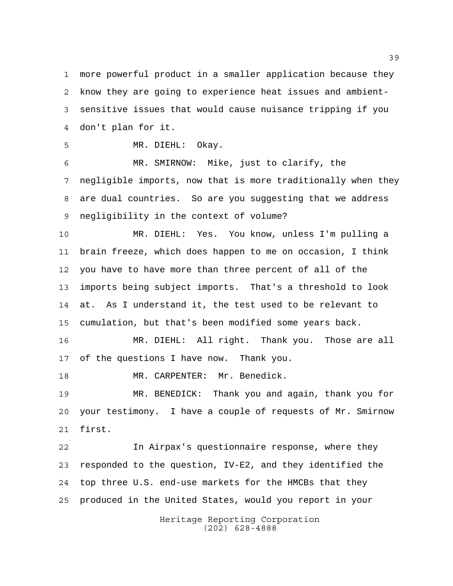more powerful product in a smaller application because they know they are going to experience heat issues and ambient- sensitive issues that would cause nuisance tripping if you don't plan for it.

MR. DIEHL: Okay.

 MR. SMIRNOW: Mike, just to clarify, the negligible imports, now that is more traditionally when they are dual countries. So are you suggesting that we address negligibility in the context of volume?

 MR. DIEHL: Yes. You know, unless I'm pulling a brain freeze, which does happen to me on occasion, I think you have to have more than three percent of all of the imports being subject imports. That's a threshold to look at. As I understand it, the test used to be relevant to cumulation, but that's been modified some years back.

 MR. DIEHL: All right. Thank you. Those are all of the questions I have now. Thank you.

18 MR. CARPENTER: Mr. Benedick.

 MR. BENEDICK: Thank you and again, thank you for your testimony. I have a couple of requests of Mr. Smirnow first.

 In Airpax's questionnaire response, where they responded to the question, IV-E2, and they identified the top three U.S. end-use markets for the HMCBs that they produced in the United States, would you report in your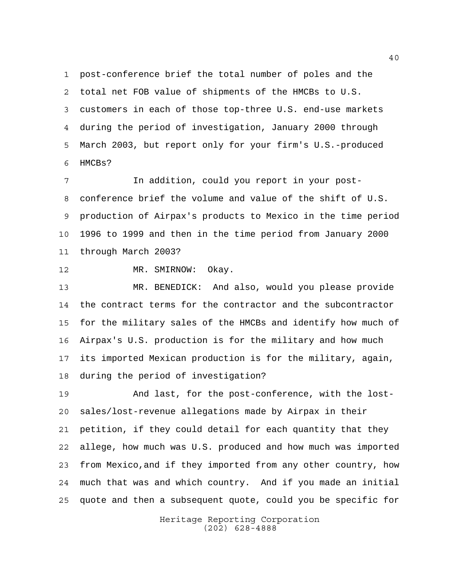post-conference brief the total number of poles and the total net FOB value of shipments of the HMCBs to U.S. customers in each of those top-three U.S. end-use markets during the period of investigation, January 2000 through March 2003, but report only for your firm's U.S.-produced HMCBs?

 In addition, could you report in your post- conference brief the volume and value of the shift of U.S. production of Airpax's products to Mexico in the time period 1996 to 1999 and then in the time period from January 2000 through March 2003?

MR. SMIRNOW: Okay.

 MR. BENEDICK: And also, would you please provide the contract terms for the contractor and the subcontractor for the military sales of the HMCBs and identify how much of Airpax's U.S. production is for the military and how much its imported Mexican production is for the military, again, during the period of investigation?

 And last, for the post-conference, with the lost- sales/lost-revenue allegations made by Airpax in their petition, if they could detail for each quantity that they allege, how much was U.S. produced and how much was imported from Mexico,and if they imported from any other country, how much that was and which country. And if you made an initial quote and then a subsequent quote, could you be specific for

> Heritage Reporting Corporation (202) 628-4888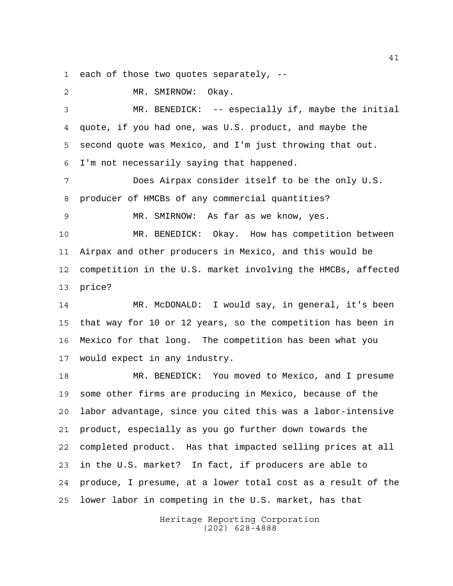each of those two quotes separately, --

 MR. SMIRNOW: Okay. MR. BENEDICK: -- especially if, maybe the initial quote, if you had one, was U.S. product, and maybe the second quote was Mexico, and I'm just throwing that out. I'm not necessarily saying that happened. Does Airpax consider itself to be the only U.S. producer of HMCBs of any commercial quantities? MR. SMIRNOW: As far as we know, yes. MR. BENEDICK: Okay. How has competition between Airpax and other producers in Mexico, and this would be competition in the U.S. market involving the HMCBs, affected price? MR. McDONALD: I would say, in general, it's been that way for 10 or 12 years, so the competition has been in Mexico for that long. The competition has been what you would expect in any industry. MR. BENEDICK: You moved to Mexico, and I presume some other firms are producing in Mexico, because of the labor advantage, since you cited this was a labor-intensive product, especially as you go further down towards the completed product. Has that impacted selling prices at all in the U.S. market? In fact, if producers are able to produce, I presume, at a lower total cost as a result of the lower labor in competing in the U.S. market, has that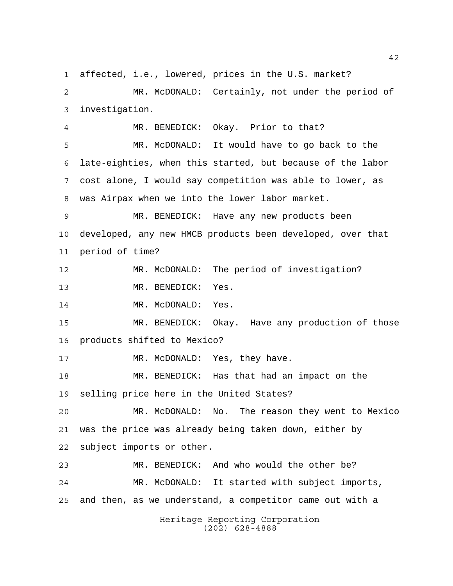Heritage Reporting Corporation (202) 628-4888 affected, i.e., lowered, prices in the U.S. market? MR. McDONALD: Certainly, not under the period of investigation. MR. BENEDICK: Okay. Prior to that? MR. McDONALD: It would have to go back to the late-eighties, when this started, but because of the labor cost alone, I would say competition was able to lower, as was Airpax when we into the lower labor market. MR. BENEDICK: Have any new products been developed, any new HMCB products been developed, over that period of time? MR. McDONALD: The period of investigation? MR. BENEDICK: Yes. 14 MR. McDONALD: Yes. MR. BENEDICK: Okay. Have any production of those products shifted to Mexico? 17 MR. McDONALD: Yes, they have. MR. BENEDICK: Has that had an impact on the selling price here in the United States? MR. McDONALD: No. The reason they went to Mexico was the price was already being taken down, either by subject imports or other. MR. BENEDICK: And who would the other be? MR. McDONALD: It started with subject imports, and then, as we understand, a competitor came out with a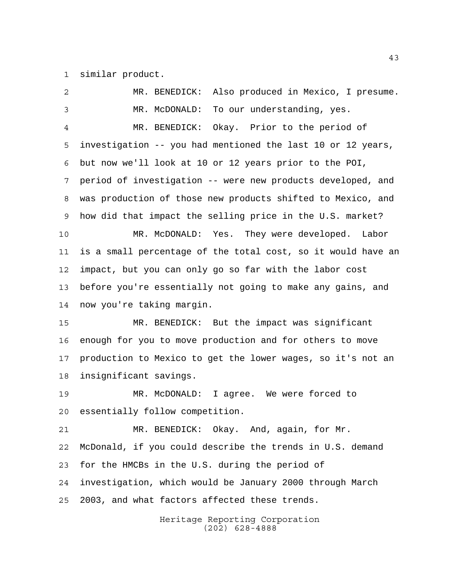similar product.

 MR. BENEDICK: Also produced in Mexico, I presume. MR. McDONALD: To our understanding, yes. MR. BENEDICK: Okay. Prior to the period of investigation -- you had mentioned the last 10 or 12 years, but now we'll look at 10 or 12 years prior to the POI, period of investigation -- were new products developed, and was production of those new products shifted to Mexico, and how did that impact the selling price in the U.S. market? MR. McDONALD: Yes. They were developed. Labor is a small percentage of the total cost, so it would have an impact, but you can only go so far with the labor cost before you're essentially not going to make any gains, and now you're taking margin. MR. BENEDICK: But the impact was significant enough for you to move production and for others to move production to Mexico to get the lower wages, so it's not an insignificant savings. MR. McDONALD: I agree. We were forced to essentially follow competition. MR. BENEDICK: Okay. And, again, for Mr. McDonald, if you could describe the trends in U.S. demand for the HMCBs in the U.S. during the period of investigation, which would be January 2000 through March 2003, and what factors affected these trends.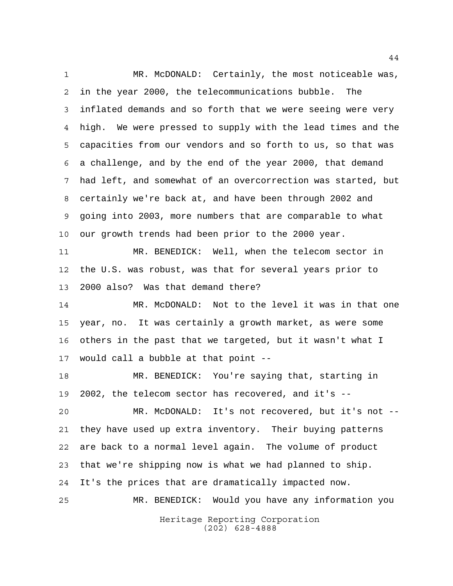Heritage Reporting Corporation (202) 628-4888 MR. McDONALD: Certainly, the most noticeable was, in the year 2000, the telecommunications bubble. The inflated demands and so forth that we were seeing were very high. We were pressed to supply with the lead times and the capacities from our vendors and so forth to us, so that was a challenge, and by the end of the year 2000, that demand had left, and somewhat of an overcorrection was started, but certainly we're back at, and have been through 2002 and going into 2003, more numbers that are comparable to what our growth trends had been prior to the 2000 year. MR. BENEDICK: Well, when the telecom sector in the U.S. was robust, was that for several years prior to 2000 also? Was that demand there? MR. McDONALD: Not to the level it was in that one year, no. It was certainly a growth market, as were some others in the past that we targeted, but it wasn't what I would call a bubble at that point -- MR. BENEDICK: You're saying that, starting in 2002, the telecom sector has recovered, and it's -- MR. McDONALD: It's not recovered, but it's not -- they have used up extra inventory. Their buying patterns are back to a normal level again. The volume of product that we're shipping now is what we had planned to ship. It's the prices that are dramatically impacted now. MR. BENEDICK: Would you have any information you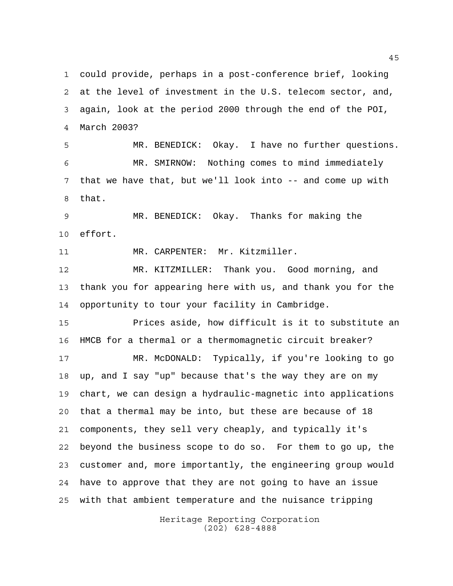could provide, perhaps in a post-conference brief, looking at the level of investment in the U.S. telecom sector, and, again, look at the period 2000 through the end of the POI, March 2003?

 MR. BENEDICK: Okay. I have no further questions. MR. SMIRNOW: Nothing comes to mind immediately that we have that, but we'll look into -- and come up with that.

 MR. BENEDICK: Okay. Thanks for making the effort.

MR. CARPENTER: Mr. Kitzmiller.

 MR. KITZMILLER: Thank you. Good morning, and thank you for appearing here with us, and thank you for the opportunity to tour your facility in Cambridge.

 Prices aside, how difficult is it to substitute an HMCB for a thermal or a thermomagnetic circuit breaker?

 MR. McDONALD: Typically, if you're looking to go up, and I say "up" because that's the way they are on my chart, we can design a hydraulic-magnetic into applications that a thermal may be into, but these are because of 18 components, they sell very cheaply, and typically it's beyond the business scope to do so. For them to go up, the customer and, more importantly, the engineering group would have to approve that they are not going to have an issue with that ambient temperature and the nuisance tripping

> Heritage Reporting Corporation (202) 628-4888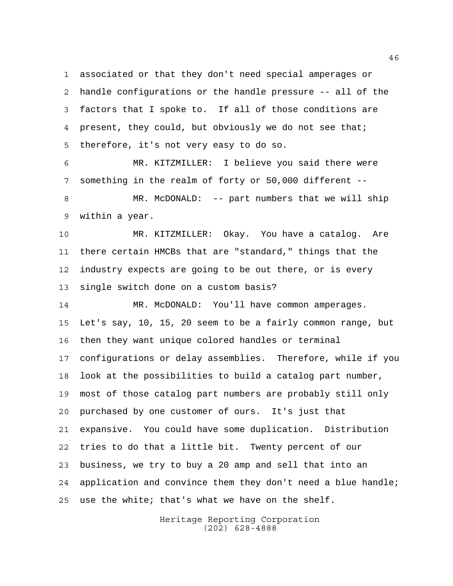associated or that they don't need special amperages or handle configurations or the handle pressure -- all of the factors that I spoke to. If all of those conditions are 4 present, they could, but obviously we do not see that; therefore, it's not very easy to do so.

 MR. KITZMILLER: I believe you said there were something in the realm of forty or 50,000 different --

 MR. McDONALD: -- part numbers that we will ship within a year.

 MR. KITZMILLER: Okay. You have a catalog. Are there certain HMCBs that are "standard," things that the industry expects are going to be out there, or is every single switch done on a custom basis?

14 MR. McDONALD: You'll have common amperages. Let's say, 10, 15, 20 seem to be a fairly common range, but then they want unique colored handles or terminal configurations or delay assemblies. Therefore, while if you look at the possibilities to build a catalog part number, most of those catalog part numbers are probably still only purchased by one customer of ours. It's just that expansive. You could have some duplication. Distribution tries to do that a little bit. Twenty percent of our business, we try to buy a 20 amp and sell that into an application and convince them they don't need a blue handle; use the white; that's what we have on the shelf.

> Heritage Reporting Corporation (202) 628-4888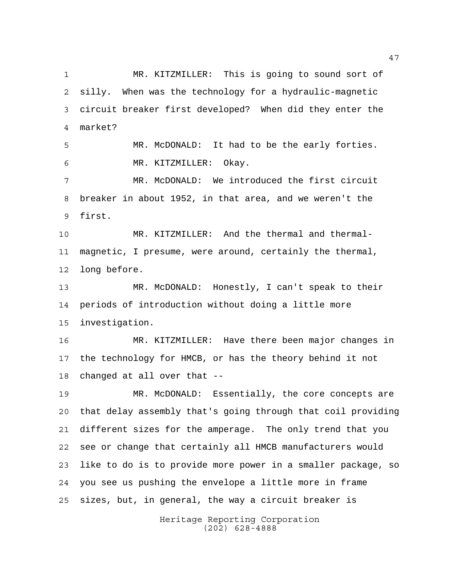MR. KITZMILLER: This is going to sound sort of silly. When was the technology for a hydraulic-magnetic circuit breaker first developed? When did they enter the market?

 MR. McDONALD: It had to be the early forties. MR. KITZMILLER: Okay.

 MR. McDONALD: We introduced the first circuit breaker in about 1952, in that area, and we weren't the first.

 MR. KITZMILLER: And the thermal and thermal- magnetic, I presume, were around, certainly the thermal, long before.

 MR. McDONALD: Honestly, I can't speak to their periods of introduction without doing a little more investigation.

 MR. KITZMILLER: Have there been major changes in the technology for HMCB, or has the theory behind it not changed at all over that --

 MR. McDONALD: Essentially, the core concepts are that delay assembly that's going through that coil providing different sizes for the amperage. The only trend that you see or change that certainly all HMCB manufacturers would like to do is to provide more power in a smaller package, so you see us pushing the envelope a little more in frame sizes, but, in general, the way a circuit breaker is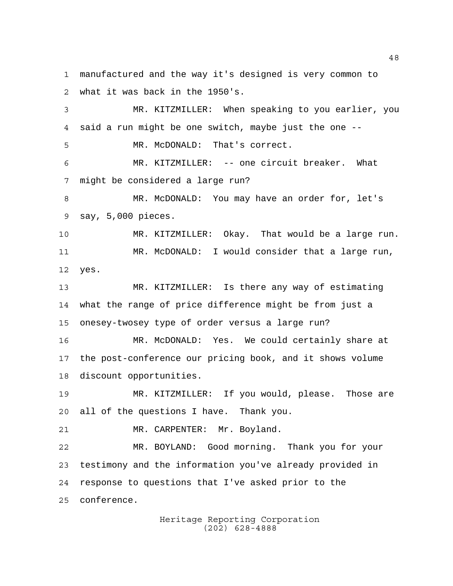manufactured and the way it's designed is very common to what it was back in the 1950's.

 MR. KITZMILLER: When speaking to you earlier, you said a run might be one switch, maybe just the one -- MR. McDONALD: That's correct. MR. KITZMILLER: -- one circuit breaker. What might be considered a large run? MR. McDONALD: You may have an order for, let's say, 5,000 pieces. MR. KITZMILLER: Okay. That would be a large run. MR. McDONALD: I would consider that a large run, yes. MR. KITZMILLER: Is there any way of estimating what the range of price difference might be from just a onesey-twosey type of order versus a large run? MR. McDONALD: Yes. We could certainly share at the post-conference our pricing book, and it shows volume discount opportunities. MR. KITZMILLER: If you would, please. Those are all of the questions I have. Thank you. 21 MR. CARPENTER: Mr. Boyland. MR. BOYLAND: Good morning. Thank you for your

 testimony and the information you've already provided in response to questions that I've asked prior to the conference.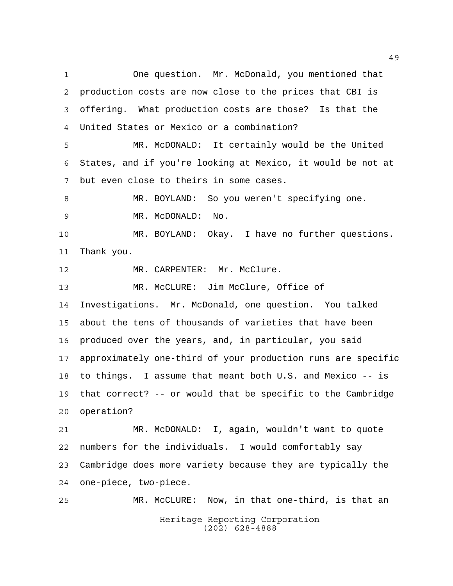One question. Mr. McDonald, you mentioned that production costs are now close to the prices that CBI is offering. What production costs are those? Is that the United States or Mexico or a combination?

 MR. McDONALD: It certainly would be the United States, and if you're looking at Mexico, it would be not at but even close to theirs in some cases.

 MR. BOYLAND: So you weren't specifying one. MR. McDONALD: No.

 MR. BOYLAND: Okay. I have no further questions. Thank you.

12 MR. CARPENTER: Mr. McClure.

 MR. McCLURE: Jim McClure, Office of Investigations. Mr. McDonald, one question. You talked about the tens of thousands of varieties that have been produced over the years, and, in particular, you said approximately one-third of your production runs are specific to things. I assume that meant both U.S. and Mexico -- is that correct? -- or would that be specific to the Cambridge operation?

 MR. McDONALD: I, again, wouldn't want to quote numbers for the individuals. I would comfortably say Cambridge does more variety because they are typically the one-piece, two-piece.

Heritage Reporting Corporation (202) 628-4888 MR. McCLURE: Now, in that one-third, is that an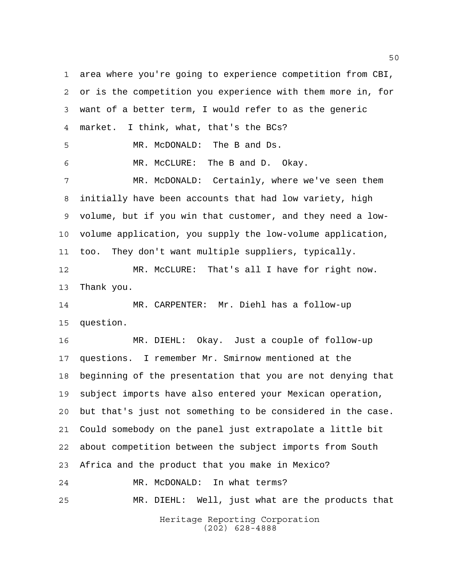Heritage Reporting Corporation (202) 628-4888 area where you're going to experience competition from CBI, or is the competition you experience with them more in, for want of a better term, I would refer to as the generic market. I think, what, that's the BCs? MR. McDONALD: The B and Ds. MR. McCLURE: The B and D. Okay. MR. McDONALD: Certainly, where we've seen them initially have been accounts that had low variety, high volume, but if you win that customer, and they need a low- volume application, you supply the low-volume application, too. They don't want multiple suppliers, typically. MR. McCLURE: That's all I have for right now. Thank you. MR. CARPENTER: Mr. Diehl has a follow-up question. MR. DIEHL: Okay. Just a couple of follow-up questions. I remember Mr. Smirnow mentioned at the beginning of the presentation that you are not denying that subject imports have also entered your Mexican operation, but that's just not something to be considered in the case. Could somebody on the panel just extrapolate a little bit about competition between the subject imports from South Africa and the product that you make in Mexico? MR. McDONALD: In what terms? MR. DIEHL: Well, just what are the products that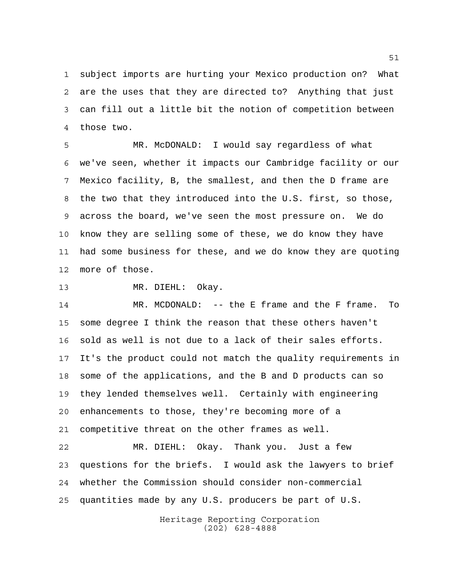subject imports are hurting your Mexico production on? What are the uses that they are directed to? Anything that just can fill out a little bit the notion of competition between those two.

 MR. McDONALD: I would say regardless of what we've seen, whether it impacts our Cambridge facility or our Mexico facility, B, the smallest, and then the D frame are the two that they introduced into the U.S. first, so those, across the board, we've seen the most pressure on. We do know they are selling some of these, we do know they have had some business for these, and we do know they are quoting more of those.

13 MR. DIEHL: Okay.

 MR. MCDONALD: -- the E frame and the F frame. To some degree I think the reason that these others haven't sold as well is not due to a lack of their sales efforts. It's the product could not match the quality requirements in some of the applications, and the B and D products can so they lended themselves well. Certainly with engineering enhancements to those, they're becoming more of a competitive threat on the other frames as well.

 MR. DIEHL: Okay. Thank you. Just a few questions for the briefs. I would ask the lawyers to brief whether the Commission should consider non-commercial quantities made by any U.S. producers be part of U.S.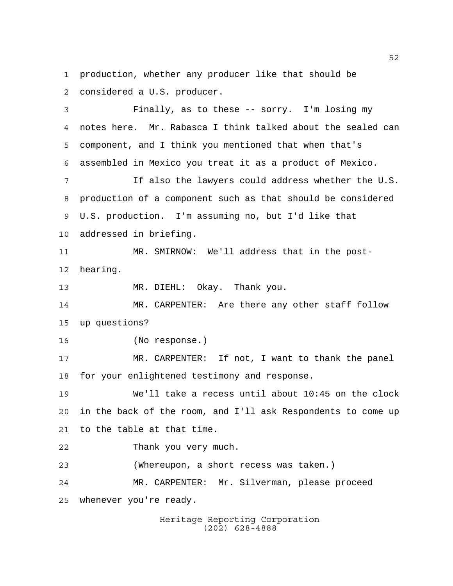production, whether any producer like that should be considered a U.S. producer.

 Finally, as to these -- sorry. I'm losing my notes here. Mr. Rabasca I think talked about the sealed can component, and I think you mentioned that when that's assembled in Mexico you treat it as a product of Mexico. If also the lawyers could address whether the U.S. production of a component such as that should be considered U.S. production. I'm assuming no, but I'd like that addressed in briefing. MR. SMIRNOW: We'll address that in the post- hearing. MR. DIEHL: Okay. Thank you. MR. CARPENTER: Are there any other staff follow up questions? (No response.) MR. CARPENTER: If not, I want to thank the panel for your enlightened testimony and response. We'll take a recess until about 10:45 on the clock in the back of the room, and I'll ask Respondents to come up to the table at that time. Thank you very much. (Whereupon, a short recess was taken.) MR. CARPENTER: Mr. Silverman, please proceed

whenever you're ready.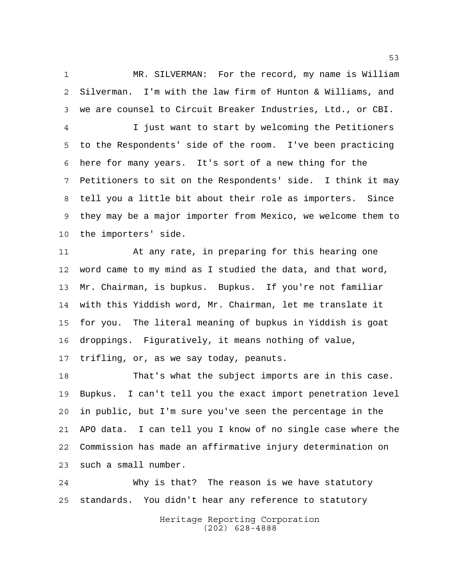MR. SILVERMAN: For the record, my name is William Silverman. I'm with the law firm of Hunton & Williams, and we are counsel to Circuit Breaker Industries, Ltd., or CBI.

 I just want to start by welcoming the Petitioners to the Respondents' side of the room. I've been practicing here for many years. It's sort of a new thing for the Petitioners to sit on the Respondents' side. I think it may tell you a little bit about their role as importers. Since they may be a major importer from Mexico, we welcome them to the importers' side.

 At any rate, in preparing for this hearing one word came to my mind as I studied the data, and that word, Mr. Chairman, is bupkus. Bupkus. If you're not familiar with this Yiddish word, Mr. Chairman, let me translate it for you. The literal meaning of bupkus in Yiddish is goat droppings. Figuratively, it means nothing of value,

trifling, or, as we say today, peanuts.

 That's what the subject imports are in this case. Bupkus. I can't tell you the exact import penetration level in public, but I'm sure you've seen the percentage in the APO data. I can tell you I know of no single case where the Commission has made an affirmative injury determination on such a small number.

 Why is that? The reason is we have statutory standards. You didn't hear any reference to statutory

> Heritage Reporting Corporation (202) 628-4888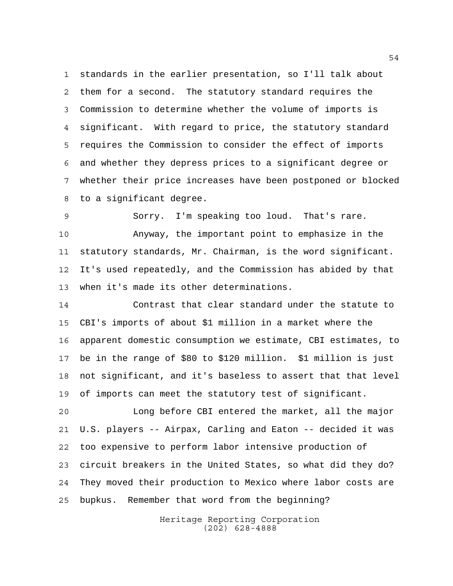standards in the earlier presentation, so I'll talk about them for a second. The statutory standard requires the Commission to determine whether the volume of imports is significant. With regard to price, the statutory standard requires the Commission to consider the effect of imports and whether they depress prices to a significant degree or whether their price increases have been postponed or blocked to a significant degree.

 Sorry. I'm speaking too loud. That's rare. Anyway, the important point to emphasize in the statutory standards, Mr. Chairman, is the word significant. It's used repeatedly, and the Commission has abided by that when it's made its other determinations.

 Contrast that clear standard under the statute to CBI's imports of about \$1 million in a market where the apparent domestic consumption we estimate, CBI estimates, to be in the range of \$80 to \$120 million. \$1 million is just not significant, and it's baseless to assert that that level of imports can meet the statutory test of significant.

 Long before CBI entered the market, all the major U.S. players -- Airpax, Carling and Eaton -- decided it was too expensive to perform labor intensive production of circuit breakers in the United States, so what did they do? They moved their production to Mexico where labor costs are bupkus. Remember that word from the beginning?

> Heritage Reporting Corporation (202) 628-4888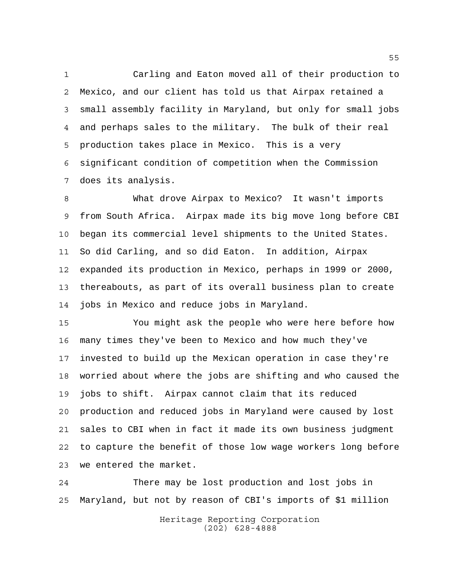Carling and Eaton moved all of their production to Mexico, and our client has told us that Airpax retained a small assembly facility in Maryland, but only for small jobs and perhaps sales to the military. The bulk of their real production takes place in Mexico. This is a very significant condition of competition when the Commission does its analysis.

 What drove Airpax to Mexico? It wasn't imports from South Africa. Airpax made its big move long before CBI began its commercial level shipments to the United States. So did Carling, and so did Eaton. In addition, Airpax expanded its production in Mexico, perhaps in 1999 or 2000, thereabouts, as part of its overall business plan to create jobs in Mexico and reduce jobs in Maryland.

 You might ask the people who were here before how many times they've been to Mexico and how much they've invested to build up the Mexican operation in case they're worried about where the jobs are shifting and who caused the jobs to shift. Airpax cannot claim that its reduced production and reduced jobs in Maryland were caused by lost sales to CBI when in fact it made its own business judgment to capture the benefit of those low wage workers long before we entered the market.

 There may be lost production and lost jobs in Maryland, but not by reason of CBI's imports of \$1 million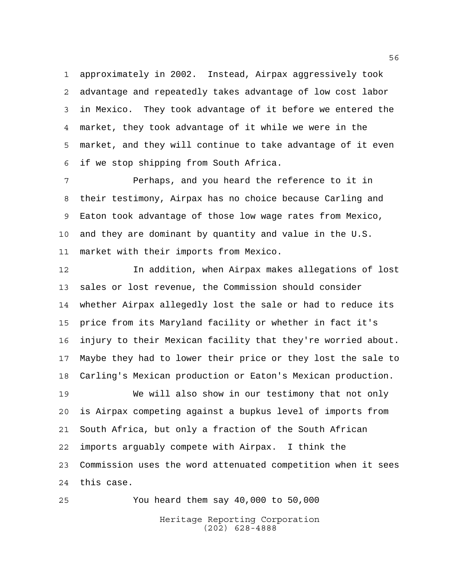approximately in 2002. Instead, Airpax aggressively took advantage and repeatedly takes advantage of low cost labor in Mexico. They took advantage of it before we entered the market, they took advantage of it while we were in the market, and they will continue to take advantage of it even if we stop shipping from South Africa.

 Perhaps, and you heard the reference to it in their testimony, Airpax has no choice because Carling and Eaton took advantage of those low wage rates from Mexico, and they are dominant by quantity and value in the U.S. market with their imports from Mexico.

 In addition, when Airpax makes allegations of lost sales or lost revenue, the Commission should consider whether Airpax allegedly lost the sale or had to reduce its price from its Maryland facility or whether in fact it's injury to their Mexican facility that they're worried about. Maybe they had to lower their price or they lost the sale to Carling's Mexican production or Eaton's Mexican production.

 We will also show in our testimony that not only is Airpax competing against a bupkus level of imports from South Africa, but only a fraction of the South African imports arguably compete with Airpax. I think the Commission uses the word attenuated competition when it sees this case.

Heritage Reporting Corporation (202) 628-4888 You heard them say 40,000 to 50,000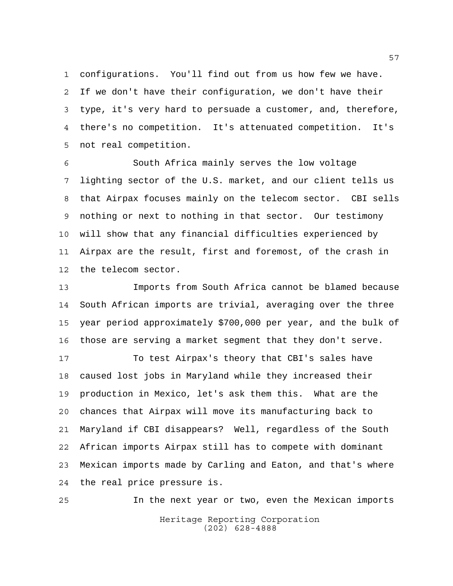configurations. You'll find out from us how few we have. If we don't have their configuration, we don't have their type, it's very hard to persuade a customer, and, therefore, there's no competition. It's attenuated competition. It's not real competition.

 South Africa mainly serves the low voltage lighting sector of the U.S. market, and our client tells us that Airpax focuses mainly on the telecom sector. CBI sells nothing or next to nothing in that sector. Our testimony will show that any financial difficulties experienced by Airpax are the result, first and foremost, of the crash in the telecom sector.

 Imports from South Africa cannot be blamed because South African imports are trivial, averaging over the three year period approximately \$700,000 per year, and the bulk of those are serving a market segment that they don't serve.

 To test Airpax's theory that CBI's sales have caused lost jobs in Maryland while they increased their production in Mexico, let's ask them this. What are the chances that Airpax will move its manufacturing back to Maryland if CBI disappears? Well, regardless of the South African imports Airpax still has to compete with dominant Mexican imports made by Carling and Eaton, and that's where the real price pressure is.

Heritage Reporting Corporation (202) 628-4888 In the next year or two, even the Mexican imports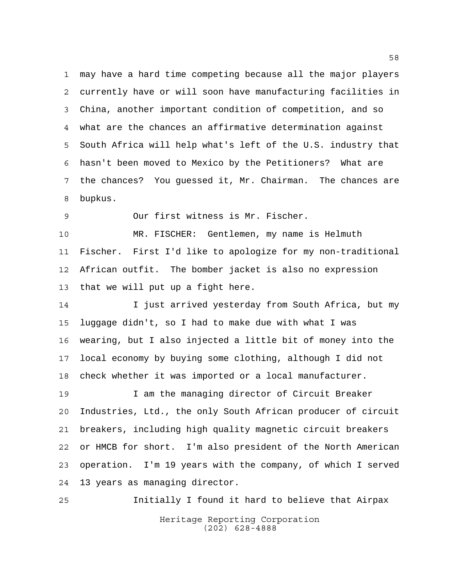may have a hard time competing because all the major players currently have or will soon have manufacturing facilities in China, another important condition of competition, and so what are the chances an affirmative determination against South Africa will help what's left of the U.S. industry that hasn't been moved to Mexico by the Petitioners? What are the chances? You guessed it, Mr. Chairman. The chances are bupkus.

Our first witness is Mr. Fischer.

 MR. FISCHER: Gentlemen, my name is Helmuth Fischer. First I'd like to apologize for my non-traditional African outfit. The bomber jacket is also no expression that we will put up a fight here.

14 I just arrived yesterday from South Africa, but my luggage didn't, so I had to make due with what I was wearing, but I also injected a little bit of money into the local economy by buying some clothing, although I did not check whether it was imported or a local manufacturer.

 I am the managing director of Circuit Breaker Industries, Ltd., the only South African producer of circuit breakers, including high quality magnetic circuit breakers or HMCB for short. I'm also president of the North American operation. I'm 19 years with the company, of which I served 13 years as managing director.

Heritage Reporting Corporation (202) 628-4888 Initially I found it hard to believe that Airpax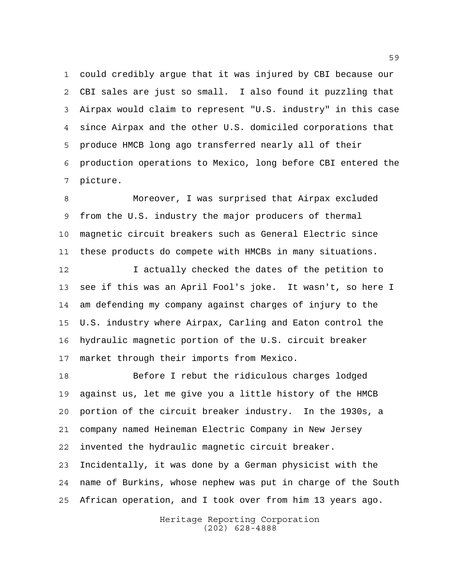could credibly argue that it was injured by CBI because our CBI sales are just so small. I also found it puzzling that Airpax would claim to represent "U.S. industry" in this case since Airpax and the other U.S. domiciled corporations that produce HMCB long ago transferred nearly all of their production operations to Mexico, long before CBI entered the picture.

 Moreover, I was surprised that Airpax excluded from the U.S. industry the major producers of thermal magnetic circuit breakers such as General Electric since these products do compete with HMCBs in many situations.

 I actually checked the dates of the petition to see if this was an April Fool's joke. It wasn't, so here I am defending my company against charges of injury to the U.S. industry where Airpax, Carling and Eaton control the hydraulic magnetic portion of the U.S. circuit breaker market through their imports from Mexico.

 Before I rebut the ridiculous charges lodged against us, let me give you a little history of the HMCB portion of the circuit breaker industry. In the 1930s, a company named Heineman Electric Company in New Jersey invented the hydraulic magnetic circuit breaker. Incidentally, it was done by a German physicist with the name of Burkins, whose nephew was put in charge of the South African operation, and I took over from him 13 years ago.

> Heritage Reporting Corporation (202) 628-4888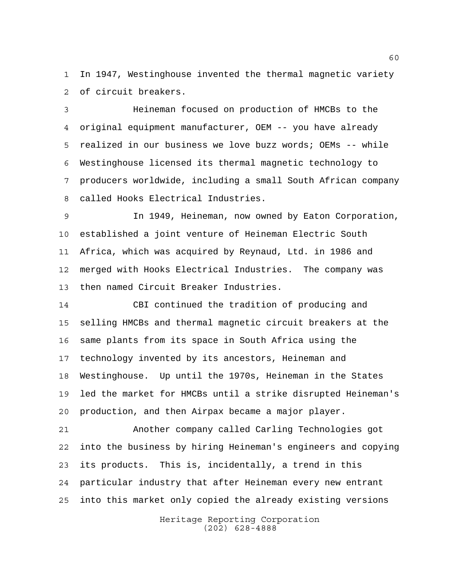In 1947, Westinghouse invented the thermal magnetic variety of circuit breakers.

 Heineman focused on production of HMCBs to the original equipment manufacturer, OEM -- you have already realized in our business we love buzz words; OEMs -- while Westinghouse licensed its thermal magnetic technology to producers worldwide, including a small South African company called Hooks Electrical Industries.

 In 1949, Heineman, now owned by Eaton Corporation, established a joint venture of Heineman Electric South Africa, which was acquired by Reynaud, Ltd. in 1986 and merged with Hooks Electrical Industries. The company was then named Circuit Breaker Industries.

 CBI continued the tradition of producing and selling HMCBs and thermal magnetic circuit breakers at the same plants from its space in South Africa using the technology invented by its ancestors, Heineman and Westinghouse. Up until the 1970s, Heineman in the States led the market for HMCBs until a strike disrupted Heineman's production, and then Airpax became a major player.

 Another company called Carling Technologies got into the business by hiring Heineman's engineers and copying its products. This is, incidentally, a trend in this particular industry that after Heineman every new entrant into this market only copied the already existing versions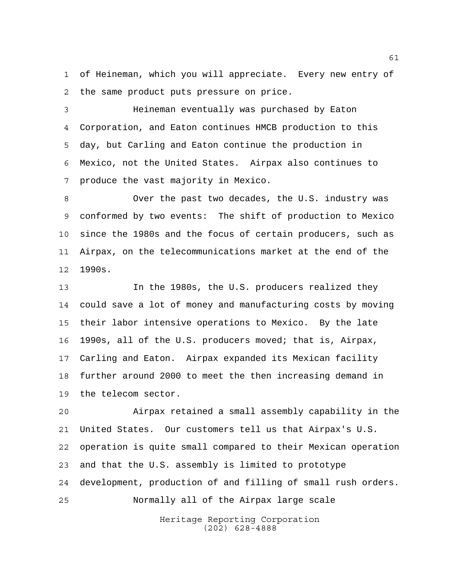of Heineman, which you will appreciate. Every new entry of the same product puts pressure on price.

 Heineman eventually was purchased by Eaton Corporation, and Eaton continues HMCB production to this day, but Carling and Eaton continue the production in Mexico, not the United States. Airpax also continues to produce the vast majority in Mexico.

 Over the past two decades, the U.S. industry was conformed by two events: The shift of production to Mexico since the 1980s and the focus of certain producers, such as Airpax, on the telecommunications market at the end of the 1990s.

 In the 1980s, the U.S. producers realized they could save a lot of money and manufacturing costs by moving their labor intensive operations to Mexico. By the late 1990s, all of the U.S. producers moved; that is, Airpax, Carling and Eaton. Airpax expanded its Mexican facility further around 2000 to meet the then increasing demand in the telecom sector.

 Airpax retained a small assembly capability in the United States. Our customers tell us that Airpax's U.S. operation is quite small compared to their Mexican operation and that the U.S. assembly is limited to prototype development, production of and filling of small rush orders. Normally all of the Airpax large scale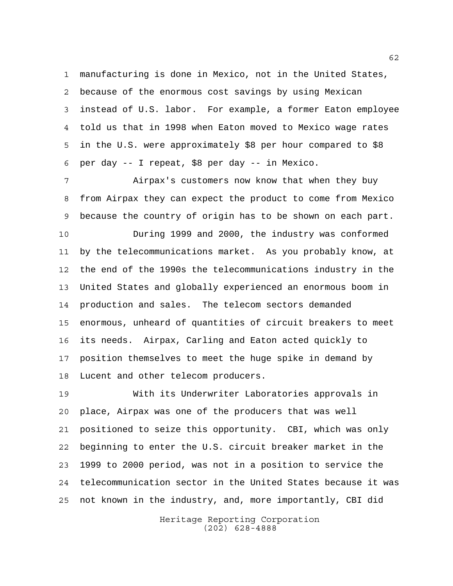manufacturing is done in Mexico, not in the United States, because of the enormous cost savings by using Mexican instead of U.S. labor. For example, a former Eaton employee told us that in 1998 when Eaton moved to Mexico wage rates in the U.S. were approximately \$8 per hour compared to \$8 per day -- I repeat, \$8 per day -- in Mexico.

 Airpax's customers now know that when they buy from Airpax they can expect the product to come from Mexico because the country of origin has to be shown on each part.

 During 1999 and 2000, the industry was conformed by the telecommunications market. As you probably know, at the end of the 1990s the telecommunications industry in the United States and globally experienced an enormous boom in production and sales. The telecom sectors demanded enormous, unheard of quantities of circuit breakers to meet its needs. Airpax, Carling and Eaton acted quickly to position themselves to meet the huge spike in demand by Lucent and other telecom producers.

 With its Underwriter Laboratories approvals in place, Airpax was one of the producers that was well positioned to seize this opportunity. CBI, which was only beginning to enter the U.S. circuit breaker market in the 1999 to 2000 period, was not in a position to service the telecommunication sector in the United States because it was not known in the industry, and, more importantly, CBI did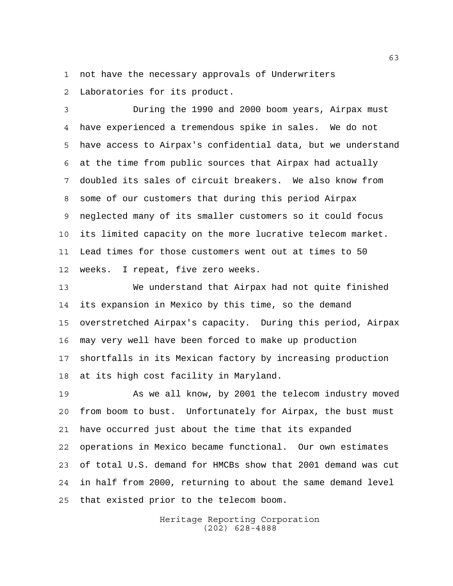not have the necessary approvals of Underwriters

Laboratories for its product.

 During the 1990 and 2000 boom years, Airpax must have experienced a tremendous spike in sales. We do not have access to Airpax's confidential data, but we understand at the time from public sources that Airpax had actually doubled its sales of circuit breakers. We also know from some of our customers that during this period Airpax neglected many of its smaller customers so it could focus its limited capacity on the more lucrative telecom market. Lead times for those customers went out at times to 50 weeks. I repeat, five zero weeks.

 We understand that Airpax had not quite finished its expansion in Mexico by this time, so the demand overstretched Airpax's capacity. During this period, Airpax may very well have been forced to make up production shortfalls in its Mexican factory by increasing production at its high cost facility in Maryland.

 As we all know, by 2001 the telecom industry moved from boom to bust. Unfortunately for Airpax, the bust must have occurred just about the time that its expanded operations in Mexico became functional. Our own estimates of total U.S. demand for HMCBs show that 2001 demand was cut in half from 2000, returning to about the same demand level that existed prior to the telecom boom.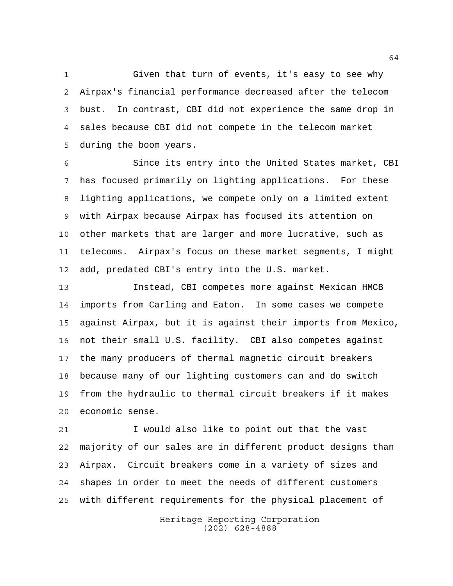Given that turn of events, it's easy to see why Airpax's financial performance decreased after the telecom bust. In contrast, CBI did not experience the same drop in sales because CBI did not compete in the telecom market during the boom years.

 Since its entry into the United States market, CBI has focused primarily on lighting applications. For these lighting applications, we compete only on a limited extent with Airpax because Airpax has focused its attention on other markets that are larger and more lucrative, such as telecoms. Airpax's focus on these market segments, I might add, predated CBI's entry into the U.S. market.

 Instead, CBI competes more against Mexican HMCB imports from Carling and Eaton. In some cases we compete against Airpax, but it is against their imports from Mexico, not their small U.S. facility. CBI also competes against the many producers of thermal magnetic circuit breakers because many of our lighting customers can and do switch from the hydraulic to thermal circuit breakers if it makes economic sense.

 I would also like to point out that the vast majority of our sales are in different product designs than Airpax. Circuit breakers come in a variety of sizes and shapes in order to meet the needs of different customers with different requirements for the physical placement of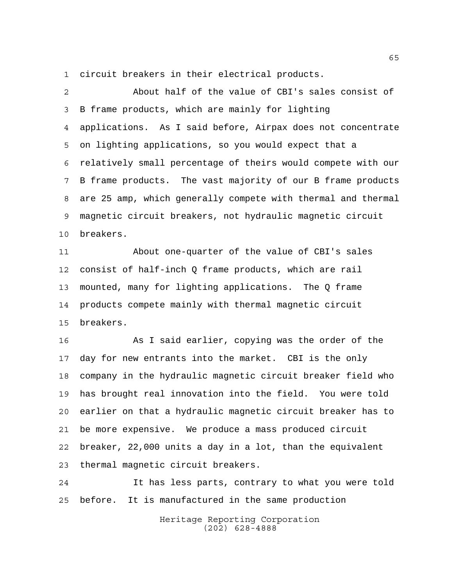circuit breakers in their electrical products.

 About half of the value of CBI's sales consist of B frame products, which are mainly for lighting applications. As I said before, Airpax does not concentrate on lighting applications, so you would expect that a relatively small percentage of theirs would compete with our B frame products. The vast majority of our B frame products are 25 amp, which generally compete with thermal and thermal magnetic circuit breakers, not hydraulic magnetic circuit breakers. About one-quarter of the value of CBI's sales consist of half-inch Q frame products, which are rail mounted, many for lighting applications. The Q frame products compete mainly with thermal magnetic circuit breakers.

 As I said earlier, copying was the order of the day for new entrants into the market. CBI is the only company in the hydraulic magnetic circuit breaker field who has brought real innovation into the field. You were told earlier on that a hydraulic magnetic circuit breaker has to be more expensive. We produce a mass produced circuit breaker, 22,000 units a day in a lot, than the equivalent thermal magnetic circuit breakers.

 It has less parts, contrary to what you were told before. It is manufactured in the same production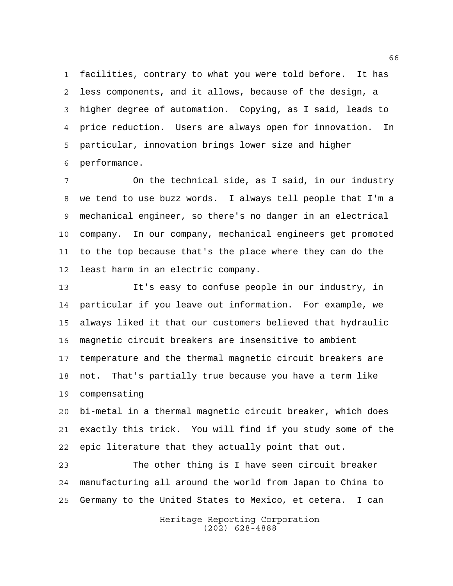facilities, contrary to what you were told before. It has less components, and it allows, because of the design, a higher degree of automation. Copying, as I said, leads to price reduction. Users are always open for innovation. In particular, innovation brings lower size and higher performance.

 On the technical side, as I said, in our industry we tend to use buzz words. I always tell people that I'm a mechanical engineer, so there's no danger in an electrical company. In our company, mechanical engineers get promoted to the top because that's the place where they can do the least harm in an electric company.

 It's easy to confuse people in our industry, in particular if you leave out information. For example, we always liked it that our customers believed that hydraulic magnetic circuit breakers are insensitive to ambient temperature and the thermal magnetic circuit breakers are not. That's partially true because you have a term like compensating

 bi-metal in a thermal magnetic circuit breaker, which does exactly this trick. You will find if you study some of the epic literature that they actually point that out.

 The other thing is I have seen circuit breaker manufacturing all around the world from Japan to China to Germany to the United States to Mexico, et cetera. I can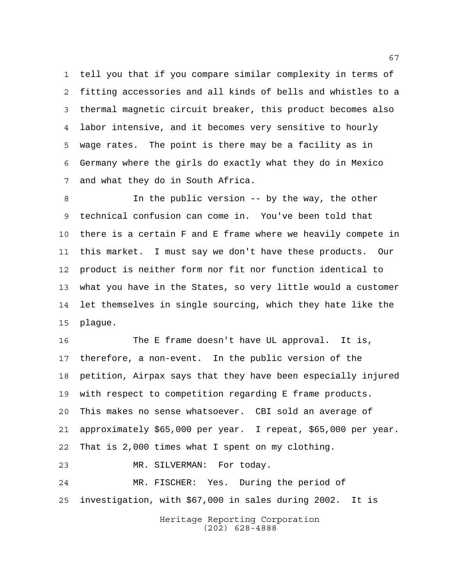tell you that if you compare similar complexity in terms of fitting accessories and all kinds of bells and whistles to a thermal magnetic circuit breaker, this product becomes also labor intensive, and it becomes very sensitive to hourly wage rates. The point is there may be a facility as in Germany where the girls do exactly what they do in Mexico and what they do in South Africa.

 In the public version -- by the way, the other technical confusion can come in. You've been told that there is a certain F and E frame where we heavily compete in this market. I must say we don't have these products. Our product is neither form nor fit nor function identical to what you have in the States, so very little would a customer let themselves in single sourcing, which they hate like the plague.

 The E frame doesn't have UL approval. It is, therefore, a non-event. In the public version of the petition, Airpax says that they have been especially injured with respect to competition regarding E frame products. This makes no sense whatsoever. CBI sold an average of approximately \$65,000 per year. I repeat, \$65,000 per year. That is 2,000 times what I spent on my clothing. MR. SILVERMAN: For today.

 MR. FISCHER: Yes. During the period of investigation, with \$67,000 in sales during 2002. It is

> Heritage Reporting Corporation (202) 628-4888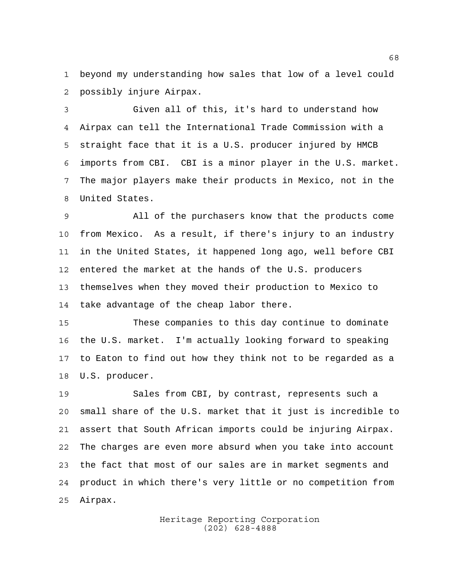beyond my understanding how sales that low of a level could possibly injure Airpax.

 Given all of this, it's hard to understand how Airpax can tell the International Trade Commission with a straight face that it is a U.S. producer injured by HMCB imports from CBI. CBI is a minor player in the U.S. market. The major players make their products in Mexico, not in the United States.

 All of the purchasers know that the products come from Mexico. As a result, if there's injury to an industry in the United States, it happened long ago, well before CBI entered the market at the hands of the U.S. producers themselves when they moved their production to Mexico to take advantage of the cheap labor there.

 These companies to this day continue to dominate the U.S. market. I'm actually looking forward to speaking to Eaton to find out how they think not to be regarded as a U.S. producer.

 Sales from CBI, by contrast, represents such a small share of the U.S. market that it just is incredible to assert that South African imports could be injuring Airpax. The charges are even more absurd when you take into account the fact that most of our sales are in market segments and product in which there's very little or no competition from Airpax.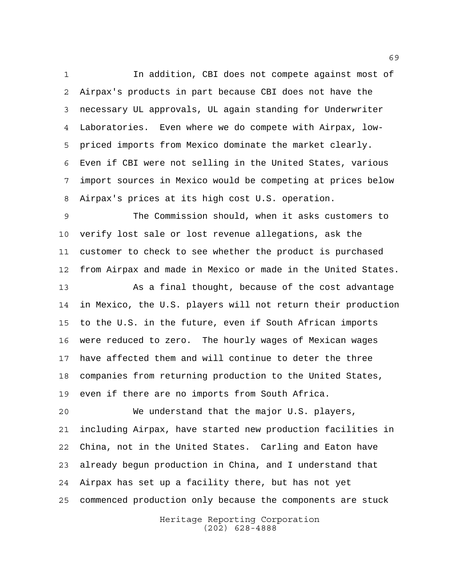In addition, CBI does not compete against most of Airpax's products in part because CBI does not have the necessary UL approvals, UL again standing for Underwriter Laboratories. Even where we do compete with Airpax, low- priced imports from Mexico dominate the market clearly. Even if CBI were not selling in the United States, various import sources in Mexico would be competing at prices below Airpax's prices at its high cost U.S. operation.

 The Commission should, when it asks customers to verify lost sale or lost revenue allegations, ask the customer to check to see whether the product is purchased from Airpax and made in Mexico or made in the United States.

 As a final thought, because of the cost advantage in Mexico, the U.S. players will not return their production to the U.S. in the future, even if South African imports were reduced to zero. The hourly wages of Mexican wages have affected them and will continue to deter the three companies from returning production to the United States, even if there are no imports from South Africa.

 We understand that the major U.S. players, including Airpax, have started new production facilities in China, not in the United States. Carling and Eaton have already begun production in China, and I understand that Airpax has set up a facility there, but has not yet commenced production only because the components are stuck

> Heritage Reporting Corporation (202) 628-4888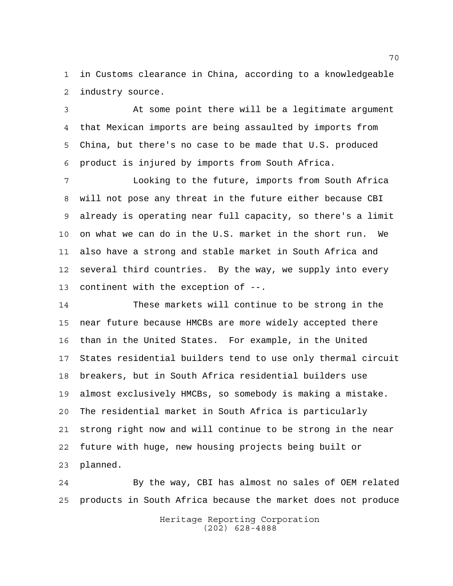in Customs clearance in China, according to a knowledgeable industry source.

 At some point there will be a legitimate argument that Mexican imports are being assaulted by imports from China, but there's no case to be made that U.S. produced product is injured by imports from South Africa.

 Looking to the future, imports from South Africa will not pose any threat in the future either because CBI already is operating near full capacity, so there's a limit on what we can do in the U.S. market in the short run. We also have a strong and stable market in South Africa and several third countries. By the way, we supply into every continent with the exception of --.

 These markets will continue to be strong in the near future because HMCBs are more widely accepted there than in the United States. For example, in the United States residential builders tend to use only thermal circuit breakers, but in South Africa residential builders use almost exclusively HMCBs, so somebody is making a mistake. The residential market in South Africa is particularly strong right now and will continue to be strong in the near future with huge, new housing projects being built or planned.

 By the way, CBI has almost no sales of OEM related products in South Africa because the market does not produce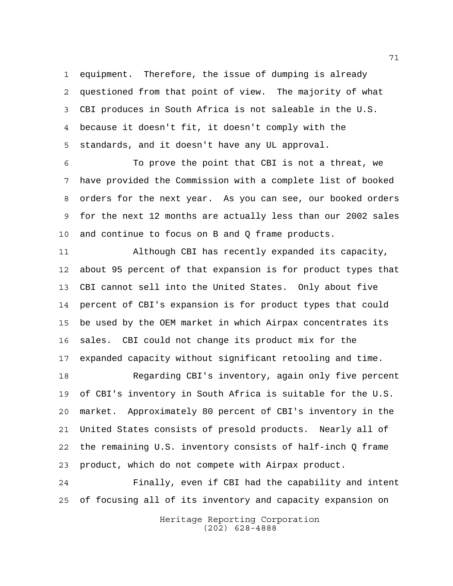equipment. Therefore, the issue of dumping is already questioned from that point of view. The majority of what CBI produces in South Africa is not saleable in the U.S. because it doesn't fit, it doesn't comply with the standards, and it doesn't have any UL approval.

 To prove the point that CBI is not a threat, we have provided the Commission with a complete list of booked orders for the next year. As you can see, our booked orders for the next 12 months are actually less than our 2002 sales and continue to focus on B and Q frame products.

 Although CBI has recently expanded its capacity, about 95 percent of that expansion is for product types that CBI cannot sell into the United States. Only about five percent of CBI's expansion is for product types that could be used by the OEM market in which Airpax concentrates its sales. CBI could not change its product mix for the expanded capacity without significant retooling and time.

 Regarding CBI's inventory, again only five percent of CBI's inventory in South Africa is suitable for the U.S. market. Approximately 80 percent of CBI's inventory in the United States consists of presold products. Nearly all of the remaining U.S. inventory consists of half-inch Q frame product, which do not compete with Airpax product.

 Finally, even if CBI had the capability and intent of focusing all of its inventory and capacity expansion on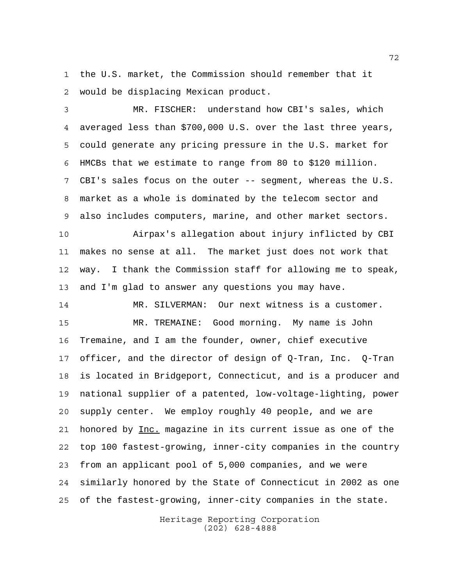the U.S. market, the Commission should remember that it would be displacing Mexican product.

 MR. FISCHER: understand how CBI's sales, which averaged less than \$700,000 U.S. over the last three years, could generate any pricing pressure in the U.S. market for HMCBs that we estimate to range from 80 to \$120 million. CBI's sales focus on the outer -- segment, whereas the U.S. market as a whole is dominated by the telecom sector and also includes computers, marine, and other market sectors.

 Airpax's allegation about injury inflicted by CBI makes no sense at all. The market just does not work that way. I thank the Commission staff for allowing me to speak, and I'm glad to answer any questions you may have.

 MR. SILVERMAN: Our next witness is a customer. MR. TREMAINE: Good morning. My name is John Tremaine, and I am the founder, owner, chief executive officer, and the director of design of Q-Tran, Inc. Q-Tran is located in Bridgeport, Connecticut, and is a producer and national supplier of a patented, low-voltage-lighting, power supply center. We employ roughly 40 people, and we are 21 honored by Inc. magazine in its current issue as one of the top 100 fastest-growing, inner-city companies in the country from an applicant pool of 5,000 companies, and we were similarly honored by the State of Connecticut in 2002 as one of the fastest-growing, inner-city companies in the state.

> Heritage Reporting Corporation (202) 628-4888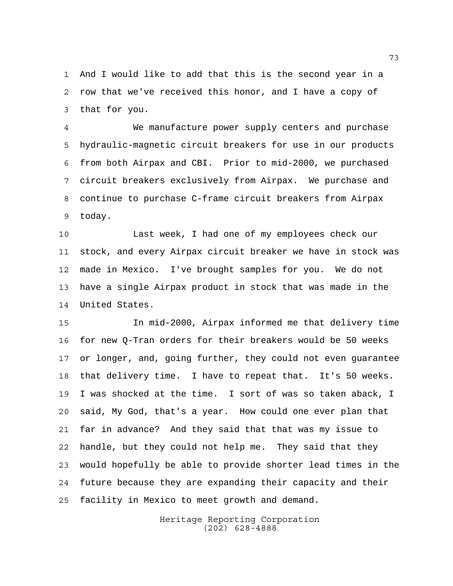And I would like to add that this is the second year in a row that we've received this honor, and I have a copy of that for you.

 We manufacture power supply centers and purchase hydraulic-magnetic circuit breakers for use in our products from both Airpax and CBI. Prior to mid-2000, we purchased circuit breakers exclusively from Airpax. We purchase and continue to purchase C-frame circuit breakers from Airpax today.

 Last week, I had one of my employees check our stock, and every Airpax circuit breaker we have in stock was made in Mexico. I've brought samples for you. We do not have a single Airpax product in stock that was made in the United States.

 In mid-2000, Airpax informed me that delivery time for new Q-Tran orders for their breakers would be 50 weeks or longer, and, going further, they could not even guarantee that delivery time. I have to repeat that. It's 50 weeks. I was shocked at the time. I sort of was so taken aback, I said, My God, that's a year. How could one ever plan that far in advance? And they said that that was my issue to handle, but they could not help me. They said that they would hopefully be able to provide shorter lead times in the future because they are expanding their capacity and their facility in Mexico to meet growth and demand.

> Heritage Reporting Corporation (202) 628-4888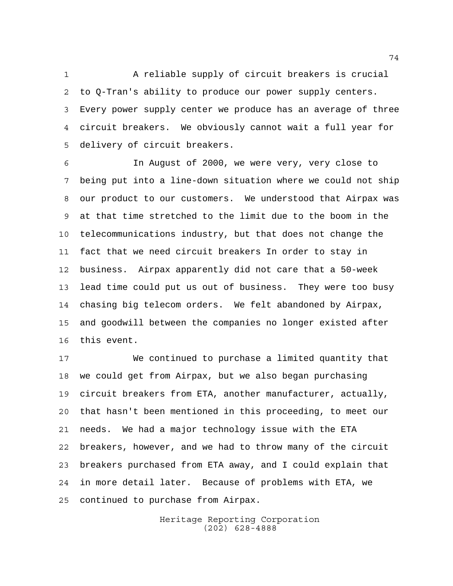A reliable supply of circuit breakers is crucial to Q-Tran's ability to produce our power supply centers. Every power supply center we produce has an average of three circuit breakers. We obviously cannot wait a full year for delivery of circuit breakers.

 In August of 2000, we were very, very close to being put into a line-down situation where we could not ship our product to our customers. We understood that Airpax was at that time stretched to the limit due to the boom in the telecommunications industry, but that does not change the fact that we need circuit breakers In order to stay in business. Airpax apparently did not care that a 50-week lead time could put us out of business. They were too busy chasing big telecom orders. We felt abandoned by Airpax, and goodwill between the companies no longer existed after this event.

 We continued to purchase a limited quantity that we could get from Airpax, but we also began purchasing circuit breakers from ETA, another manufacturer, actually, that hasn't been mentioned in this proceeding, to meet our needs. We had a major technology issue with the ETA breakers, however, and we had to throw many of the circuit breakers purchased from ETA away, and I could explain that in more detail later. Because of problems with ETA, we continued to purchase from Airpax.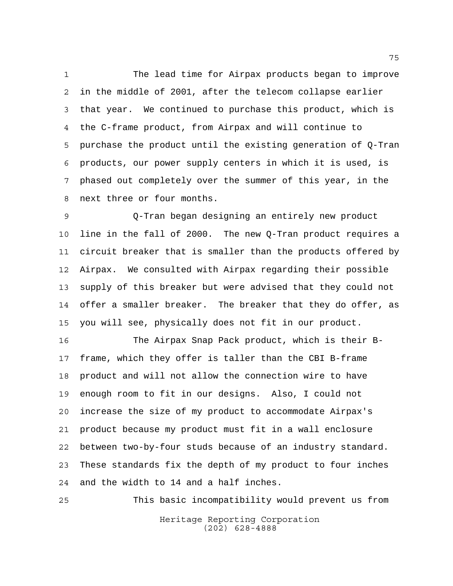The lead time for Airpax products began to improve in the middle of 2001, after the telecom collapse earlier that year. We continued to purchase this product, which is the C-frame product, from Airpax and will continue to purchase the product until the existing generation of Q-Tran products, our power supply centers in which it is used, is phased out completely over the summer of this year, in the next three or four months.

 Q-Tran began designing an entirely new product line in the fall of 2000. The new Q-Tran product requires a circuit breaker that is smaller than the products offered by Airpax. We consulted with Airpax regarding their possible supply of this breaker but were advised that they could not offer a smaller breaker. The breaker that they do offer, as you will see, physically does not fit in our product.

 The Airpax Snap Pack product, which is their B- frame, which they offer is taller than the CBI B-frame product and will not allow the connection wire to have enough room to fit in our designs. Also, I could not increase the size of my product to accommodate Airpax's product because my product must fit in a wall enclosure between two-by-four studs because of an industry standard. These standards fix the depth of my product to four inches and the width to 14 and a half inches.

Heritage Reporting Corporation (202) 628-4888 This basic incompatibility would prevent us from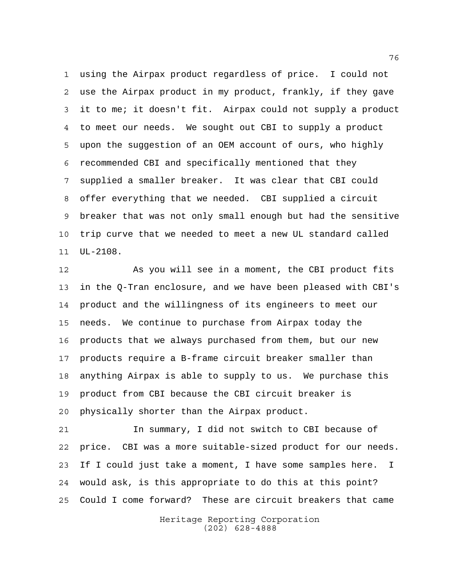using the Airpax product regardless of price. I could not use the Airpax product in my product, frankly, if they gave it to me; it doesn't fit. Airpax could not supply a product to meet our needs. We sought out CBI to supply a product upon the suggestion of an OEM account of ours, who highly recommended CBI and specifically mentioned that they supplied a smaller breaker. It was clear that CBI could offer everything that we needed. CBI supplied a circuit breaker that was not only small enough but had the sensitive trip curve that we needed to meet a new UL standard called UL-2108.

 As you will see in a moment, the CBI product fits in the Q-Tran enclosure, and we have been pleased with CBI's product and the willingness of its engineers to meet our needs. We continue to purchase from Airpax today the products that we always purchased from them, but our new products require a B-frame circuit breaker smaller than anything Airpax is able to supply to us. We purchase this product from CBI because the CBI circuit breaker is physically shorter than the Airpax product.

 In summary, I did not switch to CBI because of price. CBI was a more suitable-sized product for our needs. If I could just take a moment, I have some samples here. I would ask, is this appropriate to do this at this point? Could I come forward? These are circuit breakers that came

> Heritage Reporting Corporation (202) 628-4888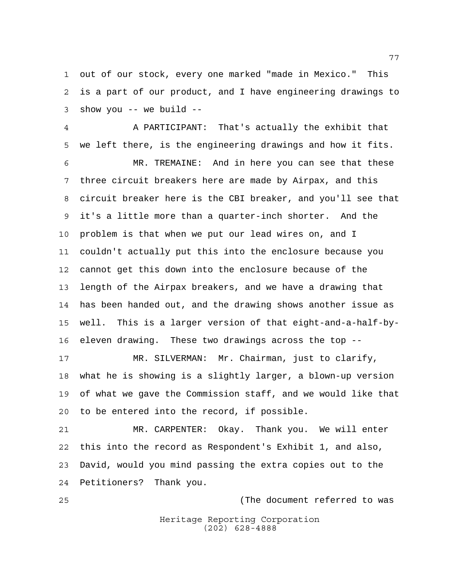out of our stock, every one marked "made in Mexico." This is a part of our product, and I have engineering drawings to show you -- we build --

 A PARTICIPANT: That's actually the exhibit that we left there, is the engineering drawings and how it fits. MR. TREMAINE: And in here you can see that these three circuit breakers here are made by Airpax, and this circuit breaker here is the CBI breaker, and you'll see that it's a little more than a quarter-inch shorter. And the problem is that when we put our lead wires on, and I couldn't actually put this into the enclosure because you cannot get this down into the enclosure because of the length of the Airpax breakers, and we have a drawing that has been handed out, and the drawing shows another issue as well. This is a larger version of that eight-and-a-half-by-eleven drawing. These two drawings across the top --

 MR. SILVERMAN: Mr. Chairman, just to clarify, what he is showing is a slightly larger, a blown-up version of what we gave the Commission staff, and we would like that to be entered into the record, if possible.

 MR. CARPENTER: Okay. Thank you. We will enter this into the record as Respondent's Exhibit 1, and also, David, would you mind passing the extra copies out to the Petitioners? Thank you.

(The document referred to was

Heritage Reporting Corporation (202) 628-4888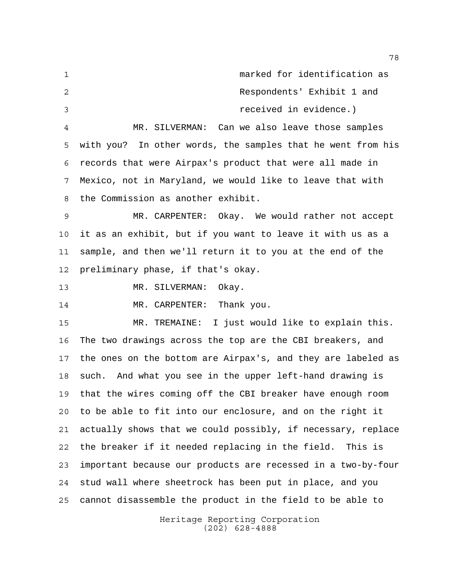marked for identification as Respondents' Exhibit 1 and received in evidence.) MR. SILVERMAN: Can we also leave those samples with you? In other words, the samples that he went from his records that were Airpax's product that were all made in

 Mexico, not in Maryland, we would like to leave that with the Commission as another exhibit.

 MR. CARPENTER: Okay. We would rather not accept it as an exhibit, but if you want to leave it with us as a sample, and then we'll return it to you at the end of the preliminary phase, if that's okay.

MR. SILVERMAN: Okay.

14 MR. CARPENTER: Thank you.

 MR. TREMAINE: I just would like to explain this. The two drawings across the top are the CBI breakers, and the ones on the bottom are Airpax's, and they are labeled as such. And what you see in the upper left-hand drawing is that the wires coming off the CBI breaker have enough room to be able to fit into our enclosure, and on the right it actually shows that we could possibly, if necessary, replace the breaker if it needed replacing in the field. This is important because our products are recessed in a two-by-four stud wall where sheetrock has been put in place, and you cannot disassemble the product in the field to be able to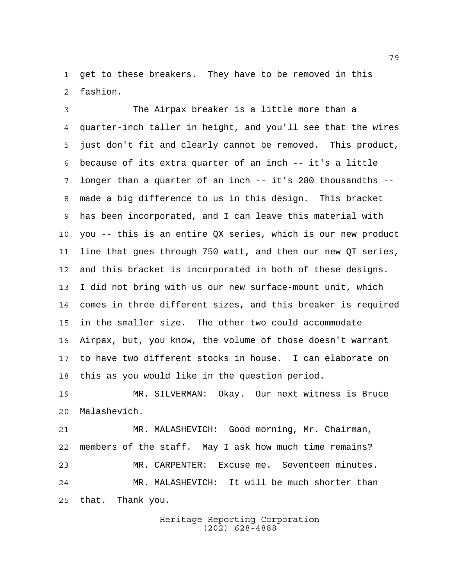get to these breakers. They have to be removed in this fashion.

 The Airpax breaker is a little more than a quarter-inch taller in height, and you'll see that the wires just don't fit and clearly cannot be removed. This product, because of its extra quarter of an inch -- it's a little longer than a quarter of an inch -- it's 280 thousandths -- made a big difference to us in this design. This bracket has been incorporated, and I can leave this material with you -- this is an entire QX series, which is our new product line that goes through 750 watt, and then our new QT series, and this bracket is incorporated in both of these designs. I did not bring with us our new surface-mount unit, which comes in three different sizes, and this breaker is required in the smaller size. The other two could accommodate Airpax, but, you know, the volume of those doesn't warrant to have two different stocks in house. I can elaborate on this as you would like in the question period.

 MR. SILVERMAN: Okay. Our next witness is Bruce Malashevich.

 MR. MALASHEVICH: Good morning, Mr. Chairman, members of the staff. May I ask how much time remains? MR. CARPENTER: Excuse me. Seventeen minutes. MR. MALASHEVICH: It will be much shorter than that. Thank you.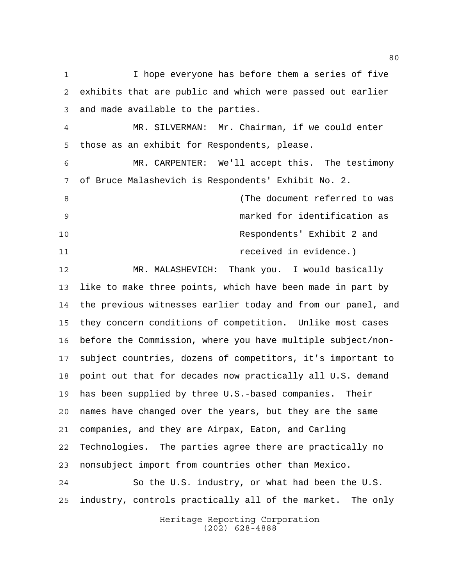I hope everyone has before them a series of five exhibits that are public and which were passed out earlier and made available to the parties. MR. SILVERMAN: Mr. Chairman, if we could enter those as an exhibit for Respondents, please. MR. CARPENTER: We'll accept this. The testimony of Bruce Malashevich is Respondents' Exhibit No. 2. 8 and 1 and 1 and 1 and 1 and 1 and 1 and 1 and 1 and 1 and 1 and 1 and 1 and 1 and 1 and 1 and 1 and 1 and 1 and 1 and 1 and 1 and 1 and 1 and 1 and 1 and 1 and 1 and 1 and 1 and 1 and 1 and 1 and 1 and 1 and 1 and 1 and marked for identification as Respondents' Exhibit 2 and received in evidence.) MR. MALASHEVICH: Thank you. I would basically like to make three points, which have been made in part by the previous witnesses earlier today and from our panel, and they concern conditions of competition. Unlike most cases before the Commission, where you have multiple subject/non- subject countries, dozens of competitors, it's important to point out that for decades now practically all U.S. demand has been supplied by three U.S.-based companies. Their names have changed over the years, but they are the same companies, and they are Airpax, Eaton, and Carling Technologies. The parties agree there are practically no nonsubject import from countries other than Mexico. So the U.S. industry, or what had been the U.S. industry, controls practically all of the market. The only

Heritage Reporting Corporation (202) 628-4888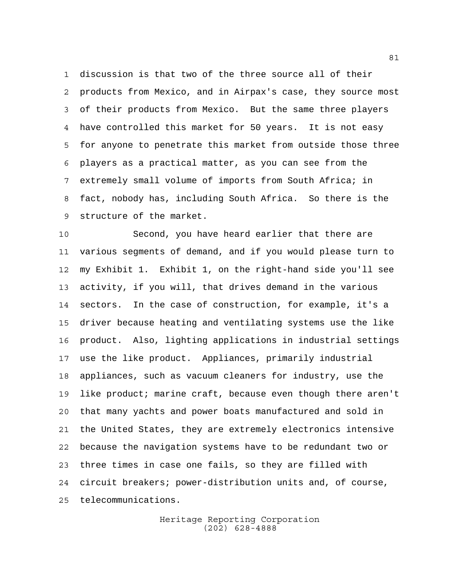discussion is that two of the three source all of their products from Mexico, and in Airpax's case, they source most of their products from Mexico. But the same three players have controlled this market for 50 years. It is not easy for anyone to penetrate this market from outside those three players as a practical matter, as you can see from the extremely small volume of imports from South Africa; in fact, nobody has, including South Africa. So there is the structure of the market.

 Second, you have heard earlier that there are various segments of demand, and if you would please turn to my Exhibit 1. Exhibit 1, on the right-hand side you'll see activity, if you will, that drives demand in the various sectors. In the case of construction, for example, it's a driver because heating and ventilating systems use the like product. Also, lighting applications in industrial settings use the like product. Appliances, primarily industrial appliances, such as vacuum cleaners for industry, use the like product; marine craft, because even though there aren't that many yachts and power boats manufactured and sold in the United States, they are extremely electronics intensive because the navigation systems have to be redundant two or three times in case one fails, so they are filled with circuit breakers; power-distribution units and, of course, telecommunications.

> Heritage Reporting Corporation (202) 628-4888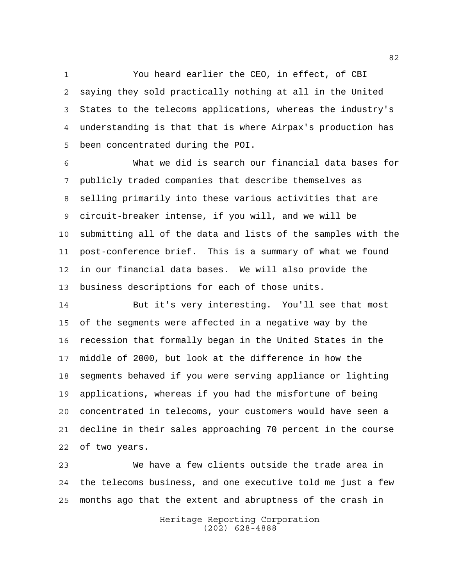You heard earlier the CEO, in effect, of CBI saying they sold practically nothing at all in the United States to the telecoms applications, whereas the industry's understanding is that that is where Airpax's production has been concentrated during the POI.

 What we did is search our financial data bases for publicly traded companies that describe themselves as selling primarily into these various activities that are circuit-breaker intense, if you will, and we will be submitting all of the data and lists of the samples with the post-conference brief. This is a summary of what we found in our financial data bases. We will also provide the business descriptions for each of those units.

 But it's very interesting. You'll see that most of the segments were affected in a negative way by the recession that formally began in the United States in the middle of 2000, but look at the difference in how the segments behaved if you were serving appliance or lighting applications, whereas if you had the misfortune of being concentrated in telecoms, your customers would have seen a decline in their sales approaching 70 percent in the course of two years.

 We have a few clients outside the trade area in the telecoms business, and one executive told me just a few months ago that the extent and abruptness of the crash in

> Heritage Reporting Corporation (202) 628-4888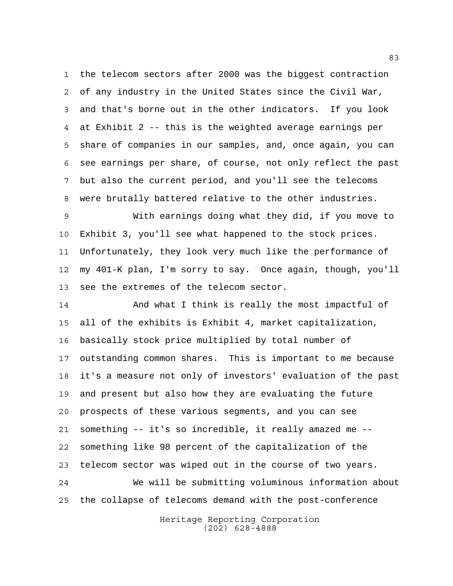the telecom sectors after 2000 was the biggest contraction of any industry in the United States since the Civil War, and that's borne out in the other indicators. If you look at Exhibit 2 -- this is the weighted average earnings per share of companies in our samples, and, once again, you can see earnings per share, of course, not only reflect the past but also the current period, and you'll see the telecoms were brutally battered relative to the other industries.

 With earnings doing what they did, if you move to Exhibit 3, you'll see what happened to the stock prices. Unfortunately, they look very much like the performance of my 401-K plan, I'm sorry to say. Once again, though, you'll see the extremes of the telecom sector.

 And what I think is really the most impactful of all of the exhibits is Exhibit 4, market capitalization, basically stock price multiplied by total number of outstanding common shares. This is important to me because it's a measure not only of investors' evaluation of the past and present but also how they are evaluating the future prospects of these various segments, and you can see something -- it's so incredible, it really amazed me -- something like 98 percent of the capitalization of the telecom sector was wiped out in the course of two years. We will be submitting voluminous information about the collapse of telecoms demand with the post-conference

> Heritage Reporting Corporation (202) 628-4888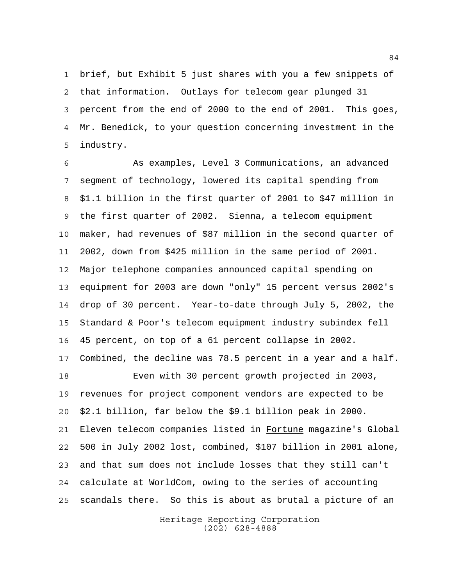brief, but Exhibit 5 just shares with you a few snippets of that information. Outlays for telecom gear plunged 31 percent from the end of 2000 to the end of 2001. This goes, Mr. Benedick, to your question concerning investment in the industry.

 As examples, Level 3 Communications, an advanced segment of technology, lowered its capital spending from \$1.1 billion in the first quarter of 2001 to \$47 million in the first quarter of 2002. Sienna, a telecom equipment maker, had revenues of \$87 million in the second quarter of 2002, down from \$425 million in the same period of 2001. Major telephone companies announced capital spending on equipment for 2003 are down "only" 15 percent versus 2002's drop of 30 percent. Year-to-date through July 5, 2002, the Standard & Poor's telecom equipment industry subindex fell 45 percent, on top of a 61 percent collapse in 2002. Combined, the decline was 78.5 percent in a year and a half. Even with 30 percent growth projected in 2003, revenues for project component vendors are expected to be \$2.1 billion, far below the \$9.1 billion peak in 2000. Eleven telecom companies listed in Fortune magazine's Global 500 in July 2002 lost, combined, \$107 billion in 2001 alone, and that sum does not include losses that they still can't calculate at WorldCom, owing to the series of accounting scandals there. So this is about as brutal a picture of an

> Heritage Reporting Corporation (202) 628-4888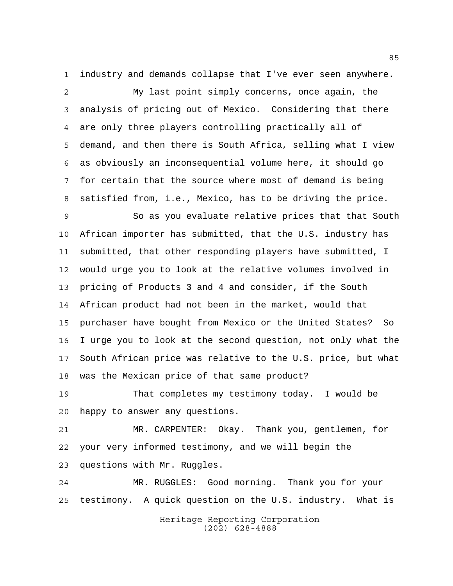industry and demands collapse that I've ever seen anywhere.

 My last point simply concerns, once again, the analysis of pricing out of Mexico. Considering that there are only three players controlling practically all of demand, and then there is South Africa, selling what I view as obviously an inconsequential volume here, it should go for certain that the source where most of demand is being satisfied from, i.e., Mexico, has to be driving the price.

 So as you evaluate relative prices that that South African importer has submitted, that the U.S. industry has submitted, that other responding players have submitted, I would urge you to look at the relative volumes involved in pricing of Products 3 and 4 and consider, if the South African product had not been in the market, would that purchaser have bought from Mexico or the United States? So I urge you to look at the second question, not only what the South African price was relative to the U.S. price, but what was the Mexican price of that same product?

 That completes my testimony today. I would be happy to answer any questions.

 MR. CARPENTER: Okay. Thank you, gentlemen, for your very informed testimony, and we will begin the questions with Mr. Ruggles.

 MR. RUGGLES: Good morning. Thank you for your testimony. A quick question on the U.S. industry. What is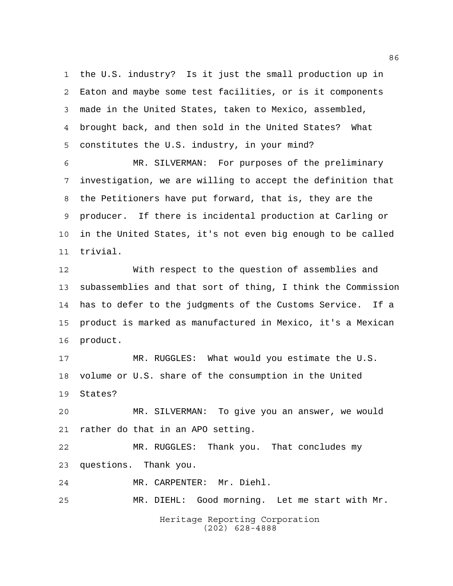the U.S. industry? Is it just the small production up in Eaton and maybe some test facilities, or is it components made in the United States, taken to Mexico, assembled, brought back, and then sold in the United States? What constitutes the U.S. industry, in your mind?

 MR. SILVERMAN: For purposes of the preliminary investigation, we are willing to accept the definition that the Petitioners have put forward, that is, they are the producer. If there is incidental production at Carling or in the United States, it's not even big enough to be called trivial.

 With respect to the question of assemblies and subassemblies and that sort of thing, I think the Commission has to defer to the judgments of the Customs Service. If a product is marked as manufactured in Mexico, it's a Mexican product.

 MR. RUGGLES: What would you estimate the U.S. volume or U.S. share of the consumption in the United States?

 MR. SILVERMAN: To give you an answer, we would rather do that in an APO setting.

 MR. RUGGLES: Thank you. That concludes my questions. Thank you.

MR. CARPENTER: Mr. Diehl.

MR. DIEHL: Good morning. Let me start with Mr.

Heritage Reporting Corporation (202) 628-4888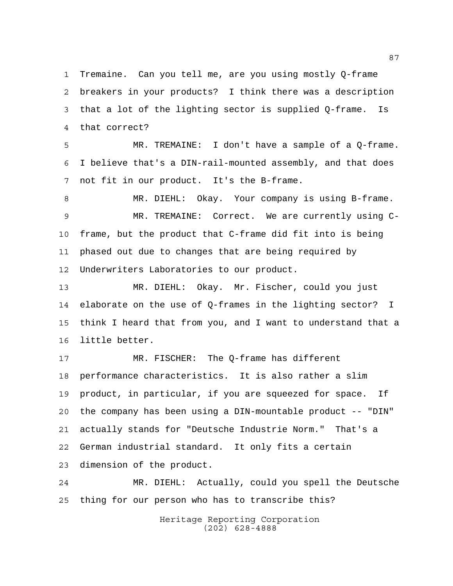Tremaine. Can you tell me, are you using mostly Q-frame breakers in your products? I think there was a description that a lot of the lighting sector is supplied Q-frame. Is that correct?

 MR. TREMAINE: I don't have a sample of a Q-frame. I believe that's a DIN-rail-mounted assembly, and that does not fit in our product. It's the B-frame.

 MR. DIEHL: Okay. Your company is using B-frame. MR. TREMAINE: Correct. We are currently using C- frame, but the product that C-frame did fit into is being phased out due to changes that are being required by Underwriters Laboratories to our product.

 MR. DIEHL: Okay. Mr. Fischer, could you just elaborate on the use of Q-frames in the lighting sector? I think I heard that from you, and I want to understand that a little better.

 MR. FISCHER: The Q-frame has different performance characteristics. It is also rather a slim product, in particular, if you are squeezed for space. If the company has been using a DIN-mountable product -- "DIN" actually stands for "Deutsche Industrie Norm." That's a German industrial standard. It only fits a certain dimension of the product.

 MR. DIEHL: Actually, could you spell the Deutsche thing for our person who has to transcribe this?

> Heritage Reporting Corporation (202) 628-4888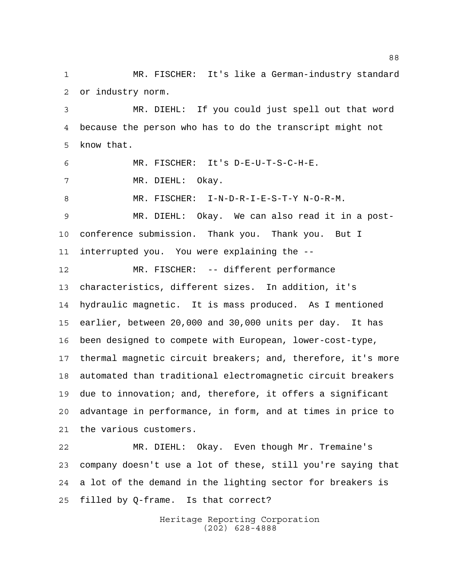MR. FISCHER: It's like a German-industry standard or industry norm.

 MR. DIEHL: If you could just spell out that word because the person who has to do the transcript might not know that.

 MR. FISCHER: It's D-E-U-T-S-C-H-E. MR. DIEHL: Okay. MR. FISCHER: I-N-D-R-I-E-S-T-Y N-O-R-M. MR. DIEHL: Okay. We can also read it in a post- conference submission. Thank you. Thank you. But I interrupted you. You were explaining the -- MR. FISCHER: -- different performance characteristics, different sizes. In addition, it's hydraulic magnetic. It is mass produced. As I mentioned earlier, between 20,000 and 30,000 units per day. It has been designed to compete with European, lower-cost-type, thermal magnetic circuit breakers; and, therefore, it's more automated than traditional electromagnetic circuit breakers due to innovation; and, therefore, it offers a significant advantage in performance, in form, and at times in price to

 MR. DIEHL: Okay. Even though Mr. Tremaine's company doesn't use a lot of these, still you're saying that a lot of the demand in the lighting sector for breakers is filled by Q-frame. Is that correct?

the various customers.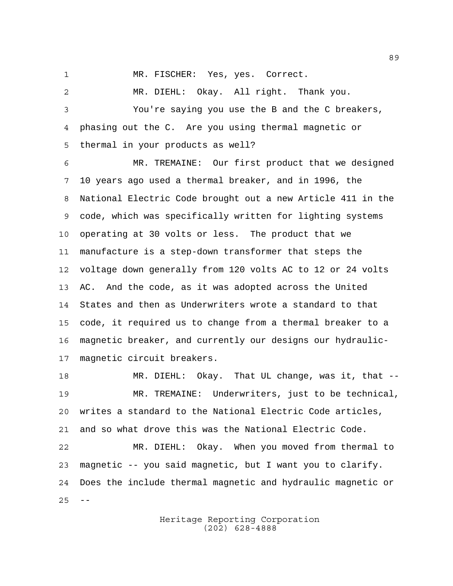MR. FISCHER: Yes, yes. Correct.

 MR. DIEHL: Okay. All right. Thank you. You're saying you use the B and the C breakers, phasing out the C. Are you using thermal magnetic or thermal in your products as well?

 MR. TREMAINE: Our first product that we designed 10 years ago used a thermal breaker, and in 1996, the National Electric Code brought out a new Article 411 in the code, which was specifically written for lighting systems operating at 30 volts or less. The product that we manufacture is a step-down transformer that steps the voltage down generally from 120 volts AC to 12 or 24 volts AC. And the code, as it was adopted across the United States and then as Underwriters wrote a standard to that code, it required us to change from a thermal breaker to a magnetic breaker, and currently our designs our hydraulic-magnetic circuit breakers.

 MR. DIEHL: Okay. That UL change, was it, that -- MR. TREMAINE: Underwriters, just to be technical, writes a standard to the National Electric Code articles, and so what drove this was the National Electric Code.

 MR. DIEHL: Okay. When you moved from thermal to magnetic -- you said magnetic, but I want you to clarify. Does the include thermal magnetic and hydraulic magnetic or  $25 - -$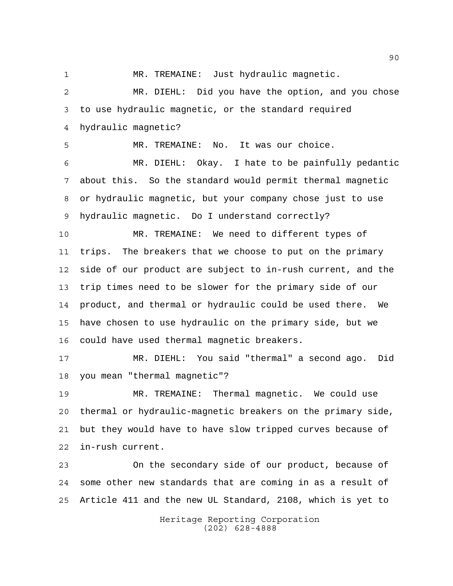MR. TREMAINE: Just hydraulic magnetic.

 MR. DIEHL: Did you have the option, and you chose to use hydraulic magnetic, or the standard required hydraulic magnetic?

MR. TREMAINE: No. It was our choice.

 MR. DIEHL: Okay. I hate to be painfully pedantic about this. So the standard would permit thermal magnetic or hydraulic magnetic, but your company chose just to use hydraulic magnetic. Do I understand correctly?

 MR. TREMAINE: We need to different types of trips. The breakers that we choose to put on the primary side of our product are subject to in-rush current, and the trip times need to be slower for the primary side of our product, and thermal or hydraulic could be used there. We have chosen to use hydraulic on the primary side, but we could have used thermal magnetic breakers.

 MR. DIEHL: You said "thermal" a second ago. Did you mean "thermal magnetic"?

 MR. TREMAINE: Thermal magnetic. We could use thermal or hydraulic-magnetic breakers on the primary side, but they would have to have slow tripped curves because of in-rush current.

 On the secondary side of our product, because of some other new standards that are coming in as a result of Article 411 and the new UL Standard, 2108, which is yet to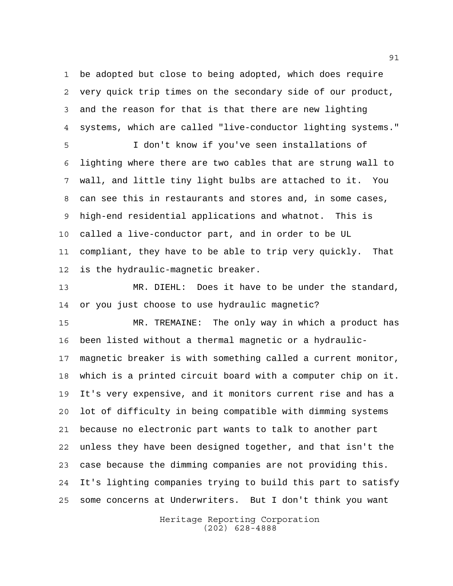be adopted but close to being adopted, which does require very quick trip times on the secondary side of our product, and the reason for that is that there are new lighting systems, which are called "live-conductor lighting systems."

 I don't know if you've seen installations of lighting where there are two cables that are strung wall to wall, and little tiny light bulbs are attached to it. You can see this in restaurants and stores and, in some cases, high-end residential applications and whatnot. This is called a live-conductor part, and in order to be UL compliant, they have to be able to trip very quickly. That is the hydraulic-magnetic breaker.

 MR. DIEHL: Does it have to be under the standard, or you just choose to use hydraulic magnetic?

 MR. TREMAINE: The only way in which a product has been listed without a thermal magnetic or a hydraulic- magnetic breaker is with something called a current monitor, which is a printed circuit board with a computer chip on it. It's very expensive, and it monitors current rise and has a lot of difficulty in being compatible with dimming systems because no electronic part wants to talk to another part unless they have been designed together, and that isn't the case because the dimming companies are not providing this. It's lighting companies trying to build this part to satisfy some concerns at Underwriters. But I don't think you want

> Heritage Reporting Corporation (202) 628-4888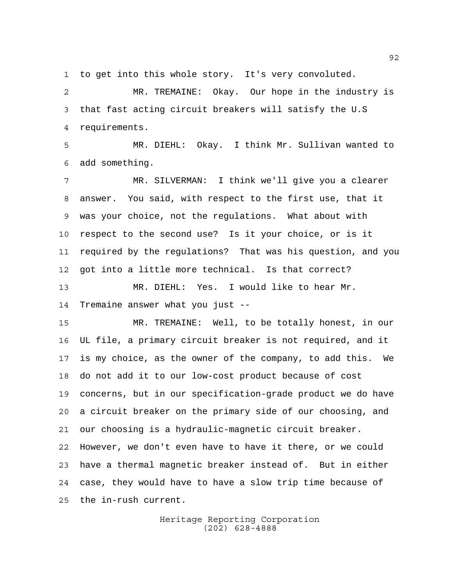to get into this whole story. It's very convoluted.

 MR. TREMAINE: Okay. Our hope in the industry is that fast acting circuit breakers will satisfy the U.S requirements.

 MR. DIEHL: Okay. I think Mr. Sullivan wanted to add something.

 MR. SILVERMAN: I think we'll give you a clearer answer. You said, with respect to the first use, that it was your choice, not the regulations. What about with respect to the second use? Is it your choice, or is it required by the regulations? That was his question, and you got into a little more technical. Is that correct? MR. DIEHL: Yes. I would like to hear Mr.

Tremaine answer what you just --

 MR. TREMAINE: Well, to be totally honest, in our UL file, a primary circuit breaker is not required, and it is my choice, as the owner of the company, to add this. We do not add it to our low-cost product because of cost concerns, but in our specification-grade product we do have a circuit breaker on the primary side of our choosing, and our choosing is a hydraulic-magnetic circuit breaker. However, we don't even have to have it there, or we could have a thermal magnetic breaker instead of. But in either case, they would have to have a slow trip time because of the in-rush current.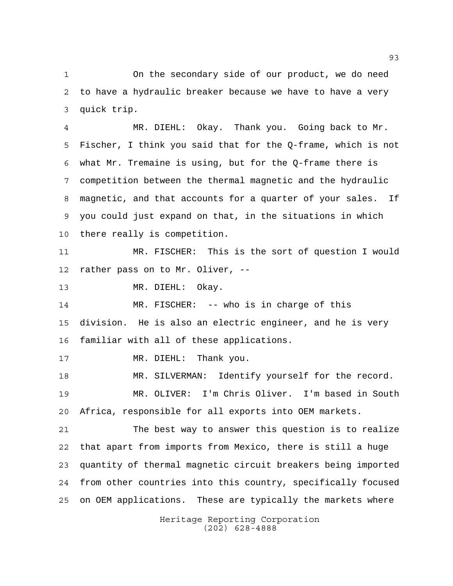On the secondary side of our product, we do need to have a hydraulic breaker because we have to have a very quick trip.

 MR. DIEHL: Okay. Thank you. Going back to Mr. Fischer, I think you said that for the Q-frame, which is not what Mr. Tremaine is using, but for the Q-frame there is competition between the thermal magnetic and the hydraulic magnetic, and that accounts for a quarter of your sales. If you could just expand on that, in the situations in which there really is competition.

 MR. FISCHER: This is the sort of question I would rather pass on to Mr. Oliver, --

MR. DIEHL: Okay.

 MR. FISCHER: -- who is in charge of this division. He is also an electric engineer, and he is very familiar with all of these applications.

17 MR. DIEHL: Thank you.

 MR. SILVERMAN: Identify yourself for the record. MR. OLIVER: I'm Chris Oliver. I'm based in South Africa, responsible for all exports into OEM markets.

 The best way to answer this question is to realize that apart from imports from Mexico, there is still a huge quantity of thermal magnetic circuit breakers being imported from other countries into this country, specifically focused on OEM applications. These are typically the markets where

> Heritage Reporting Corporation (202) 628-4888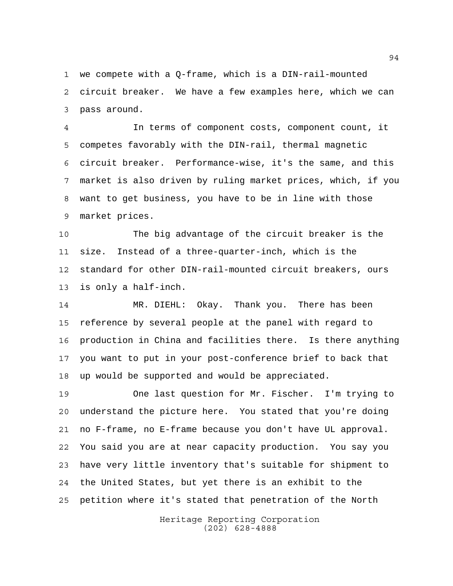we compete with a Q-frame, which is a DIN-rail-mounted circuit breaker. We have a few examples here, which we can pass around.

 In terms of component costs, component count, it competes favorably with the DIN-rail, thermal magnetic circuit breaker. Performance-wise, it's the same, and this market is also driven by ruling market prices, which, if you want to get business, you have to be in line with those market prices.

 The big advantage of the circuit breaker is the size. Instead of a three-quarter-inch, which is the standard for other DIN-rail-mounted circuit breakers, ours is only a half-inch.

 MR. DIEHL: Okay. Thank you. There has been reference by several people at the panel with regard to production in China and facilities there. Is there anything you want to put in your post-conference brief to back that up would be supported and would be appreciated.

 One last question for Mr. Fischer. I'm trying to understand the picture here. You stated that you're doing no F-frame, no E-frame because you don't have UL approval. You said you are at near capacity production. You say you have very little inventory that's suitable for shipment to the United States, but yet there is an exhibit to the petition where it's stated that penetration of the North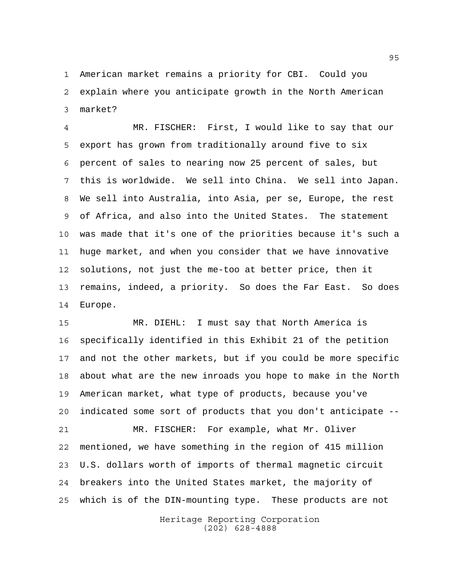American market remains a priority for CBI. Could you explain where you anticipate growth in the North American market?

 MR. FISCHER: First, I would like to say that our export has grown from traditionally around five to six percent of sales to nearing now 25 percent of sales, but this is worldwide. We sell into China. We sell into Japan. We sell into Australia, into Asia, per se, Europe, the rest of Africa, and also into the United States. The statement was made that it's one of the priorities because it's such a huge market, and when you consider that we have innovative solutions, not just the me-too at better price, then it remains, indeed, a priority. So does the Far East. So does Europe.

 MR. DIEHL: I must say that North America is specifically identified in this Exhibit 21 of the petition and not the other markets, but if you could be more specific about what are the new inroads you hope to make in the North American market, what type of products, because you've indicated some sort of products that you don't anticipate -- MR. FISCHER: For example, what Mr. Oliver mentioned, we have something in the region of 415 million U.S. dollars worth of imports of thermal magnetic circuit breakers into the United States market, the majority of which is of the DIN-mounting type. These products are not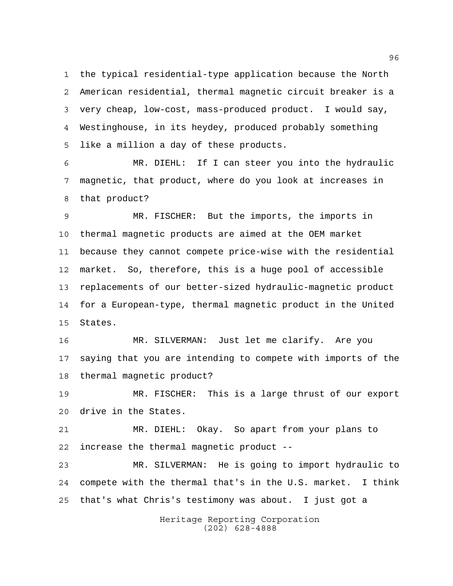the typical residential-type application because the North American residential, thermal magnetic circuit breaker is a very cheap, low-cost, mass-produced product. I would say, Westinghouse, in its heydey, produced probably something like a million a day of these products.

 MR. DIEHL: If I can steer you into the hydraulic magnetic, that product, where do you look at increases in that product?

 MR. FISCHER: But the imports, the imports in thermal magnetic products are aimed at the OEM market because they cannot compete price-wise with the residential market. So, therefore, this is a huge pool of accessible replacements of our better-sized hydraulic-magnetic product for a European-type, thermal magnetic product in the United States.

 MR. SILVERMAN: Just let me clarify. Are you saying that you are intending to compete with imports of the thermal magnetic product?

 MR. FISCHER: This is a large thrust of our export drive in the States.

 MR. DIEHL: Okay. So apart from your plans to increase the thermal magnetic product --

 MR. SILVERMAN: He is going to import hydraulic to compete with the thermal that's in the U.S. market. I think that's what Chris's testimony was about. I just got a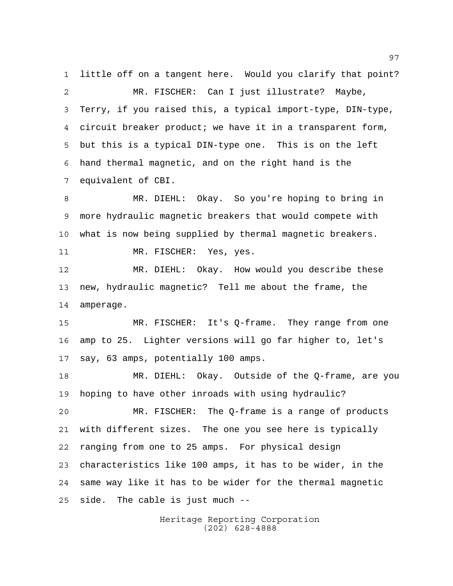little off on a tangent here. Would you clarify that point? MR. FISCHER: Can I just illustrate? Maybe, Terry, if you raised this, a typical import-type, DIN-type, circuit breaker product; we have it in a transparent form, but this is a typical DIN-type one. This is on the left hand thermal magnetic, and on the right hand is the equivalent of CBI.

 MR. DIEHL: Okay. So you're hoping to bring in more hydraulic magnetic breakers that would compete with what is now being supplied by thermal magnetic breakers. MR. FISCHER: Yes, yes.

 MR. DIEHL: Okay. How would you describe these new, hydraulic magnetic? Tell me about the frame, the amperage.

 MR. FISCHER: It's Q-frame. They range from one amp to 25. Lighter versions will go far higher to, let's say, 63 amps, potentially 100 amps.

 MR. DIEHL: Okay. Outside of the Q-frame, are you hoping to have other inroads with using hydraulic?

 MR. FISCHER: The Q-frame is a range of products with different sizes. The one you see here is typically ranging from one to 25 amps. For physical design characteristics like 100 amps, it has to be wider, in the same way like it has to be wider for the thermal magnetic side. The cable is just much --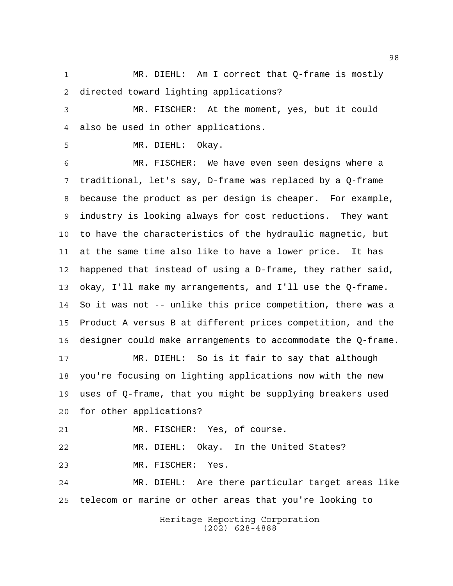MR. DIEHL: Am I correct that Q-frame is mostly directed toward lighting applications?

 MR. FISCHER: At the moment, yes, but it could also be used in other applications.

MR. DIEHL: Okay.

 MR. FISCHER: We have even seen designs where a traditional, let's say, D-frame was replaced by a Q-frame because the product as per design is cheaper. For example, industry is looking always for cost reductions. They want to have the characteristics of the hydraulic magnetic, but at the same time also like to have a lower price. It has happened that instead of using a D-frame, they rather said, okay, I'll make my arrangements, and I'll use the Q-frame. So it was not -- unlike this price competition, there was a Product A versus B at different prices competition, and the designer could make arrangements to accommodate the Q-frame. MR. DIEHL: So is it fair to say that although

 you're focusing on lighting applications now with the new uses of Q-frame, that you might be supplying breakers used for other applications?

MR. FISCHER: Yes, of course.

 MR. DIEHL: Okay. In the United States? MR. FISCHER: Yes.

 MR. DIEHL: Are there particular target areas like telecom or marine or other areas that you're looking to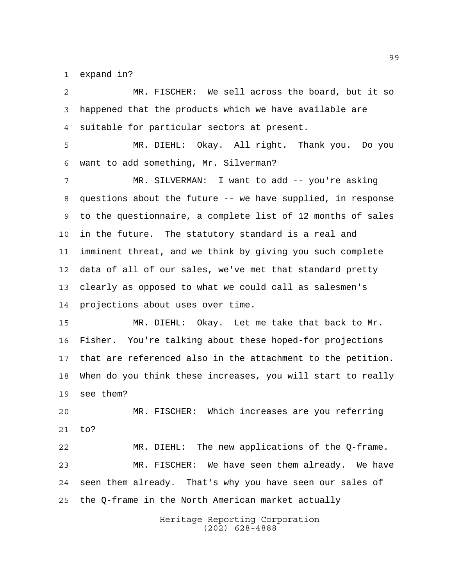expand in?

 MR. FISCHER: We sell across the board, but it so happened that the products which we have available are suitable for particular sectors at present. MR. DIEHL: Okay. All right. Thank you. Do you want to add something, Mr. Silverman? MR. SILVERMAN: I want to add -- you're asking questions about the future -- we have supplied, in response to the questionnaire, a complete list of 12 months of sales in the future. The statutory standard is a real and imminent threat, and we think by giving you such complete data of all of our sales, we've met that standard pretty clearly as opposed to what we could call as salesmen's projections about uses over time. MR. DIEHL: Okay. Let me take that back to Mr. Fisher. You're talking about these hoped-for projections that are referenced also in the attachment to the petition. When do you think these increases, you will start to really see them? MR. FISCHER: Which increases are you referring to? MR. DIEHL: The new applications of the Q-frame. MR. FISCHER: We have seen them already. We have seen them already. That's why you have seen our sales of the Q-frame in the North American market actually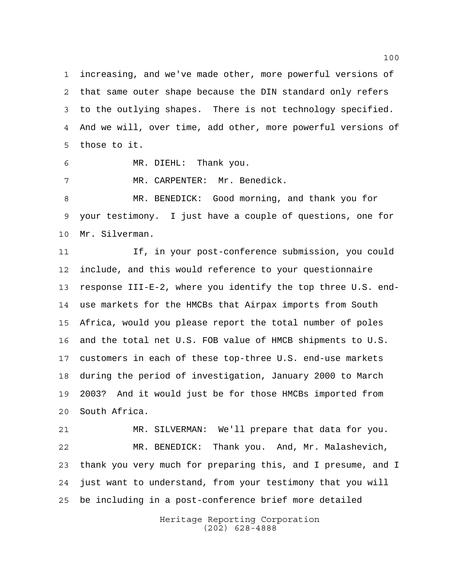increasing, and we've made other, more powerful versions of that same outer shape because the DIN standard only refers to the outlying shapes. There is not technology specified. And we will, over time, add other, more powerful versions of those to it.

MR. DIEHL: Thank you.

MR. CARPENTER: Mr. Benedick.

 MR. BENEDICK: Good morning, and thank you for your testimony. I just have a couple of questions, one for Mr. Silverman.

 If, in your post-conference submission, you could include, and this would reference to your questionnaire response III-E-2, where you identify the top three U.S. end- use markets for the HMCBs that Airpax imports from South Africa, would you please report the total number of poles and the total net U.S. FOB value of HMCB shipments to U.S. customers in each of these top-three U.S. end-use markets during the period of investigation, January 2000 to March 2003? And it would just be for those HMCBs imported from South Africa.

 MR. SILVERMAN: We'll prepare that data for you. MR. BENEDICK: Thank you. And, Mr. Malashevich, thank you very much for preparing this, and I presume, and I just want to understand, from your testimony that you will be including in a post-conference brief more detailed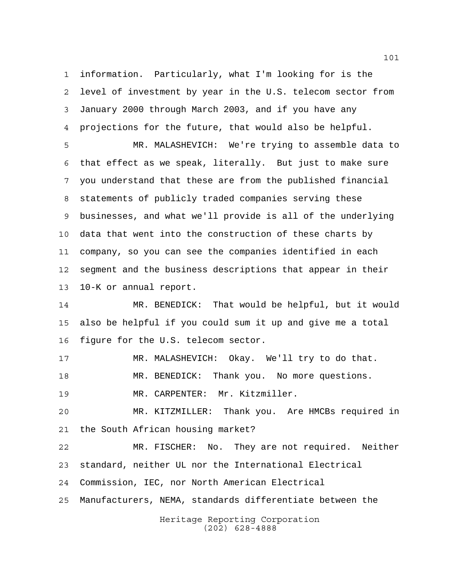information. Particularly, what I'm looking for is the level of investment by year in the U.S. telecom sector from January 2000 through March 2003, and if you have any projections for the future, that would also be helpful.

 MR. MALASHEVICH: We're trying to assemble data to that effect as we speak, literally. But just to make sure you understand that these are from the published financial statements of publicly traded companies serving these businesses, and what we'll provide is all of the underlying data that went into the construction of these charts by company, so you can see the companies identified in each segment and the business descriptions that appear in their 10-K or annual report.

 MR. BENEDICK: That would be helpful, but it would also be helpful if you could sum it up and give me a total figure for the U.S. telecom sector.

 MR. MALASHEVICH: Okay. We'll try to do that. MR. BENEDICK: Thank you. No more questions.

MR. CARPENTER: Mr. Kitzmiller.

 MR. KITZMILLER: Thank you. Are HMCBs required in the South African housing market?

 MR. FISCHER: No. They are not required. Neither standard, neither UL nor the International Electrical Commission, IEC, nor North American Electrical Manufacturers, NEMA, standards differentiate between the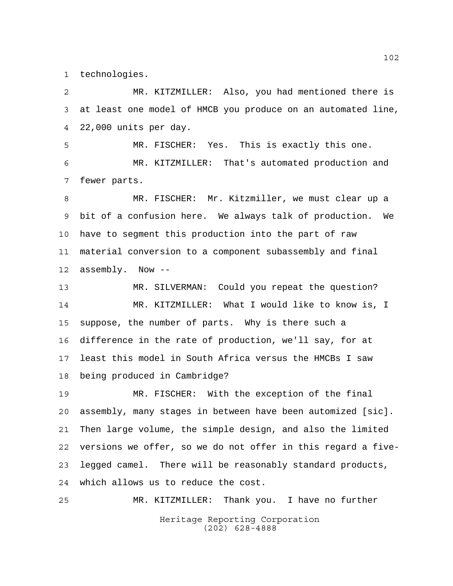technologies.

 MR. KITZMILLER: Also, you had mentioned there is at least one model of HMCB you produce on an automated line, 22,000 units per day. MR. FISCHER: Yes. This is exactly this one. MR. KITZMILLER: That's automated production and fewer parts. MR. FISCHER: Mr. Kitzmiller, we must clear up a bit of a confusion here. We always talk of production. We have to segment this production into the part of raw material conversion to a component subassembly and final assembly. Now -- MR. SILVERMAN: Could you repeat the question? MR. KITZMILLER: What I would like to know is, I suppose, the number of parts. Why is there such a difference in the rate of production, we'll say, for at least this model in South Africa versus the HMCBs I saw being produced in Cambridge? MR. FISCHER: With the exception of the final assembly, many stages in between have been automized [sic]. Then large volume, the simple design, and also the limited versions we offer, so we do not offer in this regard a five-

> Heritage Reporting Corporation (202) 628-4888

legged camel. There will be reasonably standard products,

MR. KITZMILLER: Thank you. I have no further

which allows us to reduce the cost.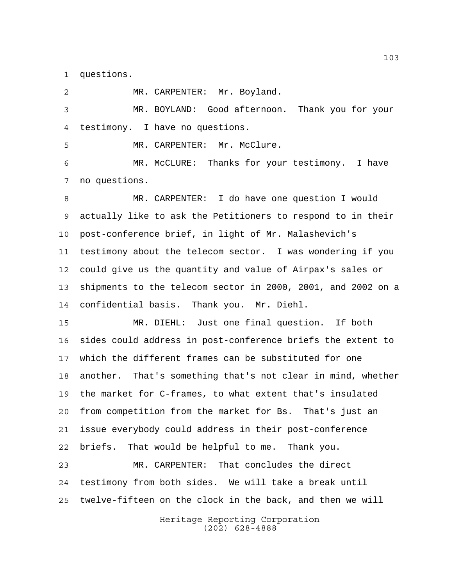questions.

Heritage Reporting Corporation (202) 628-4888 MR. CARPENTER: Mr. Boyland. MR. BOYLAND: Good afternoon. Thank you for your testimony. I have no questions. MR. CARPENTER: Mr. McClure. MR. McCLURE: Thanks for your testimony. I have no questions. MR. CARPENTER: I do have one question I would actually like to ask the Petitioners to respond to in their post-conference brief, in light of Mr. Malashevich's testimony about the telecom sector. I was wondering if you could give us the quantity and value of Airpax's sales or shipments to the telecom sector in 2000, 2001, and 2002 on a confidential basis. Thank you. Mr. Diehl. MR. DIEHL: Just one final question. If both sides could address in post-conference briefs the extent to which the different frames can be substituted for one another. That's something that's not clear in mind, whether the market for C-frames, to what extent that's insulated from competition from the market for Bs. That's just an issue everybody could address in their post-conference briefs. That would be helpful to me. Thank you. MR. CARPENTER: That concludes the direct testimony from both sides. We will take a break until twelve-fifteen on the clock in the back, and then we will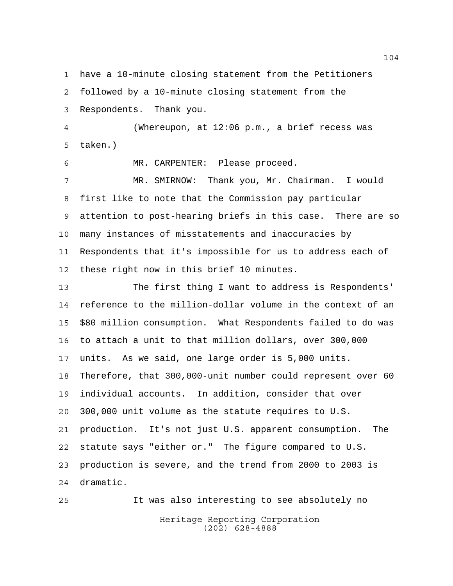have a 10-minute closing statement from the Petitioners

 followed by a 10-minute closing statement from the Respondents. Thank you.

 (Whereupon, at 12:06 p.m., a brief recess was taken.)

MR. CARPENTER: Please proceed.

 MR. SMIRNOW: Thank you, Mr. Chairman. I would first like to note that the Commission pay particular attention to post-hearing briefs in this case. There are so many instances of misstatements and inaccuracies by Respondents that it's impossible for us to address each of these right now in this brief 10 minutes.

 The first thing I want to address is Respondents' reference to the million-dollar volume in the context of an \$80 million consumption. What Respondents failed to do was to attach a unit to that million dollars, over 300,000 units. As we said, one large order is 5,000 units. Therefore, that 300,000-unit number could represent over 60 individual accounts. In addition, consider that over 300,000 unit volume as the statute requires to U.S. production. It's not just U.S. apparent consumption. The statute says "either or." The figure compared to U.S. production is severe, and the trend from 2000 to 2003 is dramatic.

It was also interesting to see absolutely no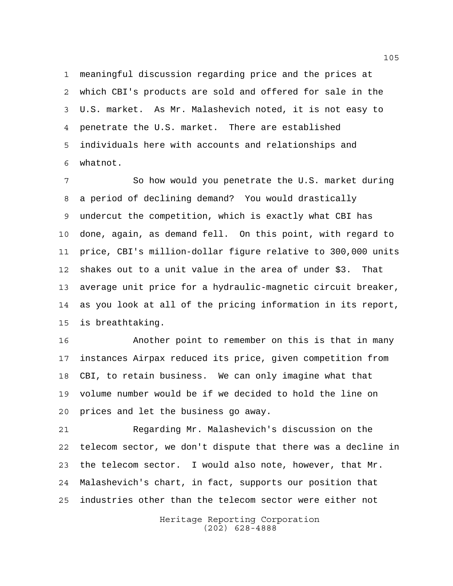meaningful discussion regarding price and the prices at which CBI's products are sold and offered for sale in the U.S. market. As Mr. Malashevich noted, it is not easy to penetrate the U.S. market. There are established individuals here with accounts and relationships and whatnot.

 So how would you penetrate the U.S. market during a period of declining demand? You would drastically undercut the competition, which is exactly what CBI has done, again, as demand fell. On this point, with regard to price, CBI's million-dollar figure relative to 300,000 units shakes out to a unit value in the area of under \$3. That average unit price for a hydraulic-magnetic circuit breaker, as you look at all of the pricing information in its report, is breathtaking.

 Another point to remember on this is that in many instances Airpax reduced its price, given competition from CBI, to retain business. We can only imagine what that volume number would be if we decided to hold the line on prices and let the business go away.

 Regarding Mr. Malashevich's discussion on the telecom sector, we don't dispute that there was a decline in the telecom sector. I would also note, however, that Mr. Malashevich's chart, in fact, supports our position that industries other than the telecom sector were either not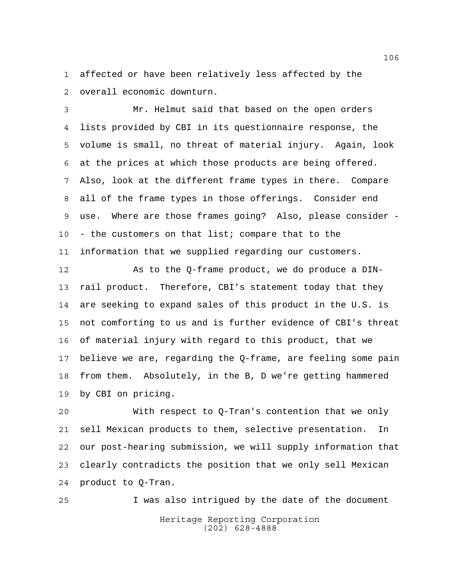affected or have been relatively less affected by the overall economic downturn.

 Mr. Helmut said that based on the open orders lists provided by CBI in its questionnaire response, the volume is small, no threat of material injury. Again, look at the prices at which those products are being offered. Also, look at the different frame types in there. Compare all of the frame types in those offerings. Consider end use. Where are those frames going? Also, please consider - - the customers on that list; compare that to the information that we supplied regarding our customers.

12 As to the Q-frame product, we do produce a DIN- rail product. Therefore, CBI's statement today that they are seeking to expand sales of this product in the U.S. is not comforting to us and is further evidence of CBI's threat of material injury with regard to this product, that we believe we are, regarding the Q-frame, are feeling some pain from them. Absolutely, in the B, D we're getting hammered by CBI on pricing.

 With respect to Q-Tran's contention that we only sell Mexican products to them, selective presentation. In our post-hearing submission, we will supply information that clearly contradicts the position that we only sell Mexican product to Q-Tran.

Heritage Reporting Corporation (202) 628-4888 I was also intrigued by the date of the document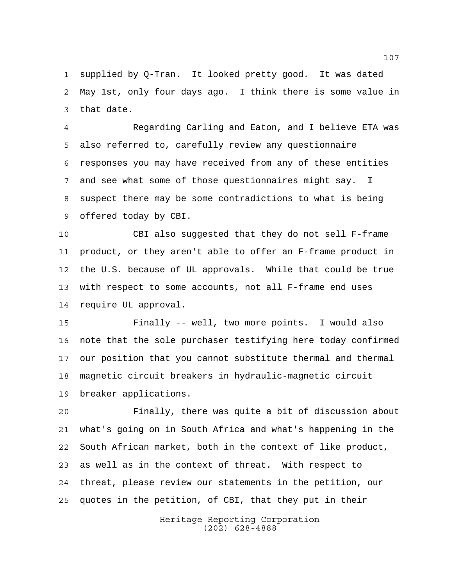supplied by Q-Tran. It looked pretty good. It was dated May 1st, only four days ago. I think there is some value in that date.

 Regarding Carling and Eaton, and I believe ETA was also referred to, carefully review any questionnaire responses you may have received from any of these entities and see what some of those questionnaires might say. I suspect there may be some contradictions to what is being offered today by CBI.

 CBI also suggested that they do not sell F-frame product, or they aren't able to offer an F-frame product in the U.S. because of UL approvals. While that could be true with respect to some accounts, not all F-frame end uses require UL approval.

 Finally -- well, two more points. I would also note that the sole purchaser testifying here today confirmed our position that you cannot substitute thermal and thermal magnetic circuit breakers in hydraulic-magnetic circuit breaker applications.

 Finally, there was quite a bit of discussion about what's going on in South Africa and what's happening in the South African market, both in the context of like product, as well as in the context of threat. With respect to threat, please review our statements in the petition, our quotes in the petition, of CBI, that they put in their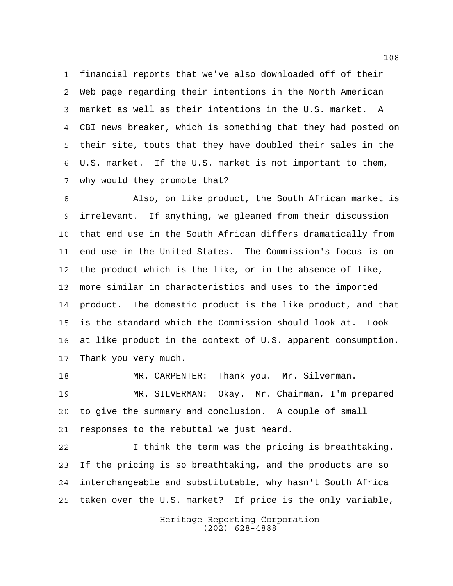financial reports that we've also downloaded off of their Web page regarding their intentions in the North American market as well as their intentions in the U.S. market. A CBI news breaker, which is something that they had posted on their site, touts that they have doubled their sales in the U.S. market. If the U.S. market is not important to them, why would they promote that?

 Also, on like product, the South African market is irrelevant. If anything, we gleaned from their discussion that end use in the South African differs dramatically from end use in the United States. The Commission's focus is on the product which is the like, or in the absence of like, more similar in characteristics and uses to the imported product. The domestic product is the like product, and that is the standard which the Commission should look at. Look at like product in the context of U.S. apparent consumption. Thank you very much.

 MR. CARPENTER: Thank you. Mr. Silverman. MR. SILVERMAN: Okay. Mr. Chairman, I'm prepared to give the summary and conclusion. A couple of small responses to the rebuttal we just heard.

 I think the term was the pricing is breathtaking. If the pricing is so breathtaking, and the products are so interchangeable and substitutable, why hasn't South Africa taken over the U.S. market? If price is the only variable,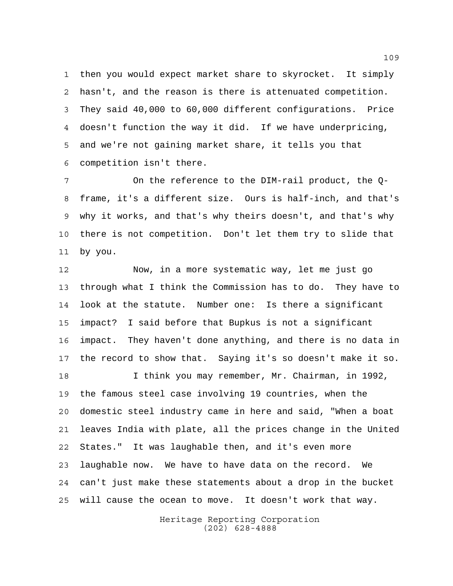then you would expect market share to skyrocket. It simply hasn't, and the reason is there is attenuated competition. They said 40,000 to 60,000 different configurations. Price doesn't function the way it did. If we have underpricing, and we're not gaining market share, it tells you that competition isn't there.

 On the reference to the DIM-rail product, the Q- frame, it's a different size. Ours is half-inch, and that's why it works, and that's why theirs doesn't, and that's why there is not competition. Don't let them try to slide that by you.

 Now, in a more systematic way, let me just go through what I think the Commission has to do. They have to look at the statute. Number one: Is there a significant impact? I said before that Bupkus is not a significant impact. They haven't done anything, and there is no data in the record to show that. Saying it's so doesn't make it so. 18 I think you may remember, Mr. Chairman, in 1992, the famous steel case involving 19 countries, when the domestic steel industry came in here and said, "When a boat leaves India with plate, all the prices change in the United States." It was laughable then, and it's even more laughable now. We have to have data on the record. We can't just make these statements about a drop in the bucket will cause the ocean to move. It doesn't work that way.

> Heritage Reporting Corporation (202) 628-4888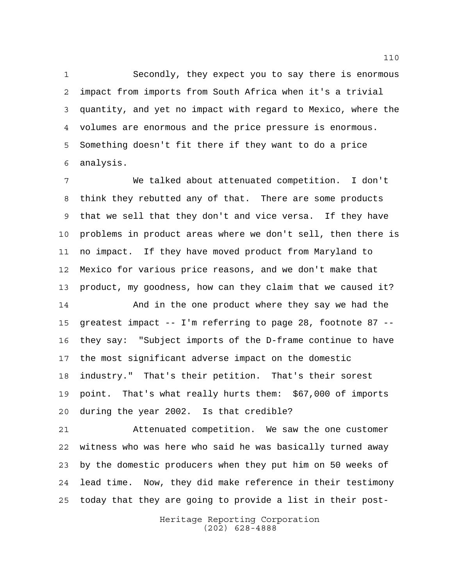Secondly, they expect you to say there is enormous impact from imports from South Africa when it's a trivial quantity, and yet no impact with regard to Mexico, where the volumes are enormous and the price pressure is enormous. Something doesn't fit there if they want to do a price analysis.

 We talked about attenuated competition. I don't think they rebutted any of that. There are some products that we sell that they don't and vice versa. If they have problems in product areas where we don't sell, then there is no impact. If they have moved product from Maryland to Mexico for various price reasons, and we don't make that product, my goodness, how can they claim that we caused it?

 And in the one product where they say we had the greatest impact -- I'm referring to page 28, footnote 87 -- they say: "Subject imports of the D-frame continue to have the most significant adverse impact on the domestic industry." That's their petition. That's their sorest point. That's what really hurts them: \$67,000 of imports during the year 2002. Is that credible?

 Attenuated competition. We saw the one customer witness who was here who said he was basically turned away by the domestic producers when they put him on 50 weeks of lead time. Now, they did make reference in their testimony today that they are going to provide a list in their post-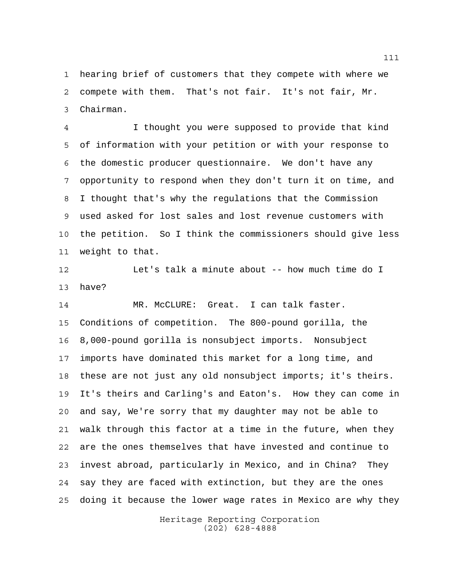hearing brief of customers that they compete with where we compete with them. That's not fair. It's not fair, Mr. Chairman.

 I thought you were supposed to provide that kind of information with your petition or with your response to the domestic producer questionnaire. We don't have any opportunity to respond when they don't turn it on time, and I thought that's why the regulations that the Commission used asked for lost sales and lost revenue customers with the petition. So I think the commissioners should give less weight to that.

 Let's talk a minute about -- how much time do I have?

 MR. McCLURE: Great. I can talk faster. Conditions of competition. The 800-pound gorilla, the 8,000-pound gorilla is nonsubject imports. Nonsubject imports have dominated this market for a long time, and these are not just any old nonsubject imports; it's theirs. It's theirs and Carling's and Eaton's. How they can come in and say, We're sorry that my daughter may not be able to walk through this factor at a time in the future, when they are the ones themselves that have invested and continue to invest abroad, particularly in Mexico, and in China? They say they are faced with extinction, but they are the ones doing it because the lower wage rates in Mexico are why they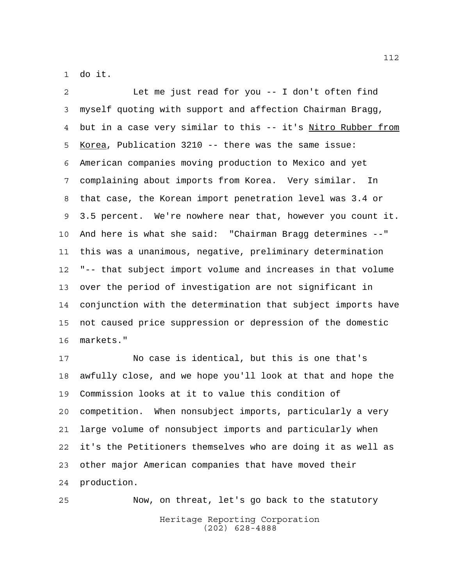do it.

 Let me just read for you -- I don't often find myself quoting with support and affection Chairman Bragg, but in a case very similar to this -- it's Nitro Rubber from Korea, Publication 3210 -- there was the same issue: American companies moving production to Mexico and yet complaining about imports from Korea. Very similar. In that case, the Korean import penetration level was 3.4 or 3.5 percent. We're nowhere near that, however you count it. And here is what she said: "Chairman Bragg determines --" this was a unanimous, negative, preliminary determination "-- that subject import volume and increases in that volume over the period of investigation are not significant in conjunction with the determination that subject imports have not caused price suppression or depression of the domestic markets."

 No case is identical, but this is one that's awfully close, and we hope you'll look at that and hope the Commission looks at it to value this condition of competition. When nonsubject imports, particularly a very large volume of nonsubject imports and particularly when it's the Petitioners themselves who are doing it as well as other major American companies that have moved their production.

Heritage Reporting Corporation (202) 628-4888 Now, on threat, let's go back to the statutory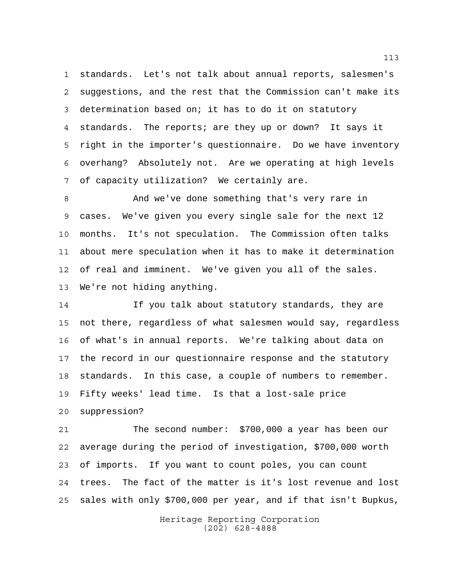standards. Let's not talk about annual reports, salesmen's suggestions, and the rest that the Commission can't make its determination based on; it has to do it on statutory standards. The reports; are they up or down? It says it right in the importer's questionnaire. Do we have inventory overhang? Absolutely not. Are we operating at high levels of capacity utilization? We certainly are.

 And we've done something that's very rare in cases. We've given you every single sale for the next 12 months. It's not speculation. The Commission often talks about mere speculation when it has to make it determination of real and imminent. We've given you all of the sales. We're not hiding anything.

 If you talk about statutory standards, they are not there, regardless of what salesmen would say, regardless of what's in annual reports. We're talking about data on the record in our questionnaire response and the statutory standards. In this case, a couple of numbers to remember. Fifty weeks' lead time. Is that a lost-sale price suppression?

 The second number: \$700,000 a year has been our average during the period of investigation, \$700,000 worth of imports. If you want to count poles, you can count trees. The fact of the matter is it's lost revenue and lost sales with only \$700,000 per year, and if that isn't Bupkus,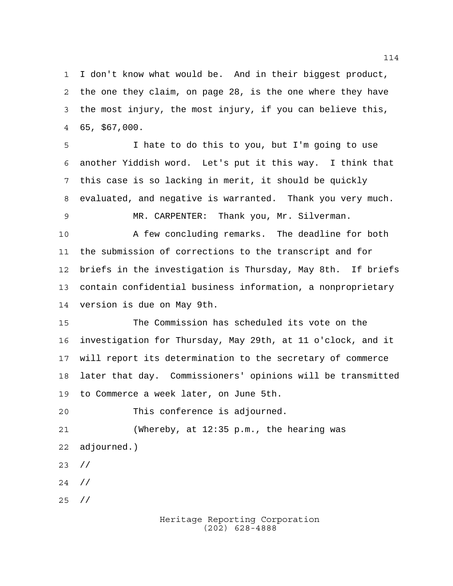I don't know what would be. And in their biggest product, the one they claim, on page 28, is the one where they have the most injury, the most injury, if you can believe this, 65, \$67,000.

 I hate to do this to you, but I'm going to use another Yiddish word. Let's put it this way. I think that this case is so lacking in merit, it should be quickly evaluated, and negative is warranted. Thank you very much. MR. CARPENTER: Thank you, Mr. Silverman.

 A few concluding remarks. The deadline for both the submission of corrections to the transcript and for briefs in the investigation is Thursday, May 8th. If briefs contain confidential business information, a nonproprietary version is due on May 9th.

 The Commission has scheduled its vote on the investigation for Thursday, May 29th, at 11 o'clock, and it will report its determination to the secretary of commerce later that day. Commissioners' opinions will be transmitted to Commerce a week later, on June 5th.

This conference is adjourned.

 (Whereby, at 12:35 p.m., the hearing was adjourned.)

//

//

//